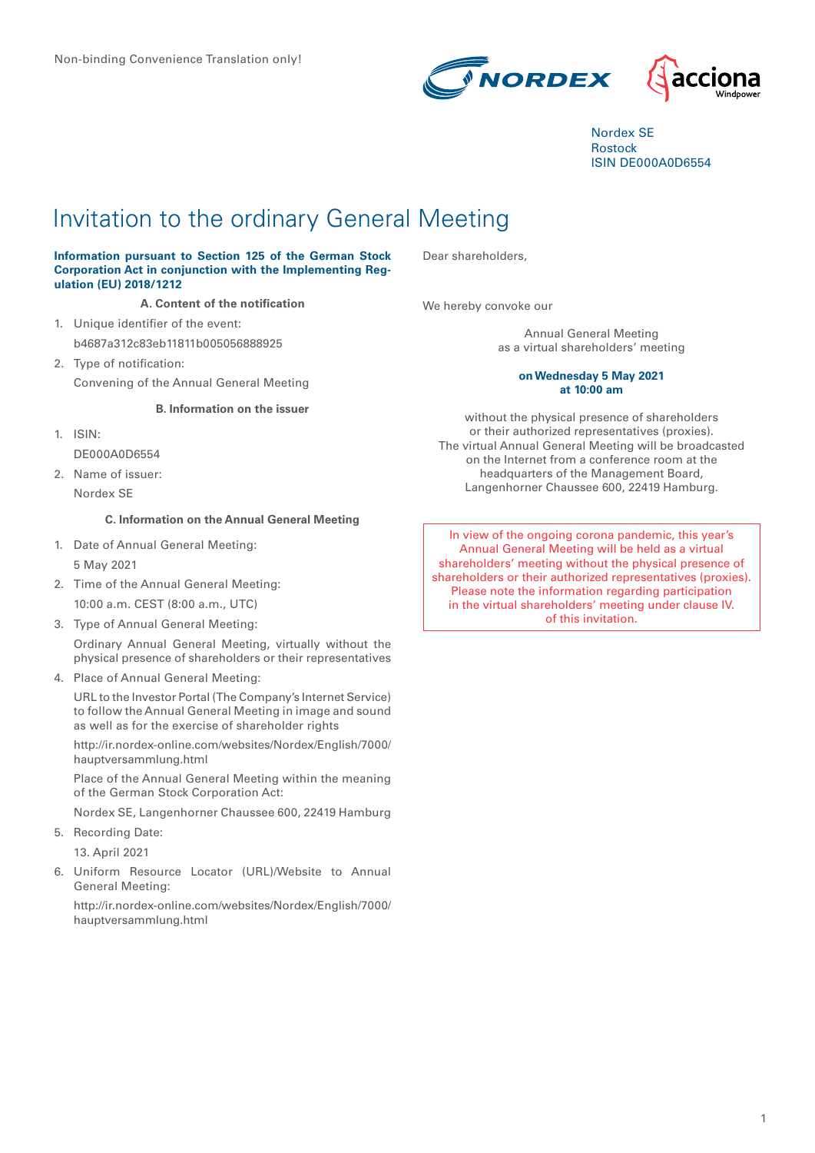

Nordex SE Rostock ISIN DE000A0D6554

# Invitation to the ordinary General Meeting

#### **Information pursuant to Section 125 of the German Stock Corporation Act in conjunction with the Implementing Regulation (EU) 2018/1212**

#### **A. Content of the notification**

- 1. Unique identifier of the event: b4687a312c83eb11811b005056888925
- 2. Type of notification: Convening of the Annual General Meeting

#### **B. Information on the issuer**

- 1. ISIN: DE000A0D6554
- 2. Name of issuer: Nordex SE

# **C. Information on the Annual General Meeting**

- 1. Date of Annual General Meeting: 5 May 2021
- 2. Time of the Annual General Meeting: 10:00 a.m. CEST (8:00 a.m., UTC)
- 3. Type of Annual General Meeting:

Ordinary Annual General Meeting, virtually without the physical presence of shareholders or their representatives

4. Place of Annual General Meeting:

URL to the Investor Portal (The Company's Internet Service) to follow the Annual General Meeting in image and sound as well as for the exercise of shareholder rights

http://ir.nordex-online.com/websites/Nordex/English/7000/ hauptversammlung.html

Place of the Annual General Meeting within the meaning of the German Stock Corporation Act:

Nordex SE, Langenhorner Chaussee 600, 22419 Hamburg

5. Recording Date:

13. April 2021

6. Uniform Resource Locator (URL)/Website to Annual General Meeting:

http://ir.nordex-online.com/websites/Nordex/English/7000/ hauptversammlung.html

Dear shareholders,

We hereby convoke our

Annual General Meeting as a virtual shareholders' meeting

#### **on Wednesday 5 May 2021 at 10:00 am**

without the physical presence of shareholders or their authorized representatives (proxies). The virtual Annual General Meeting will be broadcasted on the Internet from a conference room at the headquarters of the Management Board, Langenhorner Chaussee 600, 22419 Hamburg.

In view of the ongoing corona pandemic, this year's Annual General Meeting will be held as a virtual shareholders' meeting without the physical presence of shareholders or their authorized representatives (proxies). Please note the information regarding participation in the virtual shareholders' meeting under clause IV. of this invitation.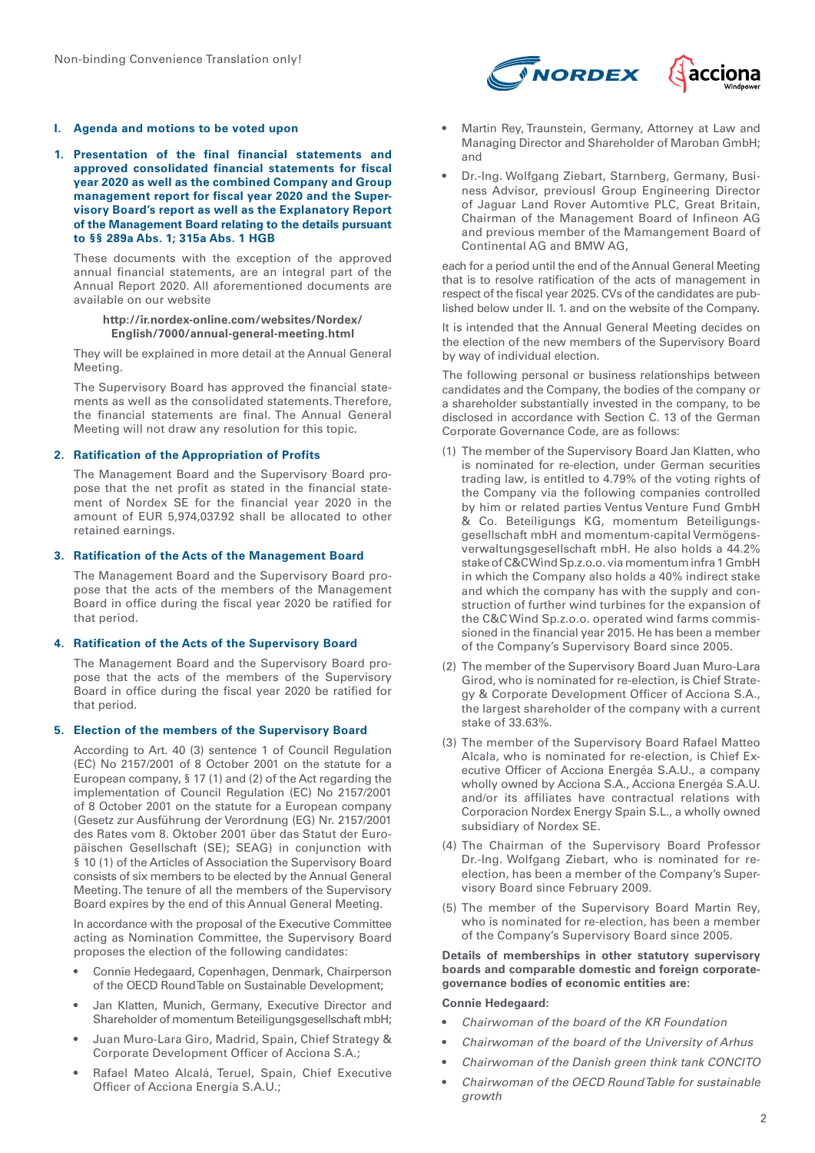#### **I. Agenda and motions to be voted upon**

**1. Presentation of the final financial statements and approved consolidated financial statements for fiscal year 2020 as well as the combined Company and Group management report for fiscal year 2020 and the Supervisory Board's report as well as the Explanatory Report of the Management Board relating to the details pursuant to §§ 289a Abs. 1; 315a Abs. 1 HGB**

These documents with the exception of the approved annual financial statements, are an integral part of the Annual Report 2020. All aforementioned documents are available on our website

#### **http://ir.nordex-online.com/websites/Nordex/ English/7000/annual-general-meeting.html**

They will be explained in more detail at the Annual General Meeting.

The Supervisory Board has approved the financial statements as well as the consolidated statements. Therefore, the financial statements are final. The Annual General Meeting will not draw any resolution for this topic.

# **2. Ratification of the Appropriation of Profits**

The Management Board and the Supervisory Board propose that the net profit as stated in the financial statement of Nordex SE for the financial year 2020 in the amount of EUR 5,974,037.92 shall be allocated to other retained earnings.

#### **3. Ratification of the Acts of the Management Board**

The Management Board and the Supervisory Board propose that the acts of the members of the Management Board in office during the fiscal year 2020 be ratified for that period.

# **4. Ratification of the Acts of the Supervisory Board**

The Management Board and the Supervisory Board propose that the acts of the members of the Supervisory Board in office during the fiscal year 2020 be ratified for that period.

#### **5. Election of the members of the Supervisory Board**

According to Art. 40 (3) sentence 1 of Council Regulation (EC) No 2157/2001 of 8 October 2001 on the statute for a European company, § 17 (1) and (2) of the Act regarding the implementation of Council Regulation (EC) No 2157/2001 of 8 October 2001 on the statute for a European company (Gesetz zur Ausführung der Verordnung (EG) Nr. 2157/2001 des Rates vom 8. Oktober 2001 über das Statut der Europäischen Gesellschaft (SE); SEAG) in conjunction with § 10 (1) of the Articles of Association the Supervisory Board consists of six members to be elected by the Annual General Meeting. The tenure of all the members of the Supervisory Board expires by the end of this Annual General Meeting.

In accordance with the proposal of the Executive Committee acting as Nomination Committee, the Supervisory Board proposes the election of the following candidates:

- Connie Hedegaard, Copenhagen, Denmark, Chairperson of the OECD Round Table on Sustainable Development;
- Jan Klatten, Munich, Germany, Executive Director and Shareholder of momentum Beteiligungsgesellschaft mbH;
- Juan Muro-Lara Giro, Madrid, Spain, Chief Strategy & Corporate Development Officer of Acciona S.A.;
- Rafael Mateo Alcalá, Teruel, Spain, Chief Executive Officer of Acciona Energía S.A.U.;



- Martin Rey, Traunstein, Germany, Attorney at Law and Managing Director and Shareholder of Maroban GmbH; and
- Dr.-Ing. Wolfgang Ziebart, Starnberg, Germany, Business Advisor, previousl Group Engineering Director of Jaguar Land Rover Automtive PLC, Great Britain, Chairman of the Management Board of Infineon AG and previous member of the Mamangement Board of Continental AG and BMW AG,

each for a period until the end of the Annual General Meeting that is to resolve ratification of the acts of management in respect of the fiscal year 2025. CVs of the candidates are published below under II. 1. and on the website of the Company.

It is intended that the Annual General Meeting decides on the election of the new members of the Supervisory Board by way of individual election.

The following personal or business relationships between candidates and the Company, the bodies of the company or a shareholder substantially invested in the company, to be disclosed in accordance with Section C. 13 of the German Corporate Governance Code, are as follows:

- (1) The member of the Supervisory Board Jan Klatten, who is nominated for re-election, under German securities trading law, is entitled to 4.79% of the voting rights of the Company via the following companies controlled by him or related parties Ventus Venture Fund GmbH & Co. Beteiligungs KG, momentum Beteiligungsgesellschaft mbH and momentum-capital Vermögensverwaltungsgesellschaft mbH. He also holds a 44.2% stake of C&C Wind Sp.z.o.o. via momentum infra 1 GmbH in which the Company also holds a 40% indirect stake and which the company has with the supply and construction of further wind turbines for the expansion of the C&C Wind Sp.z.o.o. operated wind farms commissioned in the financial year 2015. He has been a member of the Company's Supervisory Board since 2005.
- (2) The member of the Supervisory Board Juan Muro-Lara Girod, who is nominated for re-election, is Chief Strategy & Corporate Development Officer of Acciona S.A., the largest shareholder of the company with a current stake of 33.63%.
- (3) The member of the Supervisory Board Rafael Matteo Alcala, who is nominated for re-election, is Chief Executive Officer of Acciona Energéa S.A.U., a company wholly owned by Acciona S.A., Acciona Energéa S.A.U. and/or its affiliates have contractual relations with Corporacion Nordex Energy Spain S.L., a wholly owned subsidiary of Nordex SE.
- (4) The Chairman of the Supervisory Board Professor Dr.-Ing. Wolfgang Ziebart, who is nominated for reelection, has been a member of the Company's Supervisory Board since February 2009.
- (5) The member of the Supervisory Board Martin Rey, who is nominated for re-election, has been a member of the Company's Supervisory Board since 2005.

**Details of memberships in other statutory supervisory boards and comparable domestic and foreign corporategovernance bodies of economic entities are:**

# **Connie Hedegaard:**

- *Chairwoman of the board of the KR Foundation*
- *Chairwoman of the board of the University of Arhus*
- *Chairwoman of the Danish green think tank CONCITO*
- *Chairwoman of the OECD Round Table for sustainable growth*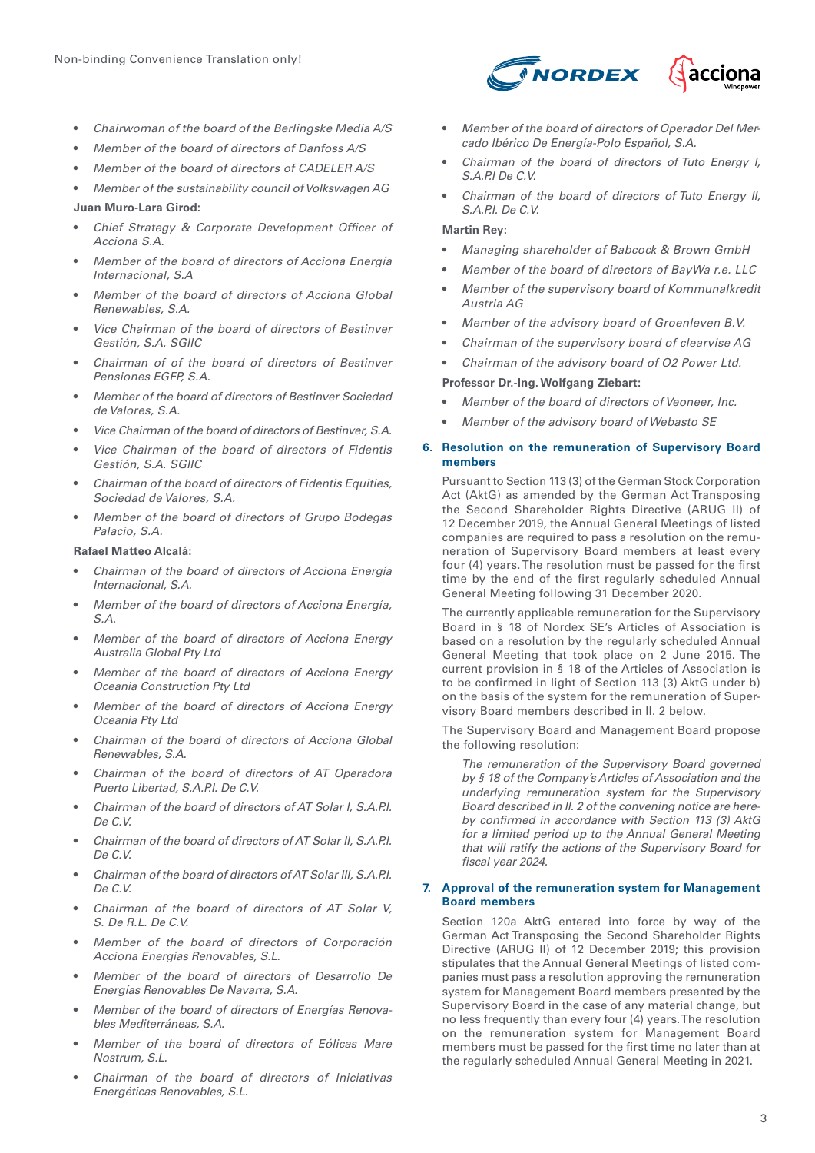- *Chairwoman of the board of the Berlingske Media A/S*
- *Member of the board of directors of Danfoss A/S*
- *Member of the board of directors of CADELER A/S*
- *Member of the sustainability council of Volkswagen AG* **Juan Muro-Lara Girod:**
- *Chief Strategy & Corporate Development Officer of Acciona S.A.*
- *Member of the board of directors of Acciona Energía Internacional, S.A*
- *Member of the board of directors of Acciona Global Renewables, S.A.*
- *Vice Chairman of the board of directors of Bestinver Gestión, S.A. SGIIC*
- *Chairman of of the board of directors of Bestinver Pensiones EGFP, S.A.*
- *Member of the board of directors of Bestinver Sociedad de Valores, S.A.*
- *Vice Chairman of the board of directors of Bestinver, S.A.*
- *Vice Chairman of the board of directors of Fidentis Gestión, S.A. SGIIC*
- *Chairman of the board of directors of Fidentis Equities, Sociedad de Valores, S.A.*
- *Member of the board of directors of Grupo Bodegas Palacio, S.A.*

# **Rafael Matteo Alcalá:**

- *Chairman of the board of directors of Acciona Energía Internacional, S.A.*
- *Member of the board of directors of Acciona Energía, S.A.*
- *Member of the board of directors of Acciona Energy Australia Global Pty Ltd*
- *Member of the board of directors of Acciona Energy Oceania Construction Pty Ltd*
- *Member of the board of directors of Acciona Energy Oceania Pty Ltd*
- *Chairman of the board of directors of Acciona Global Renewables, S.A.*
- *Chairman of the board of directors of AT Operadora Puerto Libertad, S.A.P.I. De C.V.*
- *Chairman of the board of directors of AT Solar I, S.A.P.I. De C.V.*
- *Chairman of the board of directors of AT Solar II, S.A.P.I. De C.V.*
- *Chairman of the board of directors of AT Solar III, S.A.P.I. De C.V.*
- *Chairman of the board of directors of AT Solar V, S. De R.L. De C.V.*
- *Member of the board of directors of Corporación Acciona Energías Renovables, S.L.*
- *Member of the board of directors of Desarrollo De Energías Renovables De Navarra, S.A.*
- *Member of the board of directors of Energías Renovables Mediterráneas, S.A.*
- *Member of the board of directors of Eólicas Mare Nostrum, S.L.*
- *Chairman of the board of directors of Iniciativas Energéticas Renovables, S.L.*



- *Member of the board of directors of Operador Del Mercado Ibérico De Energía-Polo Español, S.A.*
- *Chairman of the board of directors of Tuto Energy I, S.A.P.I De C.V.*
- *Chairman of the board of directors of Tuto Energy II, S.A.P.I. De C.V.*

# **Martin Rey:**

- *Managing shareholder of Babcock & Brown GmbH*
- *Member of the board of directors of BayWa r.e. LLC*
- *Member of the supervisory board of Kommunalkredit Austria AG*
- *Member of the advisory board of Groenleven B.V.*
- *Chairman of the supervisory board of clearvise AG*
- *Chairman of the advisory board of O2 Power Ltd.*

# **Professor Dr.-Ing. Wolfgang Ziebart:**

- *Member of the board of directors of Veoneer, Inc.*
- *Member of the advisory board of Webasto SE*

# **6. Resolution on the remuneration of Supervisory Board members**

Pursuant to Section 113 (3) of the German Stock Corporation Act (AktG) as amended by the German Act Transposing the Second Shareholder Rights Directive (ARUG II) of 12 December 2019, the Annual General Meetings of listed companies are required to pass a resolution on the remuneration of Supervisory Board members at least every four (4) years. The resolution must be passed for the first time by the end of the first regularly scheduled Annual General Meeting following 31 December 2020.

The currently applicable remuneration for the Supervisory Board in § 18 of Nordex SE's Articles of Association is based on a resolution by the regularly scheduled Annual General Meeting that took place on 2 June 2015. The current provision in § 18 of the Articles of Association is to be confirmed in light of Section 113 (3) AktG under b) on the basis of the system for the remuneration of Supervisory Board members described in II. 2 below.

The Supervisory Board and Management Board propose the following resolution:

*The remuneration of the Supervisory Board governed by § 18 of the Company's Articles of Association and the underlying remuneration system for the Supervisory Board described in II. 2 of the convening notice are hereby confirmed in accordance with Section 113 (3) AktG for a limited period up to the Annual General Meeting that will ratify the actions of the Supervisory Board for fiscal year 2024.*

#### **7. Approval of the remuneration system for Management Board members**

Section 120a AktG entered into force by way of the German Act Transposing the Second Shareholder Rights Directive (ARUG II) of 12 December 2019; this provision stipulates that the Annual General Meetings of listed companies must pass a resolution approving the remuneration system for Management Board members presented by the Supervisory Board in the case of any material change, but no less frequently than every four (4) years. The resolution on the remuneration system for Management Board members must be passed for the first time no later than at the regularly scheduled Annual General Meeting in 2021.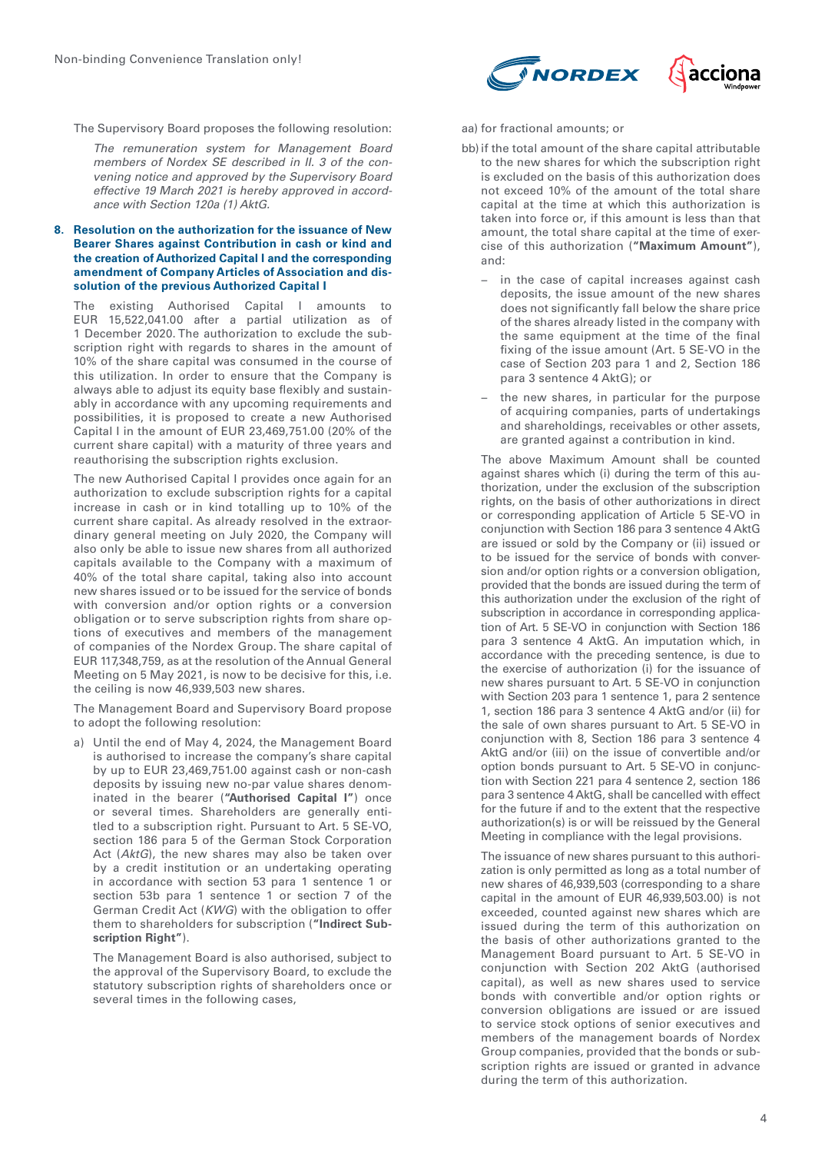The Supervisory Board proposes the following resolution:

*The remuneration system for Management Board members of Nordex SE described in II. 3 of the convening notice and approved by the Supervisory Board effective 19 March 2021 is hereby approved in accordance with Section 120a (1) AktG.*

#### **8. Resolution on the authorization for the issuance of New Bearer Shares against Contribution in cash or kind and the creation of Authorized Capital I and the corresponding amendment of Company Articles of Association and dissolution of the previous Authorized Capital I**

The existing Authorised Capital I amounts to EUR 15,522,041.00 after a partial utilization as of 1 December 2020. The authorization to exclude the subscription right with regards to shares in the amount of 10% of the share capital was consumed in the course of this utilization. In order to ensure that the Company is always able to adjust its equity base flexibly and sustainably in accordance with any upcoming requirements and possibilities, it is proposed to create a new Authorised Capital I in the amount of EUR 23,469,751.00 (20% of the current share capital) with a maturity of three years and reauthorising the subscription rights exclusion.

The new Authorised Capital I provides once again for an authorization to exclude subscription rights for a capital increase in cash or in kind totalling up to 10% of the current share capital. As already resolved in the extraordinary general meeting on July 2020, the Company will also only be able to issue new shares from all authorized capitals available to the Company with a maximum of 40% of the total share capital, taking also into account new shares issued or to be issued for the service of bonds with conversion and/or option rights or a conversion obligation or to serve subscription rights from share options of executives and members of the management of companies of the Nordex Group. The share capital of EUR 117,348,759, as at the resolution of the Annual General Meeting on 5 May 2021, is now to be decisive for this, i.e. the ceiling is now 46,939,503 new shares.

The Management Board and Supervisory Board propose to adopt the following resolution:

a) Until the end of May 4, 2024, the Management Board is authorised to increase the company's share capital by up to EUR 23,469,751.00 against cash or non-cash deposits by issuing new no-par value shares denominated in the bearer (**"Authorised Capital I"**) once or several times. Shareholders are generally entitled to a subscription right. Pursuant to Art. 5 SE-VO, section 186 para 5 of the German Stock Corporation Act (*AktG*), the new shares may also be taken over by a credit institution or an undertaking operating in accordance with section 53 para 1 sentence 1 or section 53b para 1 sentence 1 or section 7 of the German Credit Act (*KWG*) with the obligation to offer them to shareholders for subscription (**"Indirect Subscription Right"**).

The Management Board is also authorised, subject to the approval of the Supervisory Board, to exclude the statutory subscription rights of shareholders once or several times in the following cases,



#### aa) for fractional amounts; or

- bb)if the total amount of the share capital attributable to the new shares for which the subscription right is excluded on the basis of this authorization does not exceed 10% of the amount of the total share capital at the time at which this authorization is taken into force or, if this amount is less than that amount, the total share capital at the time of exercise of this authorization (**"Maximum Amount"**), and:
	- − in the case of capital increases against cash deposits, the issue amount of the new shares does not significantly fall below the share price of the shares already listed in the company with the same equipment at the time of the final fixing of the issue amount (Art. 5 SE-VO in the case of Section 203 para 1 and 2, Section 186 para 3 sentence 4 AktG); or
	- − the new shares, in particular for the purpose of acquiring companies, parts of undertakings and shareholdings, receivables or other assets, are granted against a contribution in kind.

The above Maximum Amount shall be counted against shares which (i) during the term of this authorization, under the exclusion of the subscription rights, on the basis of other authorizations in direct or corresponding application of Article 5 SE-VO in conjunction with Section 186 para 3 sentence 4 AktG are issued or sold by the Company or (ii) issued or to be issued for the service of bonds with conversion and/or option rights or a conversion obligation, provided that the bonds are issued during the term of this authorization under the exclusion of the right of subscription in accordance in corresponding application of Art. 5 SE-VO in conjunction with Section 186 para 3 sentence 4 AktG. An imputation which, in accordance with the preceding sentence, is due to the exercise of authorization (i) for the issuance of new shares pursuant to Art. 5 SE-VO in conjunction with Section 203 para 1 sentence 1, para 2 sentence 1, section 186 para 3 sentence 4 AktG and/or (ii) for the sale of own shares pursuant to Art. 5 SE-VO in conjunction with 8, Section 186 para 3 sentence 4 AktG and/or (iii) on the issue of convertible and/or option bonds pursuant to Art. 5 SE-VO in conjunction with Section 221 para 4 sentence 2, section 186 para 3 sentence 4 AktG, shall be cancelled with effect for the future if and to the extent that the respective authorization(s) is or will be reissued by the General Meeting in compliance with the legal provisions.

The issuance of new shares pursuant to this authorization is only permitted as long as a total number of new shares of 46,939,503 (corresponding to a share capital in the amount of EUR 46,939,503.00) is not exceeded, counted against new shares which are issued during the term of this authorization on the basis of other authorizations granted to the Management Board pursuant to Art. 5 SE-VO in conjunction with Section 202 AktG (authorised capital), as well as new shares used to service bonds with convertible and/or option rights or conversion obligations are issued or are issued to service stock options of senior executives and members of the management boards of Nordex Group companies, provided that the bonds or subscription rights are issued or granted in advance during the term of this authorization.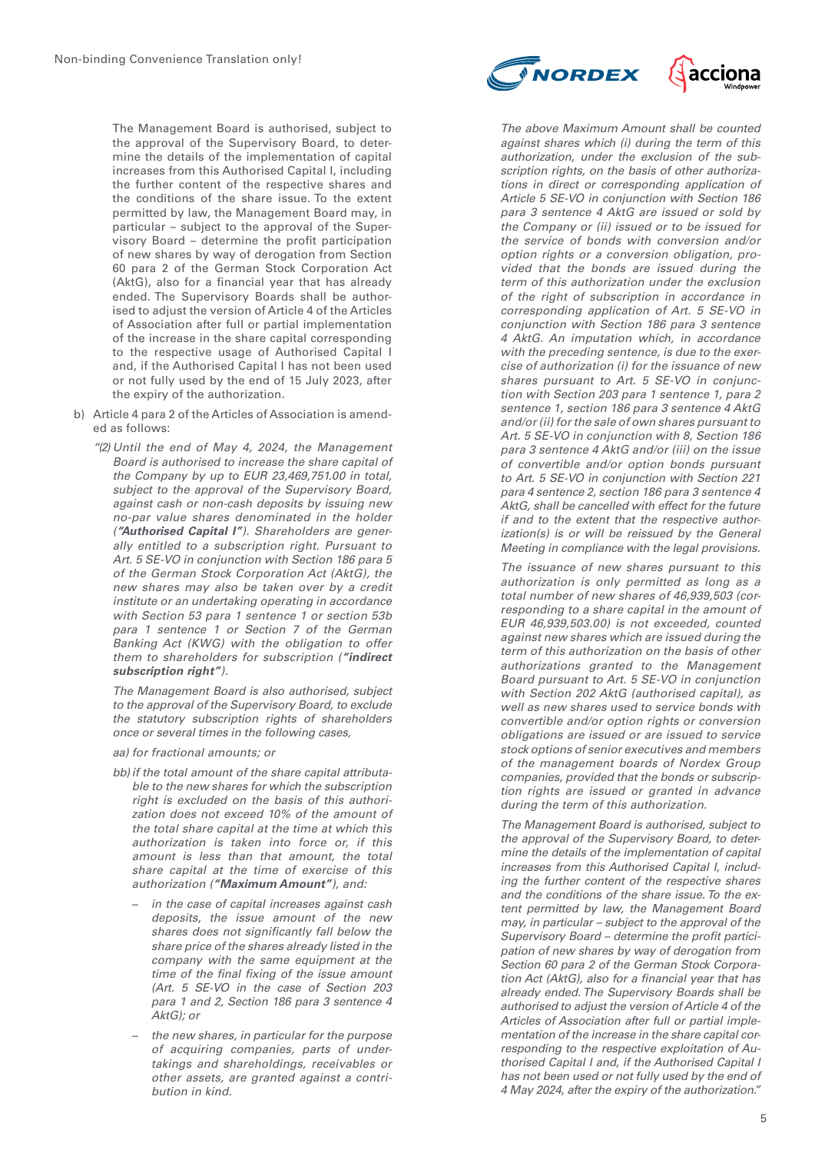The Management Board is authorised, subject to the approval of the Supervisory Board, to determine the details of the implementation of capital increases from this Authorised Capital I, including the further content of the respective shares and the conditions of the share issue. To the extent permitted by law, the Management Board may, in particular – subject to the approval of the Supervisory Board – determine the profit participation of new shares by way of derogation from Section 60 para 2 of the German Stock Corporation Act (AktG), also for a financial year that has already ended. The Supervisory Boards shall be authorised to adjust the version of Article 4 of the Articles of Association after full or partial implementation of the increase in the share capital corresponding to the respective usage of Authorised Capital I and, if the Authorised Capital I has not been used or not fully used by the end of 15 July 2023, after the expiry of the authorization.

- b) Article 4 para 2 of the Articles of Association is amended as follows:
	- *"(2) Until the end of May 4, 2024, the Management Board is authorised to increase the share capital of the Company by up to EUR 23,469,751.00 in total, subject to the approval of the Supervisory Board, against cash or non-cash deposits by issuing new no-par value shares denominated in the holder (***"Authorised Capital I"***). Shareholders are generally entitled to a subscription right. Pursuant to Art. 5 SE-VO in conjunction with Section 186 para 5 of the German Stock Corporation Act (AktG), the new shares may also be taken over by a credit institute or an undertaking operating in accordance with Section 53 para 1 sentence 1 or section 53b para 1 sentence 1 or Section 7 of the German Banking Act (KWG) with the obligation to offer them to shareholders for subscription (***"indirect subscription right"***).*

*The Management Board is also authorised, subject to the approval of the Supervisory Board, to exclude the statutory subscription rights of shareholders once or several times in the following cases,*

*aa) for fractional amounts; or*

- *bb)if the total amount of the share capital attributable to the new shares for which the subscription right is excluded on the basis of this authorization does not exceed 10% of the amount of the total share capital at the time at which this authorization is taken into force or, if this amount is less than that amount, the total share capital at the time of exercise of this authorization (***"Maximum Amount"***), and:*
	- − *in the case of capital increases against cash deposits, the issue amount of the new shares does not significantly fall below the share price of the shares already listed in the company with the same equipment at the time of the final fixing of the issue amount (Art. 5 SE-VO in the case of Section 203 para 1 and 2, Section 186 para 3 sentence 4 AktG); or*
	- − *the new shares, in particular for the purpose of acquiring companies, parts of undertakings and shareholdings, receivables or other assets, are granted against a contribution in kind.*

*The above Maximum Amount shall be counted against shares which (i) during the term of this authorization, under the exclusion of the subscription rights, on the basis of other authorizations in direct or corresponding application of Article 5 SE-VO in conjunction with Section 186 para 3 sentence 4 AktG are issued or sold by the Company or (ii) issued or to be issued for the service of bonds with conversion and/or option rights or a conversion obligation, provided that the bonds are issued during the term of this authorization under the exclusion of the right of subscription in accordance in corresponding application of Art. 5 SE-VO in conjunction with Section 186 para 3 sentence 4 AktG. An imputation which, in accordance with the preceding sentence, is due to the exercise of authorization (i) for the issuance of new shares pursuant to Art. 5 SE-VO in conjunction with Section 203 para 1 sentence 1, para 2 sentence 1, section 186 para 3 sentence 4 AktG and/or (ii) for the sale of own shares pursuant to Art. 5 SE-VO in conjunction with 8, Section 186 para 3 sentence 4 AktG and/or (iii) on the issue of convertible and/or option bonds pursuant to Art. 5 SE-VO in conjunction with Section 221 para 4 sentence 2, section 186 para 3 sentence 4 AktG, shall be cancelled with effect for the future if and to the extent that the respective authorization(s) is or will be reissued by the General* 

*The issuance of new shares pursuant to this authorization is only permitted as long as a total number of new shares of 46,939,503 (corresponding to a share capital in the amount of EUR 46,939,503.00) is not exceeded, counted against new shares which are issued during the term of this authorization on the basis of other authorizations granted to the Management Board pursuant to Art. 5 SE-VO in conjunction with Section 202 AktG (authorised capital), as well as new shares used to service bonds with convertible and/or option rights or conversion obligations are issued or are issued to service stock options of senior executives and members of the management boards of Nordex Group companies, provided that the bonds or subscription rights are issued or granted in advance during the term of this authorization.*

*Meeting in compliance with the legal provisions.*

*The Management Board is authorised, subject to the approval of the Supervisory Board, to determine the details of the implementation of capital increases from this Authorised Capital I, including the further content of the respective shares and the conditions of the share issue. To the extent permitted by law, the Management Board may, in particular – subject to the approval of the Supervisory Board – determine the profit participation of new shares by way of derogation from Section 60 para 2 of the German Stock Corporation Act (AktG), also for a financial year that has already ended. The Supervisory Boards shall be authorised to adjust the version of Article 4 of the Articles of Association after full or partial implementation of the increase in the share capital corresponding to the respective exploitation of Authorised Capital I and, if the Authorised Capital I has not been used or not fully used by the end of 4 May 2024, after the expiry of the authorization."*



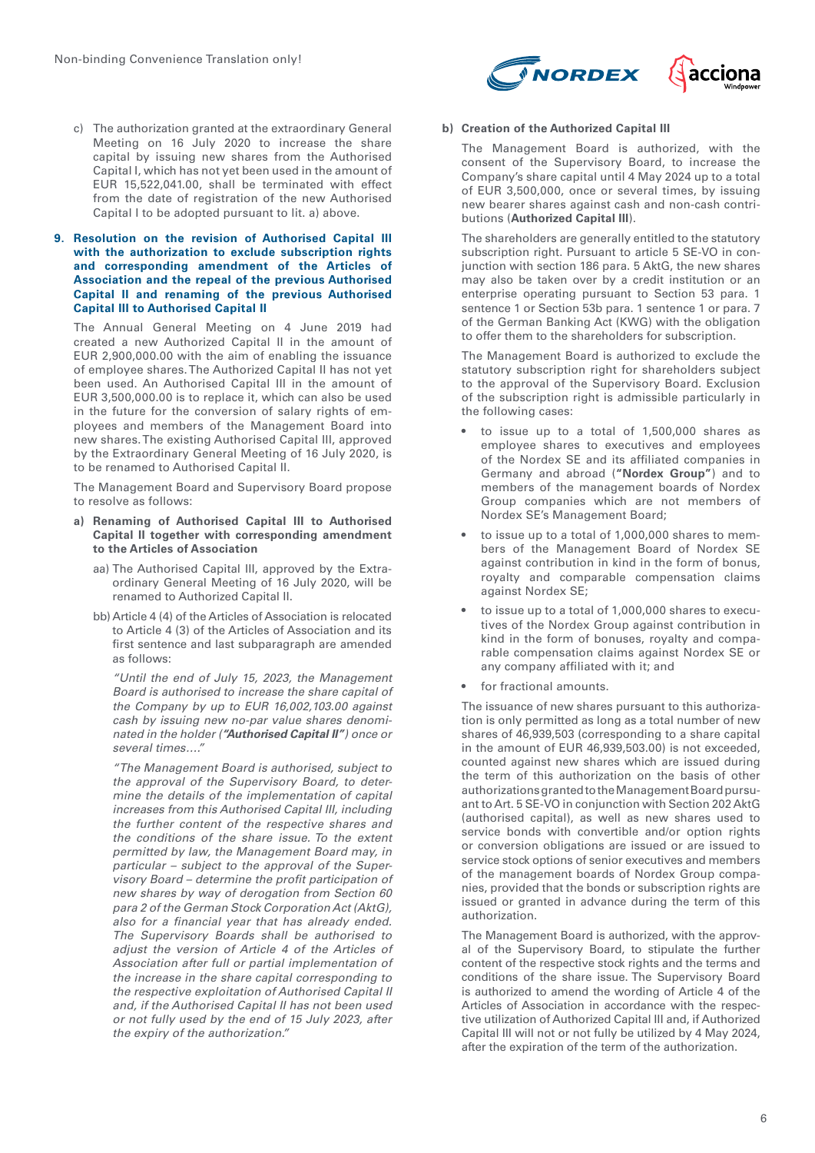

c) The authorization granted at the extraordinary General Meeting on 16 July 2020 to increase the share capital by issuing new shares from the Authorised Capital I, which has not yet been used in the amount of EUR 15,522,041.00, shall be terminated with effect from the date of registration of the new Authorised Capital I to be adopted pursuant to lit. a) above.

#### **9. Resolution on the revision of Authorised Capital III with the authorization to exclude subscription rights and corresponding amendment of the Articles of Association and the repeal of the previous Authorised Capital II and renaming of the previous Authorised Capital III to Authorised Capital II**

The Annual General Meeting on 4 June 2019 had created a new Authorized Capital II in the amount of EUR 2,900,000.00 with the aim of enabling the issuance of employee shares. The Authorized Capital II has not yet been used. An Authorised Capital III in the amount of EUR 3,500,000.00 is to replace it, which can also be used in the future for the conversion of salary rights of employees and members of the Management Board into new shares. The existing Authorised Capital III, approved by the Extraordinary General Meeting of 16 July 2020, is to be renamed to Authorised Capital II.

The Management Board and Supervisory Board propose to resolve as follows:

- **a) Renaming of Authorised Capital III to Authorised Capital II together with corresponding amendment to the Articles of Association**
	- aa) The Authorised Capital III, approved by the Extraordinary General Meeting of 16 July 2020, will be renamed to Authorized Capital II.
	- bb) Article 4 (4) of the Articles of Association is relocated to Article 4 (3) of the Articles of Association and its first sentence and last subparagraph are amended as follows:

*"Until the end of July 15, 2023, the Management Board is authorised to increase the share capital of the Company by up to EUR 16,002,103.00 against cash by issuing new no-par value shares denominated in the holder (***"Authorised Capital II"***) once or several times…."*

*"The Management Board is authorised, subject to the approval of the Supervisory Board, to determine the details of the implementation of capital increases from this Authorised Capital III, including the further content of the respective shares and the conditions of the share issue. To the extent permitted by law, the Management Board may, in particular – subject to the approval of the Supervisory Board – determine the profit participation of new shares by way of derogation from Section 60 para 2 of the German Stock Corporation Act (AktG), also for a financial year that has already ended. The Supervisory Boards shall be authorised to adjust the version of Article 4 of the Articles of Association after full or partial implementation of the increase in the share capital corresponding to the respective exploitation of Authorised Capital II and, if the Authorised Capital II has not been used or not fully used by the end of 15 July 2023, after the expiry of the authorization."*

# **b) Creation of the Authorized Capital III**

The Management Board is authorized, with the consent of the Supervisory Board, to increase the Company's share capital until 4 May 2024 up to a total of EUR 3,500,000, once or several times, by issuing new bearer shares against cash and non-cash contributions (**Authorized Capital III**).

The shareholders are generally entitled to the statutory subscription right. Pursuant to article 5 SE-VO in conjunction with section 186 para. 5 AktG, the new shares may also be taken over by a credit institution or an enterprise operating pursuant to Section 53 para. 1 sentence 1 or Section 53b para. 1 sentence 1 or para. 7 of the German Banking Act (KWG) with the obligation to offer them to the shareholders for subscription.

The Management Board is authorized to exclude the statutory subscription right for shareholders subject to the approval of the Supervisory Board. Exclusion of the subscription right is admissible particularly in the following cases:

- to issue up to a total of 1,500,000 shares as employee shares to executives and employees of the Nordex SE and its affiliated companies in Germany and abroad (**"Nordex Group"**) and to members of the management boards of Nordex Group companies which are not members of Nordex SE's Management Board;
- to issue up to a total of 1,000,000 shares to members of the Management Board of Nordex SE against contribution in kind in the form of bonus, royalty and comparable compensation claims against Nordex SE;
- to issue up to a total of 1,000,000 shares to executives of the Nordex Group against contribution in kind in the form of bonuses, royalty and comparable compensation claims against Nordex SE or any company affiliated with it; and
- for fractional amounts.

The issuance of new shares pursuant to this authorization is only permitted as long as a total number of new shares of 46,939,503 (corresponding to a share capital in the amount of EUR 46,939,503.00) is not exceeded, counted against new shares which are issued during the term of this authorization on the basis of other authorizations granted to the Management Board pursuant to Art. 5 SE-VO in conjunction with Section 202 AktG (authorised capital), as well as new shares used to service bonds with convertible and/or option rights or conversion obligations are issued or are issued to service stock options of senior executives and members of the management boards of Nordex Group companies, provided that the bonds or subscription rights are issued or granted in advance during the term of this authorization.

The Management Board is authorized, with the approval of the Supervisory Board, to stipulate the further content of the respective stock rights and the terms and conditions of the share issue. The Supervisory Board is authorized to amend the wording of Article 4 of the Articles of Association in accordance with the respective utilization of Authorized Capital III and, if Authorized Capital III will not or not fully be utilized by 4 May 2024, after the expiration of the term of the authorization.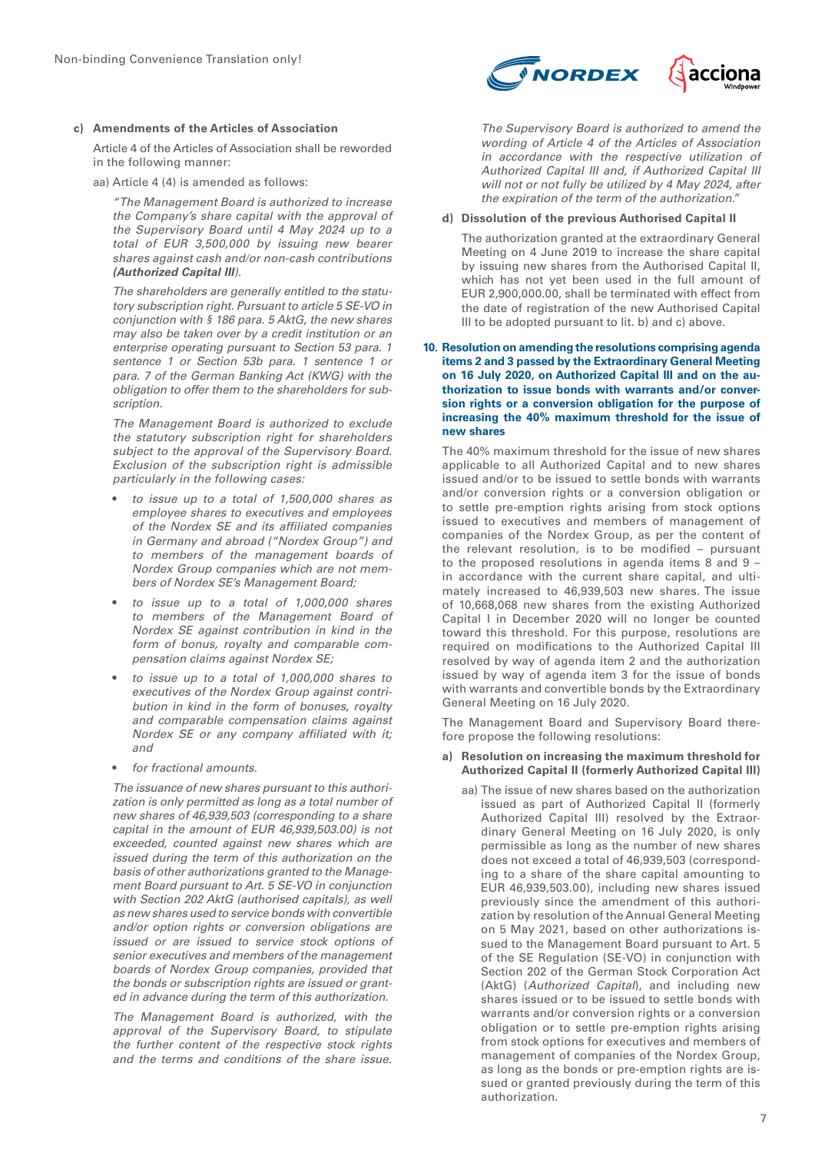#### **c) Amendments of the Articles of Association**

Article 4 of the Articles of Association shall be reworded in the following manner:

aa) Article 4 (4) is amended as follows:

*"The Management Board is authorized to increase the Company's share capital with the approval of the Supervisory Board until 4 May 2024 up to a total of EUR 3,500,000 by issuing new bearer shares against cash and/or non-cash contributions*  **(Authorized Capital III***).*

*The shareholders are generally entitled to the statutory subscription right. Pursuant to article 5 SE-VO in conjunction with § 186 para. 5 AktG, the new shares may also be taken over by a credit institution or an enterprise operating pursuant to Section 53 para. 1 sentence 1 or Section 53b para. 1 sentence 1 or para. 7 of the German Banking Act (KWG) with the obligation to offer them to the shareholders for subscription.*

*The Management Board is authorized to exclude the statutory subscription right for shareholders subject to the approval of the Supervisory Board. Exclusion of the subscription right is admissible particularly in the following cases:*

- *to issue up to a total of 1,500,000 shares as employee shares to executives and employees of the Nordex SE and its affiliated companies in Germany and abroad ("Nordex Group") and to members of the management boards of Nordex Group companies which are not members of Nordex SE's Management Board;*
- *to issue up to a total of 1,000,000 shares to members of the Management Board of Nordex SE against contribution in kind in the form of bonus, royalty and comparable compensation claims against Nordex SE;*
- *to issue up to a total of 1,000,000 shares to executives of the Nordex Group against contribution in kind in the form of bonuses, royalty and comparable compensation claims against Nordex SE or any company affiliated with it; and*
- *for fractional amounts.*

*The issuance of new shares pursuant to this authorization is only permitted as long as a total number of new shares of 46,939,503 (corresponding to a share capital in the amount of EUR 46,939,503.00) is not exceeded, counted against new shares which are issued during the term of this authorization on the basis of other authorizations granted to the Management Board pursuant to Art. 5 SE-VO in conjunction with Section 202 AktG (authorised capitals), as well as new shares used to service bonds with convertible and/or option rights or conversion obligations are issued or are issued to service stock options of senior executives and members of the management boards of Nordex Group companies, provided that the bonds or subscription rights are issued or granted in advance during the term of this authorization.*

*The Management Board is authorized, with the approval of the Supervisory Board, to stipulate the further content of the respective stock rights and the terms and conditions of the share issue.* 



*The Supervisory Board is authorized to amend the wording of Article 4 of the Articles of Association in accordance with the respective utilization of Authorized Capital III and, if Authorized Capital III will not or not fully be utilized by 4 May 2024, after the expiration of the term of the authorization."*

# **d) Dissolution of the previous Authorised Capital II**

The authorization granted at the extraordinary General Meeting on 4 June 2019 to increase the share capital by issuing new shares from the Authorised Capital II, which has not yet been used in the full amount of EUR 2,900,000.00, shall be terminated with effect from the date of registration of the new Authorised Capital III to be adopted pursuant to lit. b) and c) above.

#### **10. Resolution on amending the resolutions comprising agenda items 2 and 3 passed by the Extraordinary General Meeting on 16 July 2020, on Authorized Capital III and on the authorization to issue bonds with warrants and/or conversion rights or a conversion obligation for the purpose of increasing the 40% maximum threshold for the issue of new shares**

The 40% maximum threshold for the issue of new shares applicable to all Authorized Capital and to new shares issued and/or to be issued to settle bonds with warrants and/or conversion rights or a conversion obligation or to settle pre-emption rights arising from stock options issued to executives and members of management of companies of the Nordex Group, as per the content of the relevant resolution, is to be modified – pursuant to the proposed resolutions in agenda items 8 and  $9$ in accordance with the current share capital, and ultimately increased to 46,939,503 new shares. The issue of 10,668,068 new shares from the existing Authorized Capital I in December 2020 will no longer be counted toward this threshold. For this purpose, resolutions are required on modifications to the Authorized Capital III resolved by way of agenda item 2 and the authorization issued by way of agenda item 3 for the issue of bonds with warrants and convertible bonds by the Extraordinary General Meeting on 16 July 2020.

The Management Board and Supervisory Board therefore propose the following resolutions:

#### **a) Resolution on increasing the maximum threshold for Authorized Capital II (formerly Authorized Capital III)**

aa) The issue of new shares based on the authorization issued as part of Authorized Capital II (formerly Authorized Capital III) resolved by the Extraordinary General Meeting on 16 July 2020, is only permissible as long as the number of new shares does not exceed a total of 46,939,503 (corresponding to a share of the share capital amounting to EUR 46,939,503.00), including new shares issued previously since the amendment of this authorization by resolution of the Annual General Meeting on 5 May 2021, based on other authorizations issued to the Management Board pursuant to Art. 5 of the SE Regulation (SE-VO) in conjunction with Section 202 of the German Stock Corporation Act (AktG) (*Authorized Capital*), and including new shares issued or to be issued to settle bonds with warrants and/or conversion rights or a conversion obligation or to settle pre-emption rights arising from stock options for executives and members of management of companies of the Nordex Group, as long as the bonds or pre-emption rights are issued or granted previously during the term of this authorization.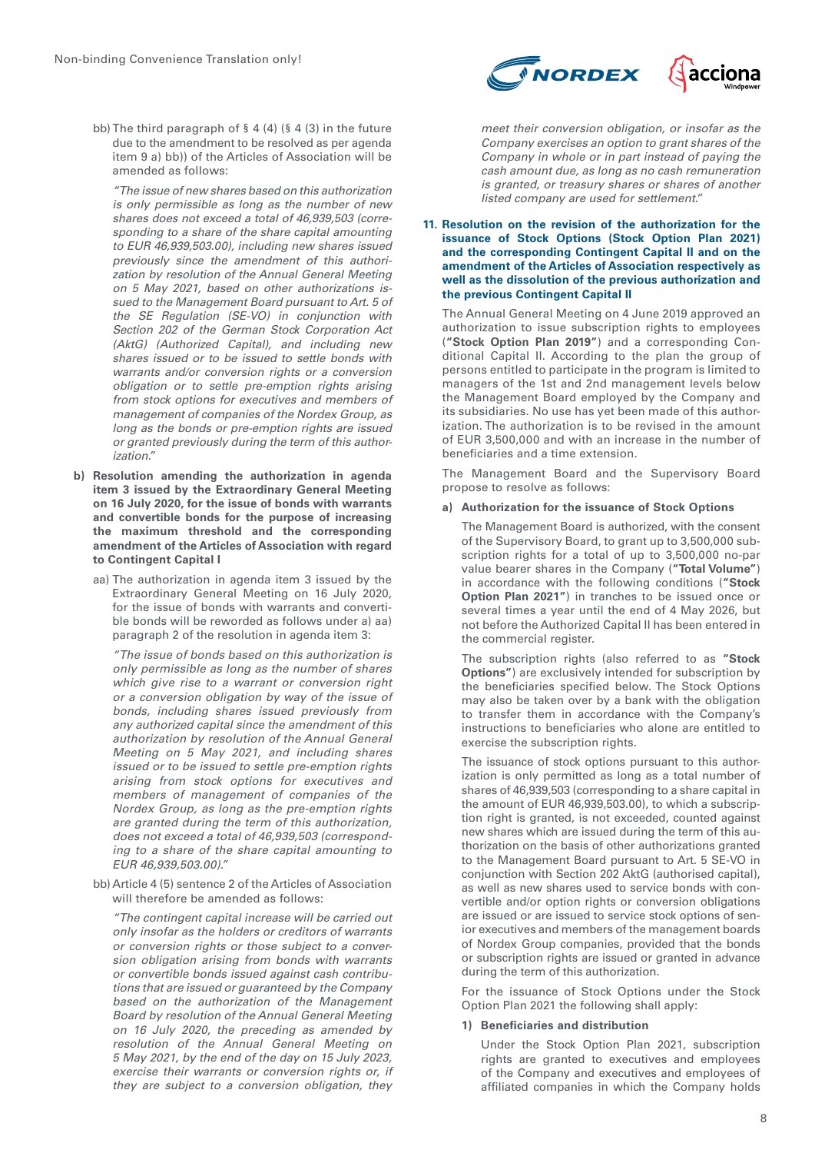bb) The third paragraph of § 4 (4) (§ 4 (3) in the future due to the amendment to be resolved as per agenda item 9 a) bb)) of the Articles of Association will be amended as follows:

*"The issue of new shares based on this authorization is only permissible as long as the number of new shares does not exceed a total of 46,939,503 (corresponding to a share of the share capital amounting to EUR 46,939,503.00), including new shares issued previously since the amendment of this authorization by resolution of the Annual General Meeting on 5 May 2021, based on other authorizations issued to the Management Board pursuant to Art. 5 of the SE Regulation (SE-VO) in conjunction with Section 202 of the German Stock Corporation Act (AktG) (Authorized Capital), and including new shares issued or to be issued to settle bonds with warrants and/or conversion rights or a conversion obligation or to settle pre-emption rights arising from stock options for executives and members of management of companies of the Nordex Group, as long as the bonds or pre-emption rights are issued or granted previously during the term of this authorization."*

- **b) Resolution amending the authorization in agenda item 3 issued by the Extraordinary General Meeting on 16 July 2020, for the issue of bonds with warrants and convertible bonds for the purpose of increasing the maximum threshold and the corresponding amendment of the Articles of Association with regard to Contingent Capital I**
	- aa) The authorization in agenda item 3 issued by the Extraordinary General Meeting on 16 July 2020, for the issue of bonds with warrants and convertible bonds will be reworded as follows under a) aa) paragraph 2 of the resolution in agenda item 3:

*"The issue of bonds based on this authorization is only permissible as long as the number of shares which give rise to a warrant or conversion right or a conversion obligation by way of the issue of bonds, including shares issued previously from any authorized capital since the amendment of this authorization by resolution of the Annual General Meeting on 5 May 2021, and including shares issued or to be issued to settle pre-emption rights arising from stock options for executives and members of management of companies of the Nordex Group, as long as the pre-emption rights are granted during the term of this authorization, does not exceed a total of 46,939,503 (corresponding to a share of the share capital amounting to EUR 46,939,503.00)."*

bb) Article 4 (5) sentence 2 of the Articles of Association will therefore be amended as follows:

*"The contingent capital increase will be carried out only insofar as the holders or creditors of warrants or conversion rights or those subject to a conversion obligation arising from bonds with warrants or convertible bonds issued against cash contributions that are issued or guaranteed by the Company based on the authorization of the Management Board by resolution of the Annual General Meeting on 16 July 2020, the preceding as amended by resolution of the Annual General Meeting on 5 May 2021, by the end of the day on 15 July 2023, exercise their warrants or conversion rights or, if they are subject to a conversion obligation, they* 



*meet their conversion obligation, or insofar as the Company exercises an option to grant shares of the Company in whole or in part instead of paying the cash amount due, as long as no cash remuneration is granted, or treasury shares or shares of another listed company are used for settlement."*

#### **11. Resolution on the revision of the authorization for the issuance of Stock Options (Stock Option Plan 2021) and the corresponding Contingent Capital II and on the amendment of the Articles of Association respectively as well as the dissolution of the previous authorization and the previous Contingent Capital II**

The Annual General Meeting on 4 June 2019 approved an authorization to issue subscription rights to employees (**"Stock Option Plan 2019"**) and a corresponding Conditional Capital II. According to the plan the group of persons entitled to participate in the program is limited to managers of the 1st and 2nd management levels below the Management Board employed by the Company and its subsidiaries. No use has yet been made of this authorization. The authorization is to be revised in the amount of EUR 3,500,000 and with an increase in the number of beneficiaries and a time extension.

The Management Board and the Supervisory Board propose to resolve as follows:

# **a) Authorization for the issuance of Stock Options**

The Management Board is authorized, with the consent of the Supervisory Board, to grant up to 3,500,000 subscription rights for a total of up to 3,500,000 no-par value bearer shares in the Company (**"Total Volume"**) in accordance with the following conditions (**"Stock Option Plan 2021"**) in tranches to be issued once or several times a year until the end of 4 May 2026, but not before the Authorized Capital II has been entered in the commercial register.

The subscription rights (also referred to as **"Stock Options"**) are exclusively intended for subscription by the beneficiaries specified below. The Stock Options may also be taken over by a bank with the obligation to transfer them in accordance with the Company's instructions to beneficiaries who alone are entitled to exercise the subscription rights.

The issuance of stock options pursuant to this authorization is only permitted as long as a total number of shares of 46,939,503 (corresponding to a share capital in the amount of EUR 46,939,503.00), to which a subscription right is granted, is not exceeded, counted against new shares which are issued during the term of this authorization on the basis of other authorizations granted to the Management Board pursuant to Art. 5 SE-VO in conjunction with Section 202 AktG (authorised capital), as well as new shares used to service bonds with convertible and/or option rights or conversion obligations are issued or are issued to service stock options of senior executives and members of the management boards of Nordex Group companies, provided that the bonds or subscription rights are issued or granted in advance during the term of this authorization.

For the issuance of Stock Options under the Stock Option Plan 2021 the following shall apply:

# **1) Beneficiaries and distribution**

Under the Stock Option Plan 2021, subscription rights are granted to executives and employees of the Company and executives and employees of affiliated companies in which the Company holds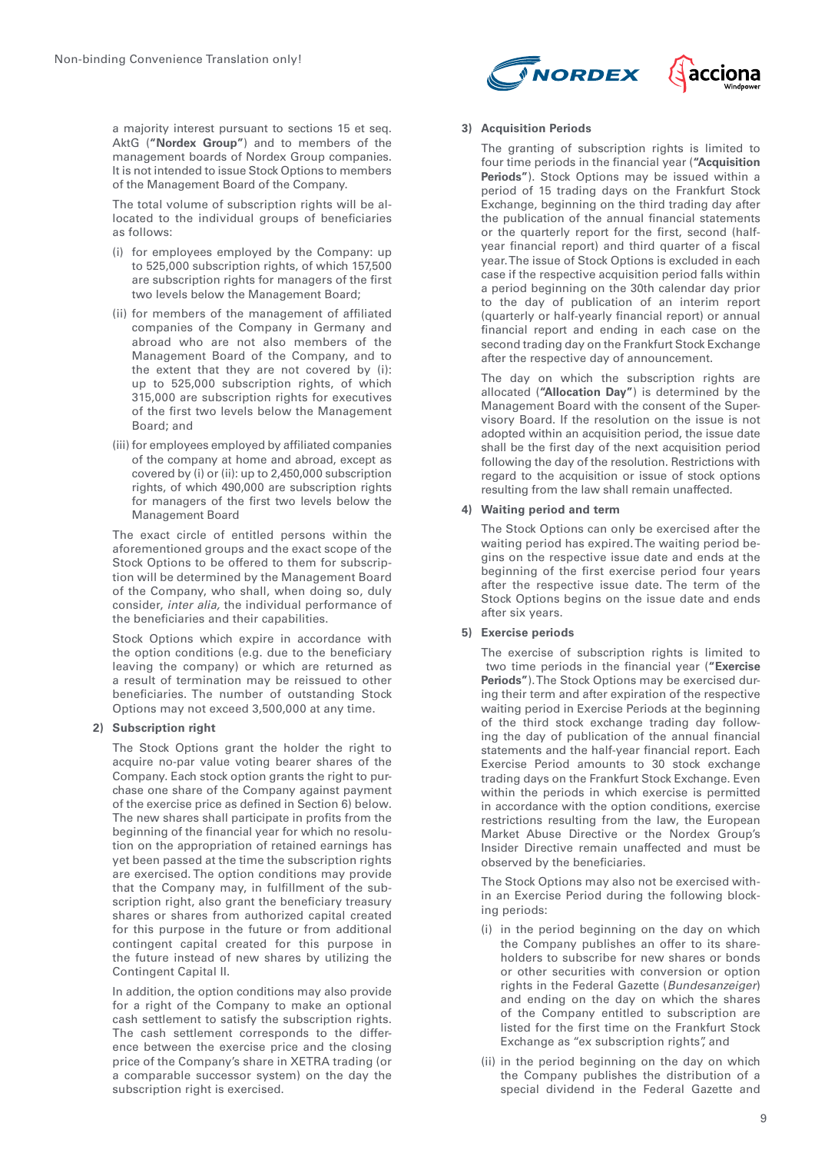**NORDEX** acciona

a majority interest pursuant to sections 15 et seq. AktG (**"Nordex Group"**) and to members of the management boards of Nordex Group companies. It is not intended to issue Stock Options to members of the Management Board of the Company.

The total volume of subscription rights will be allocated to the individual groups of beneficiaries as follows:

- (i) for employees employed by the Company: up to 525,000 subscription rights, of which 157,500 are subscription rights for managers of the first two levels below the Management Board;
- (ii) for members of the management of affiliated companies of the Company in Germany and abroad who are not also members of the Management Board of the Company, and to the extent that they are not covered by (i): up to 525,000 subscription rights, of which 315,000 are subscription rights for executives of the first two levels below the Management Board; and
- (iii) for employees employed by affiliated companies of the company at home and abroad, except as covered by (i) or (ii): up to 2,450,000 subscription rights, of which 490,000 are subscription rights for managers of the first two levels below the Management Board

The exact circle of entitled persons within the aforementioned groups and the exact scope of the Stock Options to be offered to them for subscription will be determined by the Management Board of the Company, who shall, when doing so, duly consider, *inter alia,* the individual performance of the beneficiaries and their capabilities.

Stock Options which expire in accordance with the option conditions (e.g. due to the beneficiary leaving the company) or which are returned as a result of termination may be reissued to other beneficiaries. The number of outstanding Stock Options may not exceed 3,500,000 at any time.

# **2) Subscription right**

The Stock Options grant the holder the right to acquire no-par value voting bearer shares of the Company. Each stock option grants the right to purchase one share of the Company against payment of the exercise price as defined in Section 6) below. The new shares shall participate in profits from the beginning of the financial year for which no resolution on the appropriation of retained earnings has yet been passed at the time the subscription rights are exercised. The option conditions may provide that the Company may, in fulfillment of the subscription right, also grant the beneficiary treasury shares or shares from authorized capital created for this purpose in the future or from additional contingent capital created for this purpose in the future instead of new shares by utilizing the Contingent Capital II.

In addition, the option conditions may also provide for a right of the Company to make an optional cash settlement to satisfy the subscription rights. The cash settlement corresponds to the difference between the exercise price and the closing price of the Company's share in XETRA trading (or a comparable successor system) on the day the subscription right is exercised.

# **3) Acquisition Periods**

The granting of subscription rights is limited to four time periods in the financial year (**"Acquisition Periods"**). Stock Options may be issued within a period of 15 trading days on the Frankfurt Stock Exchange, beginning on the third trading day after the publication of the annual financial statements or the quarterly report for the first, second (halfyear financial report) and third quarter of a fiscal year. The issue of Stock Options is excluded in each case if the respective acquisition period falls within a period beginning on the 30th calendar day prior to the day of publication of an interim report (quarterly or half-yearly financial report) or annual financial report and ending in each case on the second trading day on the Frankfurt Stock Exchange after the respective day of announcement.

The day on which the subscription rights are allocated (**"Allocation Day"**) is determined by the Management Board with the consent of the Supervisory Board. If the resolution on the issue is not adopted within an acquisition period, the issue date shall be the first day of the next acquisition period following the day of the resolution. Restrictions with regard to the acquisition or issue of stock options resulting from the law shall remain unaffected.

# **4) Waiting period and term**

The Stock Options can only be exercised after the waiting period has expired. The waiting period begins on the respective issue date and ends at the beginning of the first exercise period four years after the respective issue date. The term of the Stock Options begins on the issue date and ends after six years.

# **5) Exercise periods**

The exercise of subscription rights is limited to two time periods in the financial year (**"Exercise Periods"**). The Stock Options may be exercised during their term and after expiration of the respective waiting period in Exercise Periods at the beginning of the third stock exchange trading day following the day of publication of the annual financial statements and the half-year financial report. Each Exercise Period amounts to 30 stock exchange trading days on the Frankfurt Stock Exchange. Even within the periods in which exercise is permitted in accordance with the option conditions, exercise restrictions resulting from the law, the European Market Abuse Directive or the Nordex Group's Insider Directive remain unaffected and must be observed by the beneficiaries.

The Stock Options may also not be exercised within an Exercise Period during the following blocking periods:

- (i) in the period beginning on the day on which the Company publishes an offer to its shareholders to subscribe for new shares or bonds or other securities with conversion or option rights in the Federal Gazette (*Bundesanzeiger*) and ending on the day on which the shares of the Company entitled to subscription are listed for the first time on the Frankfurt Stock Exchange as "ex subscription rights", and
- (ii) in the period beginning on the day on which the Company publishes the distribution of a special dividend in the Federal Gazette and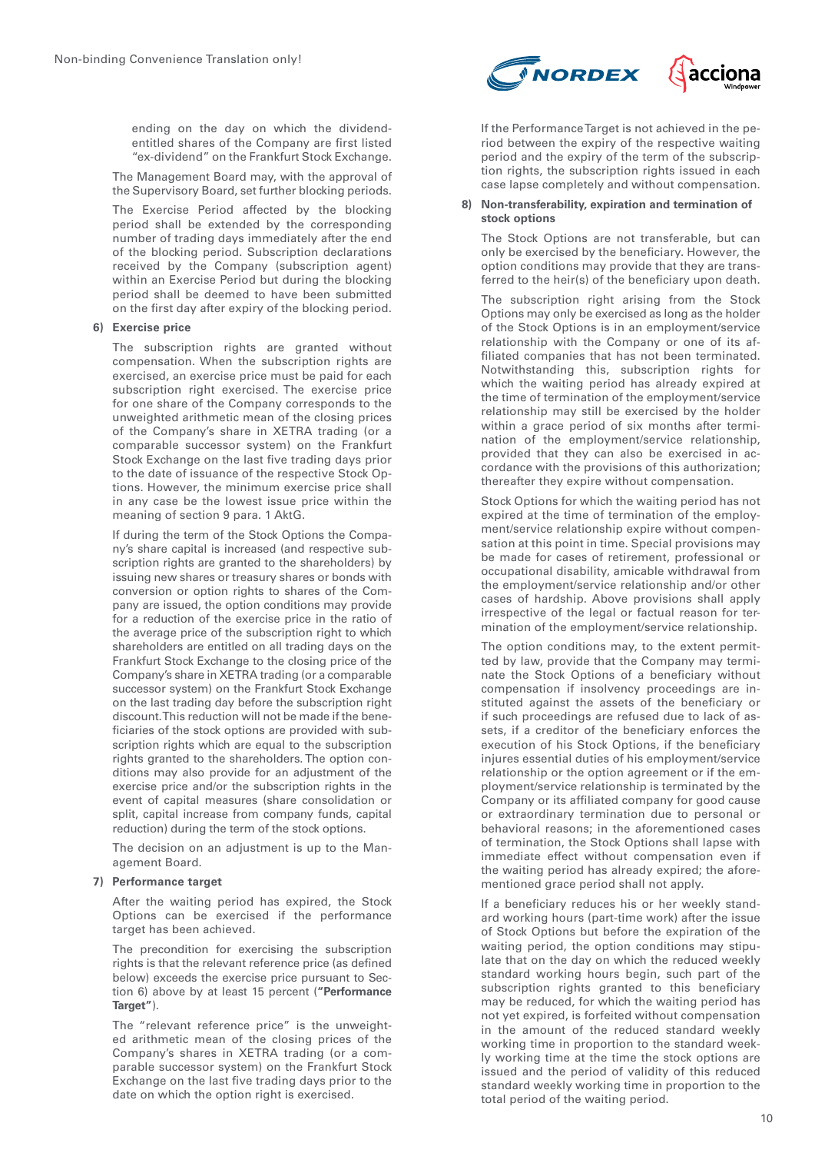ending on the day on which the dividendentitled shares of the Company are first listed "ex-dividend" on the Frankfurt Stock Exchange.

The Management Board may, with the approval of the Supervisory Board, set further blocking periods.

The Exercise Period affected by the blocking period shall be extended by the corresponding number of trading days immediately after the end of the blocking period. Subscription declarations received by the Company (subscription agent) within an Exercise Period but during the blocking period shall be deemed to have been submitted on the first day after expiry of the blocking period.

# **6) Exercise price**

The subscription rights are granted without compensation. When the subscription rights are exercised, an exercise price must be paid for each subscription right exercised. The exercise price for one share of the Company corresponds to the unweighted arithmetic mean of the closing prices of the Company's share in XETRA trading (or a comparable successor system) on the Frankfurt Stock Exchange on the last five trading days prior to the date of issuance of the respective Stock Options. However, the minimum exercise price shall in any case be the lowest issue price within the meaning of section 9 para. 1 AktG.

If during the term of the Stock Options the Company's share capital is increased (and respective subscription rights are granted to the shareholders) by issuing new shares or treasury shares or bonds with conversion or option rights to shares of the Company are issued, the option conditions may provide for a reduction of the exercise price in the ratio of the average price of the subscription right to which shareholders are entitled on all trading days on the Frankfurt Stock Exchange to the closing price of the Company's share in XETRA trading (or a comparable successor system) on the Frankfurt Stock Exchange on the last trading day before the subscription right discount. This reduction will not be made if the beneficiaries of the stock options are provided with subscription rights which are equal to the subscription rights granted to the shareholders. The option conditions may also provide for an adjustment of the exercise price and/or the subscription rights in the event of capital measures (share consolidation or split, capital increase from company funds, capital reduction) during the term of the stock options.

The decision on an adjustment is up to the Management Board.

#### **7) Performance target**

After the waiting period has expired, the Stock Options can be exercised if the performance target has been achieved.

The precondition for exercising the subscription rights is that the relevant reference price (as defined below) exceeds the exercise price pursuant to Section 6) above by at least 15 percent (**"Performance Target"**).

The "relevant reference price" is the unweighted arithmetic mean of the closing prices of the Company's shares in XETRA trading (or a comparable successor system) on the Frankfurt Stock Exchange on the last five trading days prior to the date on which the option right is exercised.



If the Performance Target is not achieved in the period between the expiry of the respective waiting period and the expiry of the term of the subscription rights, the subscription rights issued in each case lapse completely and without compensation.

#### **8) Non-transferability, expiration and termination of stock options**

The Stock Options are not transferable, but can only be exercised by the beneficiary. However, the option conditions may provide that they are transferred to the heir(s) of the beneficiary upon death.

The subscription right arising from the Stock Options may only be exercised as long as the holder of the Stock Options is in an employment/service relationship with the Company or one of its affiliated companies that has not been terminated. Notwithstanding this, subscription rights for which the waiting period has already expired at the time of termination of the employment/service relationship may still be exercised by the holder within a grace period of six months after termination of the employment/service relationship, provided that they can also be exercised in accordance with the provisions of this authorization; thereafter they expire without compensation.

Stock Options for which the waiting period has not expired at the time of termination of the employment/service relationship expire without compensation at this point in time. Special provisions may be made for cases of retirement, professional or occupational disability, amicable withdrawal from the employment/service relationship and/or other cases of hardship. Above provisions shall apply irrespective of the legal or factual reason for termination of the employment/service relationship.

The option conditions may, to the extent permitted by law, provide that the Company may terminate the Stock Options of a beneficiary without compensation if insolvency proceedings are instituted against the assets of the beneficiary or if such proceedings are refused due to lack of assets, if a creditor of the beneficiary enforces the execution of his Stock Options, if the beneficiary injures essential duties of his employment/service relationship or the option agreement or if the employment/service relationship is terminated by the Company or its affiliated company for good cause or extraordinary termination due to personal or behavioral reasons; in the aforementioned cases of termination, the Stock Options shall lapse with immediate effect without compensation even if the waiting period has already expired; the aforementioned grace period shall not apply.

If a beneficiary reduces his or her weekly standard working hours (part-time work) after the issue of Stock Options but before the expiration of the waiting period, the option conditions may stipulate that on the day on which the reduced weekly standard working hours begin, such part of the subscription rights granted to this beneficiary may be reduced, for which the waiting period has not yet expired, is forfeited without compensation in the amount of the reduced standard weekly working time in proportion to the standard weekly working time at the time the stock options are issued and the period of validity of this reduced standard weekly working time in proportion to the total period of the waiting period.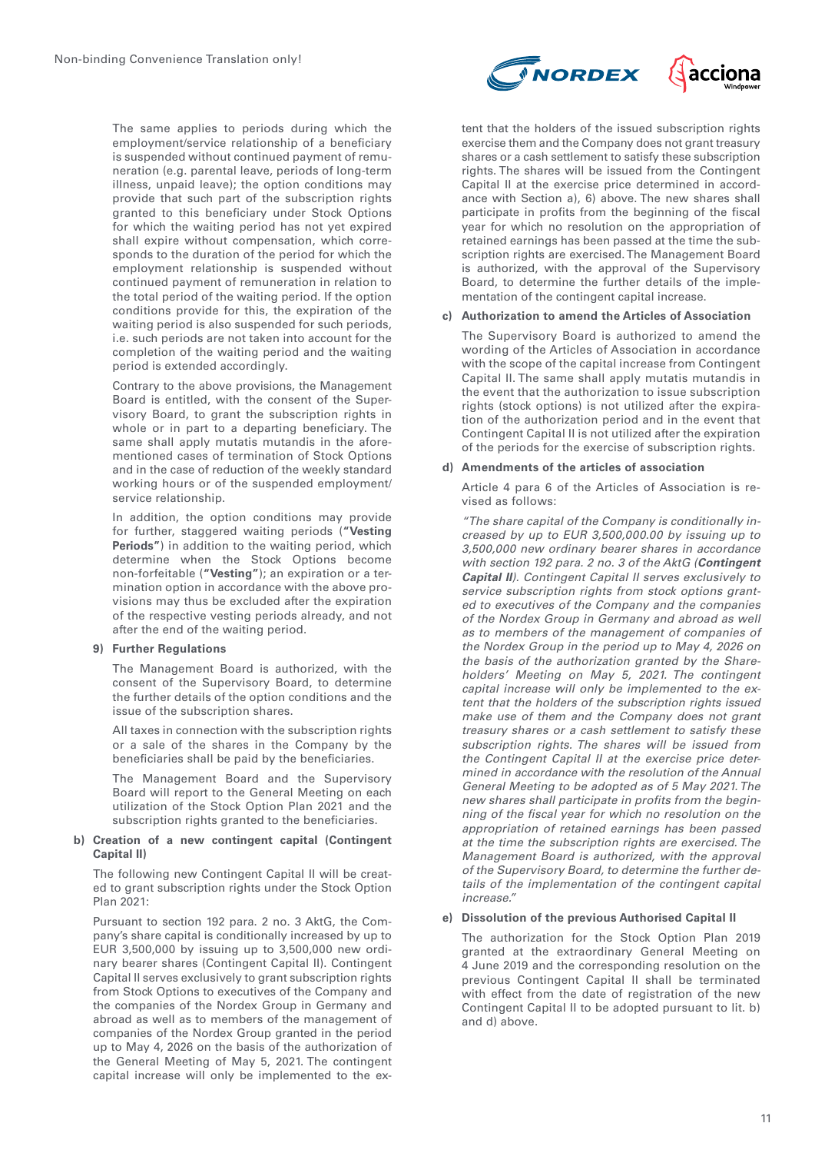The same applies to periods during which the employment/service relationship of a beneficiary is suspended without continued payment of remuneration (e.g. parental leave, periods of long-term illness, unpaid leave); the option conditions may provide that such part of the subscription rights granted to this beneficiary under Stock Options for which the waiting period has not yet expired shall expire without compensation, which corresponds to the duration of the period for which the employment relationship is suspended without continued payment of remuneration in relation to the total period of the waiting period. If the option conditions provide for this, the expiration of the waiting period is also suspended for such periods, i.e. such periods are not taken into account for the completion of the waiting period and the waiting period is extended accordingly.

Contrary to the above provisions, the Management Board is entitled, with the consent of the Supervisory Board, to grant the subscription rights in whole or in part to a departing beneficiary. The same shall apply mutatis mutandis in the aforementioned cases of termination of Stock Options and in the case of reduction of the weekly standard working hours or of the suspended employment/ service relationship.

In addition, the option conditions may provide for further, staggered waiting periods (**"Vesting Periods"**) in addition to the waiting period, which determine when the Stock Options become non-forfeitable (**"Vesting"**); an expiration or a termination option in accordance with the above provisions may thus be excluded after the expiration of the respective vesting periods already, and not after the end of the waiting period.

# **9) Further Regulations**

The Management Board is authorized, with the consent of the Supervisory Board, to determine the further details of the option conditions and the issue of the subscription shares.

All taxes in connection with the subscription rights or a sale of the shares in the Company by the beneficiaries shall be paid by the beneficiaries.

The Management Board and the Supervisory Board will report to the General Meeting on each utilization of the Stock Option Plan 2021 and the subscription rights granted to the beneficiaries.

# **b) Creation of a new contingent capital (Contingent Capital II)**

The following new Contingent Capital II will be created to grant subscription rights under the Stock Option Plan 2021:

Pursuant to section 192 para. 2 no. 3 AktG, the Company's share capital is conditionally increased by up to EUR 3,500,000 by issuing up to 3,500,000 new ordinary bearer shares (Contingent Capital II). Contingent Capital II serves exclusively to grant subscription rights from Stock Options to executives of the Company and the companies of the Nordex Group in Germany and abroad as well as to members of the management of companies of the Nordex Group granted in the period up to May 4, 2026 on the basis of the authorization of the General Meeting of May 5, 2021. The contingent capital increase will only be implemented to the ex-



tent that the holders of the issued subscription rights exercise them and the Company does not grant treasury shares or a cash settlement to satisfy these subscription rights. The shares will be issued from the Contingent Capital II at the exercise price determined in accordance with Section a), 6) above. The new shares shall participate in profits from the beginning of the fiscal year for which no resolution on the appropriation of retained earnings has been passed at the time the subscription rights are exercised. The Management Board is authorized, with the approval of the Supervisory Board, to determine the further details of the implementation of the contingent capital increase.

# **c) Authorization to amend the Articles of Association**

The Supervisory Board is authorized to amend the wording of the Articles of Association in accordance with the scope of the capital increase from Contingent Capital II. The same shall apply mutatis mutandis in the event that the authorization to issue subscription rights (stock options) is not utilized after the expiration of the authorization period and in the event that Contingent Capital II is not utilized after the expiration of the periods for the exercise of subscription rights.

# **d) Amendments of the articles of association**

Article 4 para 6 of the Articles of Association is revised as follows:

*"The share capital of the Company is conditionally increased by up to EUR 3,500,000.00 by issuing up to 3,500,000 new ordinary bearer shares in accordance with section 192 para. 2 no. 3 of the AktG (***Contingent Capital II***). Contingent Capital II serves exclusively to service subscription rights from stock options granted to executives of the Company and the companies of the Nordex Group in Germany and abroad as well as to members of the management of companies of the Nordex Group in the period up to May 4, 2026 on the basis of the authorization granted by the Shareholders' Meeting on May 5, 2021. The contingent capital increase will only be implemented to the extent that the holders of the subscription rights issued make use of them and the Company does not grant treasury shares or a cash settlement to satisfy these subscription rights. The shares will be issued from the Contingent Capital II at the exercise price determined in accordance with the resolution of the Annual General Meeting to be adopted as of 5 May 2021. The new shares shall participate in profits from the beginning of the fiscal year for which no resolution on the appropriation of retained earnings has been passed at the time the subscription rights are exercised. The Management Board is authorized, with the approval of the Supervisory Board, to determine the further details of the implementation of the contingent capital increase."*

# **e) Dissolution of the previous Authorised Capital II**

The authorization for the Stock Option Plan 2019 granted at the extraordinary General Meeting on 4 June 2019 and the corresponding resolution on the previous Contingent Capital II shall be terminated with effect from the date of registration of the new Contingent Capital II to be adopted pursuant to lit. b) and d) above.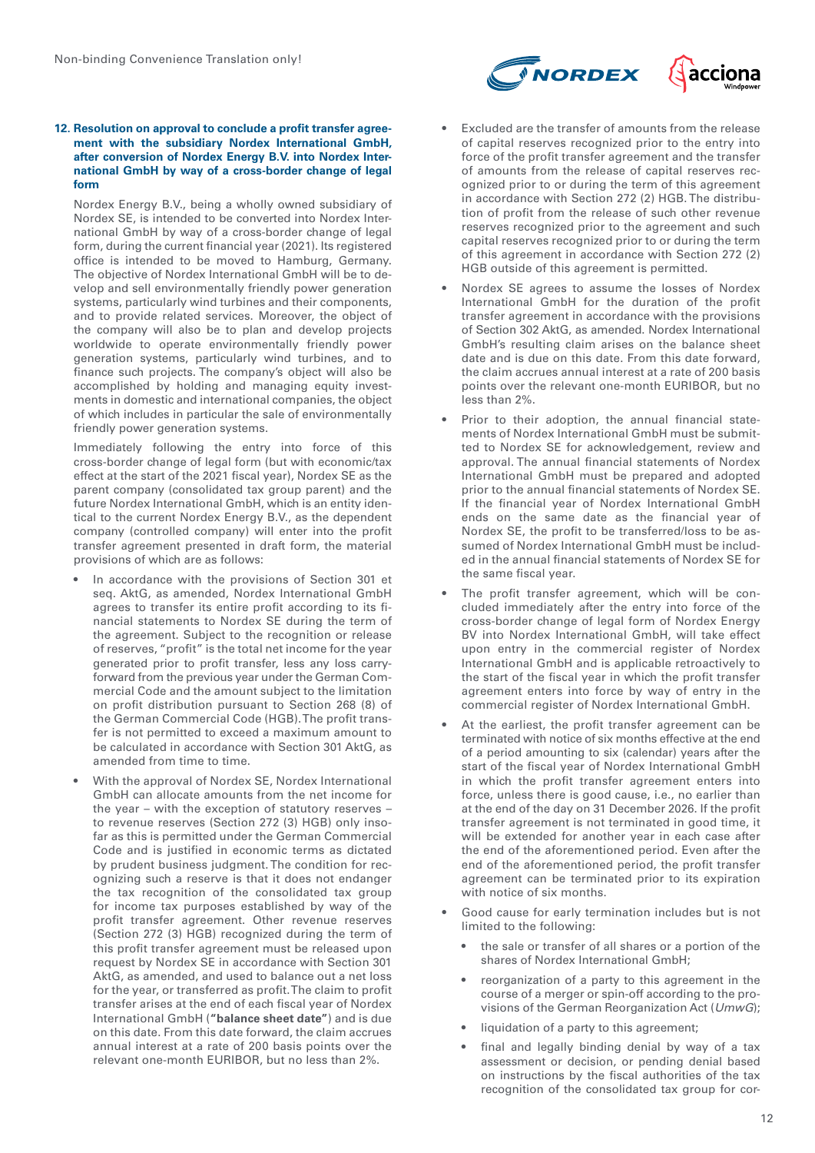



### **12. Resolution on approval to conclude a profit transfer agreement with the subsidiary Nordex International GmbH, after conversion of Nordex Energy B.V. into Nordex International GmbH by way of a cross-border change of legal form**

Nordex Energy B.V., being a wholly owned subsidiary of Nordex SE, is intended to be converted into Nordex International GmbH by way of a cross-border change of legal form, during the current financial year (2021). Its registered office is intended to be moved to Hamburg, Germany. The objective of Nordex International GmbH will be to develop and sell environmentally friendly power generation systems, particularly wind turbines and their components, and to provide related services. Moreover, the object of the company will also be to plan and develop projects worldwide to operate environmentally friendly power generation systems, particularly wind turbines, and to finance such projects. The company's object will also be accomplished by holding and managing equity investments in domestic and international companies, the object of which includes in particular the sale of environmentally friendly power generation systems.

Immediately following the entry into force of this cross-border change of legal form (but with economic/tax effect at the start of the 2021 fiscal year), Nordex SE as the parent company (consolidated tax group parent) and the future Nordex International GmbH, which is an entity identical to the current Nordex Energy B.V., as the dependent company (controlled company) will enter into the profit transfer agreement presented in draft form, the material provisions of which are as follows:

- In accordance with the provisions of Section 301 et seq. AktG, as amended, Nordex International GmbH agrees to transfer its entire profit according to its financial statements to Nordex SE during the term of the agreement. Subject to the recognition or release of reserves, "profit" is the total net income for the year generated prior to profit transfer, less any loss carryforward from the previous year under the German Commercial Code and the amount subject to the limitation on profit distribution pursuant to Section 268 (8) of the German Commercial Code (HGB). The profit transfer is not permitted to exceed a maximum amount to be calculated in accordance with Section 301 AktG, as amended from time to time.
- With the approval of Nordex SE, Nordex International GmbH can allocate amounts from the net income for the year – with the exception of statutory reserves – to revenue reserves (Section 272 (3) HGB) only insofar as this is permitted under the German Commercial Code and is justified in economic terms as dictated by prudent business judgment. The condition for recognizing such a reserve is that it does not endanger the tax recognition of the consolidated tax group for income tax purposes established by way of the profit transfer agreement. Other revenue reserves (Section 272 (3) HGB) recognized during the term of this profit transfer agreement must be released upon request by Nordex SE in accordance with Section 301 AktG, as amended, and used to balance out a net loss for the year, or transferred as profit. The claim to profit transfer arises at the end of each fiscal year of Nordex International GmbH (**"balance sheet date"**) and is due on this date. From this date forward, the claim accrues annual interest at a rate of 200 basis points over the relevant one-month EURIBOR, but no less than 2%.
- Excluded are the transfer of amounts from the release of capital reserves recognized prior to the entry into force of the profit transfer agreement and the transfer of amounts from the release of capital reserves recognized prior to or during the term of this agreement in accordance with Section 272 (2) HGB. The distribution of profit from the release of such other revenue reserves recognized prior to the agreement and such capital reserves recognized prior to or during the term of this agreement in accordance with Section 272 (2) HGB outside of this agreement is permitted.
- Nordex SE agrees to assume the losses of Nordex International GmbH for the duration of the profit transfer agreement in accordance with the provisions of Section 302 AktG, as amended. Nordex International GmbH's resulting claim arises on the balance sheet date and is due on this date. From this date forward, the claim accrues annual interest at a rate of 200 basis points over the relevant one-month EURIBOR, but no less than 2%.
- Prior to their adoption, the annual financial statements of Nordex International GmbH must be submitted to Nordex SE for acknowledgement, review and approval. The annual financial statements of Nordex International GmbH must be prepared and adopted prior to the annual financial statements of Nordex SE. If the financial year of Nordex International GmbH ends on the same date as the financial year of Nordex SE, the profit to be transferred/loss to be assumed of Nordex International GmbH must be included in the annual financial statements of Nordex SE for the same fiscal year.
- The profit transfer agreement, which will be concluded immediately after the entry into force of the cross-border change of legal form of Nordex Energy BV into Nordex International GmbH, will take effect upon entry in the commercial register of Nordex International GmbH and is applicable retroactively to the start of the fiscal year in which the profit transfer agreement enters into force by way of entry in the commercial register of Nordex International GmbH.
- At the earliest, the profit transfer agreement can be terminated with notice of six months effective at the end of a period amounting to six (calendar) years after the start of the fiscal year of Nordex International GmbH in which the profit transfer agreement enters into force, unless there is good cause, i.e., no earlier than at the end of the day on 31 December 2026. If the profit transfer agreement is not terminated in good time, it will be extended for another year in each case after the end of the aforementioned period. Even after the end of the aforementioned period, the profit transfer agreement can be terminated prior to its expiration with notice of six months.
- Good cause for early termination includes but is not limited to the following:
	- the sale or transfer of all shares or a portion of the shares of Nordex International GmbH;
	- reorganization of a party to this agreement in the course of a merger or spin-off according to the provisions of the German Reorganization Act (*UmwG*);
	- liquidation of a party to this agreement;
	- final and legally binding denial by way of a tax assessment or decision, or pending denial based on instructions by the fiscal authorities of the tax recognition of the consolidated tax group for cor-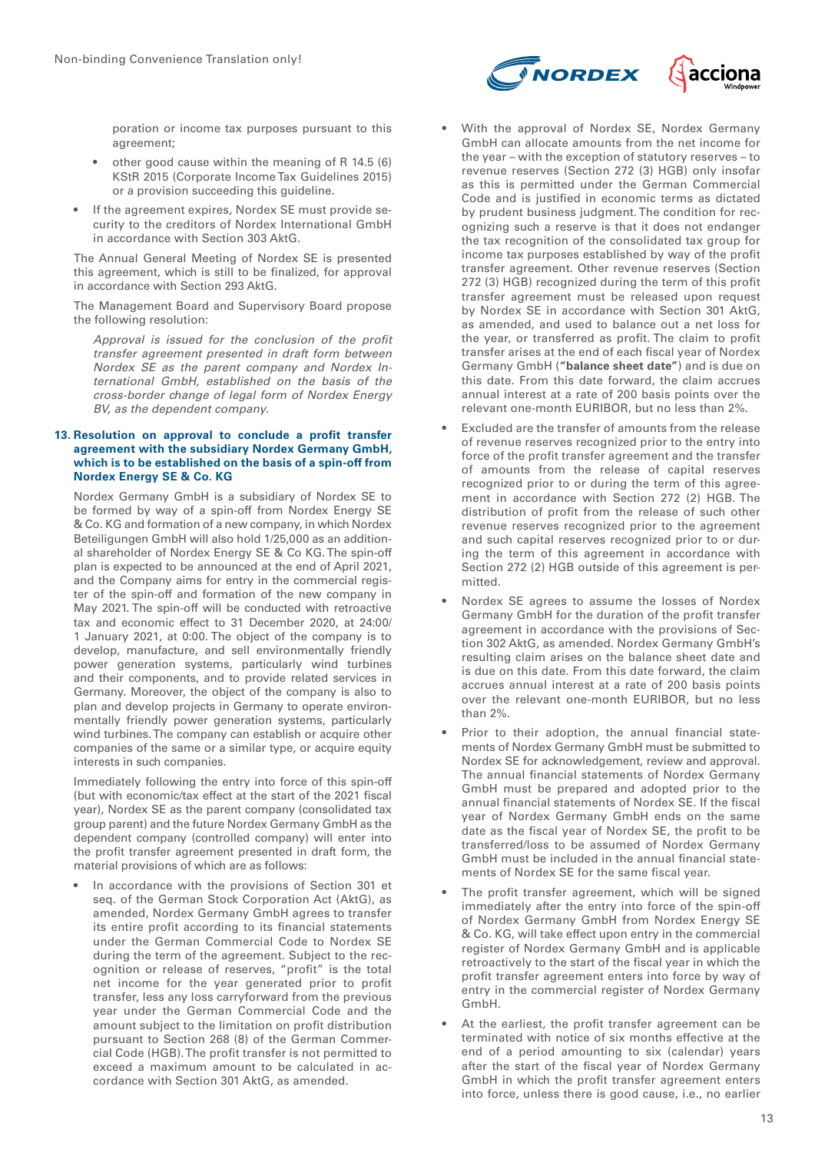poration or income tax purposes pursuant to this agreement;

- other good cause within the meaning of R 14.5 (6) KStR 2015 (Corporate Income Tax Guidelines 2015) or a provision succeeding this guideline.
- If the agreement expires, Nordex SE must provide security to the creditors of Nordex International GmbH in accordance with Section 303 AktG.

The Annual General Meeting of Nordex SE is presented this agreement, which is still to be finalized, for approval in accordance with Section 293 AktG.

The Management Board and Supervisory Board propose the following resolution:

*Approval is issued for the conclusion of the profit transfer agreement presented in draft form between Nordex SE as the parent company and Nordex International GmbH, established on the basis of the cross-border change of legal form of Nordex Energy BV, as the dependent company.*

# **13. Resolution on approval to conclude a profit transfer agreement with the subsidiary Nordex Germany GmbH, which is to be established on the basis of a spin-off from Nordex Energy SE & Co. KG**

Nordex Germany GmbH is a subsidiary of Nordex SE to be formed by way of a spin-off from Nordex Energy SE & Co. KG and formation of a new company, in which Nordex Beteiligungen GmbH will also hold 1/25,000 as an additional shareholder of Nordex Energy SE & Co KG. The spin-off plan is expected to be announced at the end of April 2021, and the Company aims for entry in the commercial register of the spin-off and formation of the new company in May 2021. The spin-off will be conducted with retroactive tax and economic effect to 31 December 2020, at 24:00/ 1 January 2021, at 0:00. The object of the company is to develop, manufacture, and sell environmentally friendly power generation systems, particularly wind turbines and their components, and to provide related services in Germany. Moreover, the object of the company is also to plan and develop projects in Germany to operate environmentally friendly power generation systems, particularly wind turbines. The company can establish or acquire other companies of the same or a similar type, or acquire equity interests in such companies.

Immediately following the entry into force of this spin-off (but with economic/tax effect at the start of the 2021 fiscal year), Nordex SE as the parent company (consolidated tax group parent) and the future Nordex Germany GmbH as the dependent company (controlled company) will enter into the profit transfer agreement presented in draft form, the material provisions of which are as follows:

• In accordance with the provisions of Section 301 et seq. of the German Stock Corporation Act (AktG), as amended, Nordex Germany GmbH agrees to transfer its entire profit according to its financial statements under the German Commercial Code to Nordex SE during the term of the agreement. Subject to the recognition or release of reserves, "profit" is the total net income for the year generated prior to profit transfer, less any loss carryforward from the previous year under the German Commercial Code and the amount subject to the limitation on profit distribution pursuant to Section 268 (8) of the German Commercial Code (HGB). The profit transfer is not permitted to exceed a maximum amount to be calculated in accordance with Section 301 AktG, as amended.



- With the approval of Nordex SE, Nordex Germany GmbH can allocate amounts from the net income for the year – with the exception of statutory reserves – to revenue reserves (Section 272 (3) HGB) only insofar as this is permitted under the German Commercial Code and is justified in economic terms as dictated by prudent business judgment. The condition for recognizing such a reserve is that it does not endanger the tax recognition of the consolidated tax group for income tax purposes established by way of the profit transfer agreement. Other revenue reserves (Section 272 (3) HGB) recognized during the term of this profit transfer agreement must be released upon request by Nordex SE in accordance with Section 301 AktG, as amended, and used to balance out a net loss for the year, or transferred as profit. The claim to profit transfer arises at the end of each fiscal year of Nordex Germany GmbH (**"balance sheet date"**) and is due on this date. From this date forward, the claim accrues annual interest at a rate of 200 basis points over the relevant one-month EURIBOR, but no less than 2%.
- Excluded are the transfer of amounts from the release of revenue reserves recognized prior to the entry into force of the profit transfer agreement and the transfer of amounts from the release of capital reserves recognized prior to or during the term of this agreement in accordance with Section 272 (2) HGB. The distribution of profit from the release of such other revenue reserves recognized prior to the agreement and such capital reserves recognized prior to or during the term of this agreement in accordance with Section 272 (2) HGB outside of this agreement is permitted.
- Nordex SE agrees to assume the losses of Nordex Germany GmbH for the duration of the profit transfer agreement in accordance with the provisions of Section 302 AktG, as amended. Nordex Germany GmbH's resulting claim arises on the balance sheet date and is due on this date. From this date forward, the claim accrues annual interest at a rate of 200 basis points over the relevant one-month EURIBOR, but no less than 2%.
- Prior to their adoption, the annual financial statements of Nordex Germany GmbH must be submitted to Nordex SE for acknowledgement, review and approval. The annual financial statements of Nordex Germany GmbH must be prepared and adopted prior to the annual financial statements of Nordex SE. If the fiscal year of Nordex Germany GmbH ends on the same date as the fiscal year of Nordex SE, the profit to be transferred/loss to be assumed of Nordex Germany GmbH must be included in the annual financial statements of Nordex SE for the same fiscal year.
- The profit transfer agreement, which will be signed immediately after the entry into force of the spin-off of Nordex Germany GmbH from Nordex Energy SE & Co. KG, will take effect upon entry in the commercial register of Nordex Germany GmbH and is applicable retroactively to the start of the fiscal year in which the profit transfer agreement enters into force by way of entry in the commercial register of Nordex Germany GmbH.
- At the earliest, the profit transfer agreement can be terminated with notice of six months effective at the end of a period amounting to six (calendar) years after the start of the fiscal year of Nordex Germany GmbH in which the profit transfer agreement enters into force, unless there is good cause, i.e., no earlier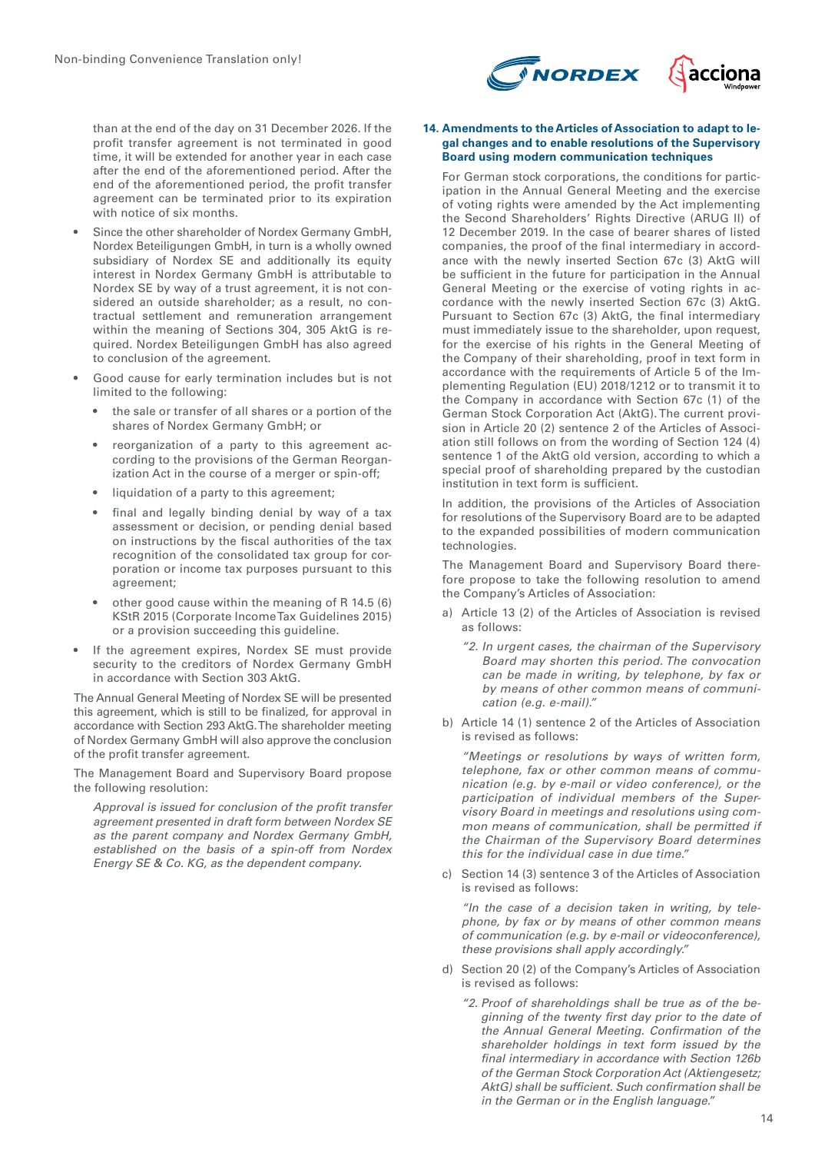

than at the end of the day on 31 December 2026. If the profit transfer agreement is not terminated in good time, it will be extended for another year in each case after the end of the aforementioned period. After the end of the aforementioned period, the profit transfer agreement can be terminated prior to its expiration with notice of six months.

- Since the other shareholder of Nordex Germany GmbH, Nordex Beteiligungen GmbH, in turn is a wholly owned subsidiary of Nordex SE and additionally its equity interest in Nordex Germany GmbH is attributable to Nordex SE by way of a trust agreement, it is not considered an outside shareholder; as a result, no contractual settlement and remuneration arrangement within the meaning of Sections 304, 305 AktG is required. Nordex Beteiligungen GmbH has also agreed to conclusion of the agreement.
- Good cause for early termination includes but is not limited to the following:
	- the sale or transfer of all shares or a portion of the shares of Nordex Germany GmbH; or
	- reorganization of a party to this agreement according to the provisions of the German Reorganization Act in the course of a merger or spin-off;
	- liquidation of a party to this agreement:
	- final and legally binding denial by way of a tax assessment or decision, or pending denial based on instructions by the fiscal authorities of the tax recognition of the consolidated tax group for corporation or income tax purposes pursuant to this agreement;
	- other good cause within the meaning of R 14.5 (6) KStR 2015 (Corporate Income Tax Guidelines 2015) or a provision succeeding this guideline.
- If the agreement expires, Nordex SE must provide security to the creditors of Nordex Germany GmbH in accordance with Section 303 AktG.

The Annual General Meeting of Nordex SE will be presented this agreement, which is still to be finalized, for approval in accordance with Section 293 AktG. The shareholder meeting of Nordex Germany GmbH will also approve the conclusion of the profit transfer agreement.

The Management Board and Supervisory Board propose the following resolution:

*Approval is issued for conclusion of the profit transfer agreement presented in draft form between Nordex SE as the parent company and Nordex Germany GmbH, established on the basis of a spin-off from Nordex Energy SE & Co. KG, as the dependent company.*

#### **14. Amendments to the Articles of Association to adapt to legal changes and to enable resolutions of the Supervisory Board using modern communication techniques**

For German stock corporations, the conditions for participation in the Annual General Meeting and the exercise of voting rights were amended by the Act implementing the Second Shareholders' Rights Directive (ARUG II) of 12 December 2019. In the case of bearer shares of listed companies, the proof of the final intermediary in accordance with the newly inserted Section 67c (3) AktG will be sufficient in the future for participation in the Annual General Meeting or the exercise of voting rights in accordance with the newly inserted Section 67c (3) AktG. Pursuant to Section 67c (3) AktG, the final intermediary must immediately issue to the shareholder, upon request, for the exercise of his rights in the General Meeting of the Company of their shareholding, proof in text form in accordance with the requirements of Article 5 of the Implementing Regulation (EU) 2018/1212 or to transmit it to the Company in accordance with Section 67c (1) of the German Stock Corporation Act (AktG). The current provision in Article 20 (2) sentence 2 of the Articles of Association still follows on from the wording of Section 124 (4) sentence 1 of the AktG old version, according to which a special proof of shareholding prepared by the custodian institution in text form is sufficient.

In addition, the provisions of the Articles of Association for resolutions of the Supervisory Board are to be adapted to the expanded possibilities of modern communication technologies.

The Management Board and Supervisory Board therefore propose to take the following resolution to amend the Company's Articles of Association:

- a) Article 13 (2) of the Articles of Association is revised as follows:
	- *"2. In urgent cases, the chairman of the Supervisory Board may shorten this period. The convocation can be made in writing, by telephone, by fax or by means of other common means of communication (e.g. e-mail)."*
- b) Article 14 (1) sentence 2 of the Articles of Association is revised as follows:

*"Meetings or resolutions by ways of written form, telephone, fax or other common means of communication (e.g. by e-mail or video conference), or the participation of individual members of the Supervisory Board in meetings and resolutions using common means of communication, shall be permitted if the Chairman of the Supervisory Board determines this for the individual case in due time."*

c) Section 14 (3) sentence 3 of the Articles of Association is revised as follows:

*"In the case of a decision taken in writing, by telephone, by fax or by means of other common means of communication (e.g. by e-mail or videoconference), these provisions shall apply accordingly."*

- d) Section 20 (2) of the Company's Articles of Association is revised as follows:
	- *"2. Proof of shareholdings shall be true as of the beginning of the twenty first day prior to the date of the Annual General Meeting. Confirmation of the shareholder holdings in text form issued by the final intermediary in accordance with Section 126b of the German Stock Corporation Act (Aktiengesetz; AktG) shall be sufficient. Such confirmation shall be in the German or in the English language."*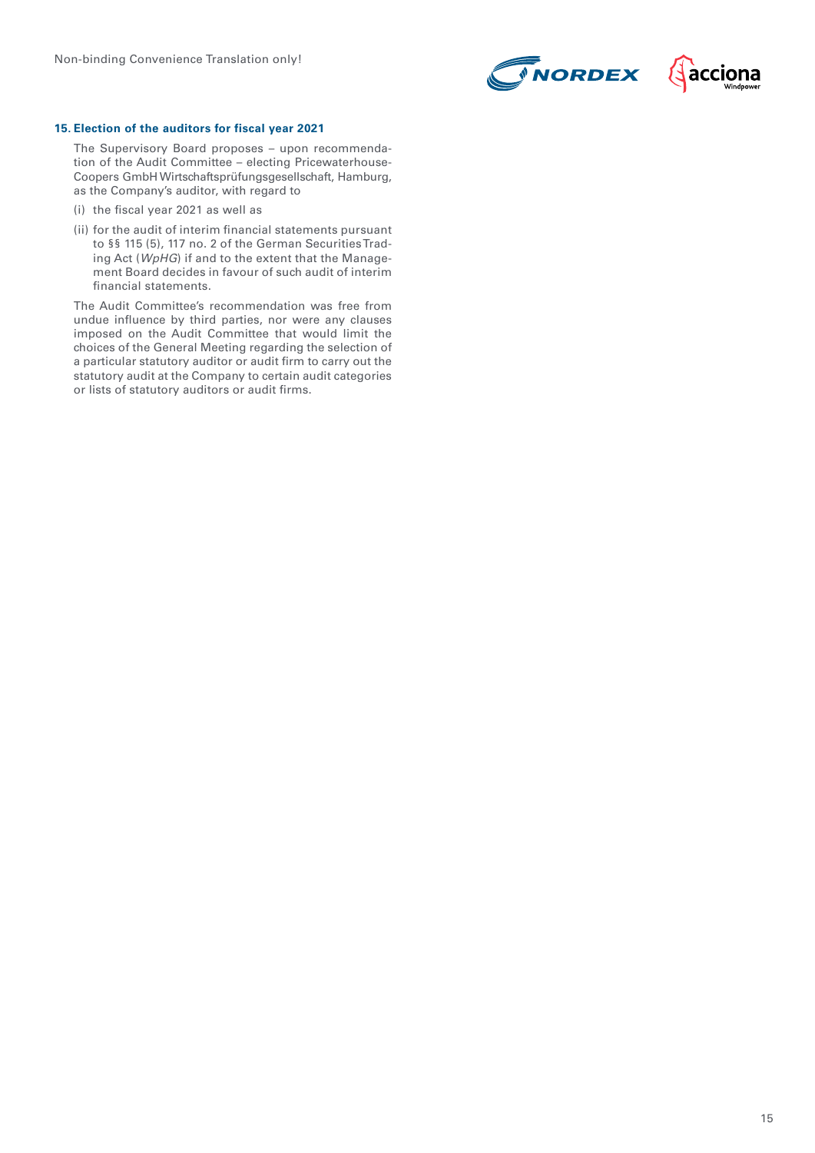



#### **15. Election of the auditors for fiscal year 2021**

The Supervisory Board proposes – upon recommendation of the Audit Committee – electing Pricewaterhouse-Coopers GmbH Wirtschaftsprüfungsgesellschaft, Hamburg, as the Company's auditor, with regard to

- (i) the fiscal year 2021 as well as
- (ii) for the audit of interim financial statements pursuant to §§ 115 (5), 117 no. 2 of the German Securities Trading Act (*WpHG*) if and to the extent that the Management Board decides in favour of such audit of interim financial statements.

The Audit Committee's recommendation was free from undue influence by third parties, nor were any clauses imposed on the Audit Committee that would limit the choices of the General Meeting regarding the selection of a particular statutory auditor or audit firm to carry out the statutory audit at the Company to certain audit categories or lists of statutory auditors or audit firms.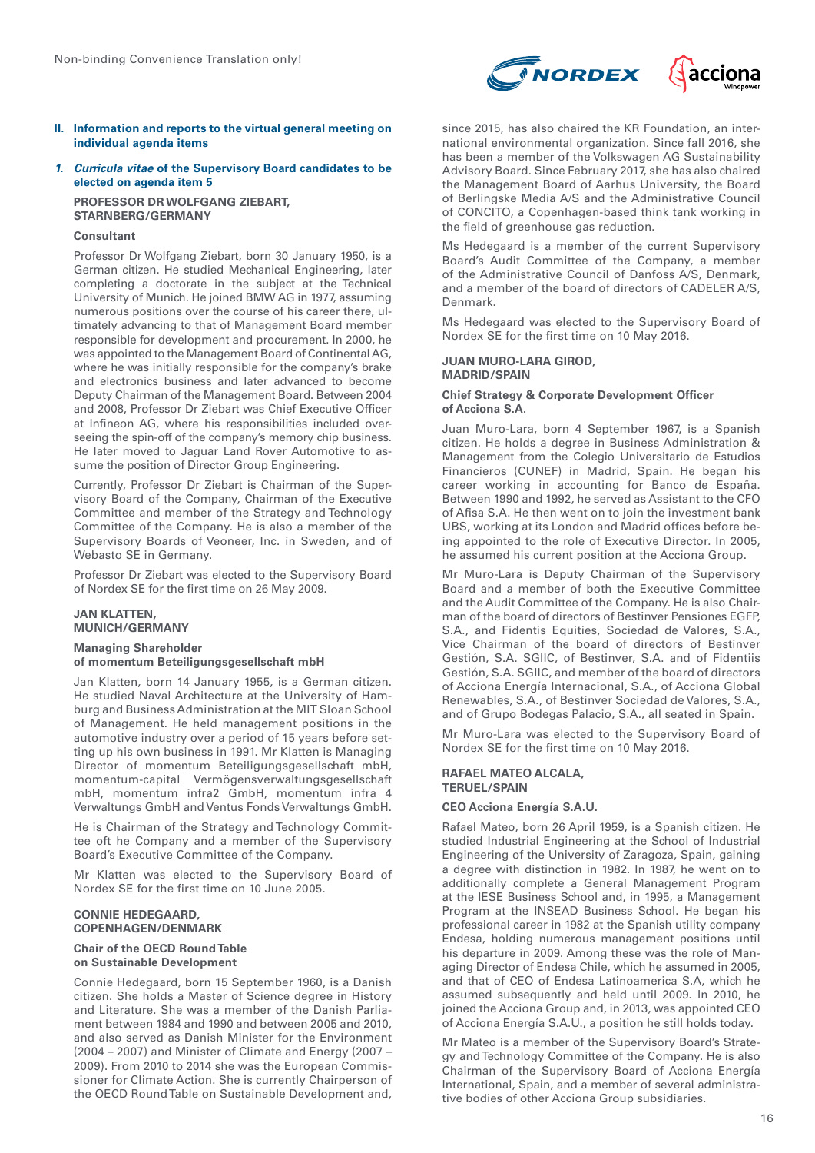

- **II. Information and reports to the virtual general meeting on individual agenda items**
- **1. Curricula vitae of the Supervisory Board candidates to be elected on agenda item 5 PROFESSOR DR WOLFGANG ZIEBART,**

**STARNBERG/GERMANY**

#### **Consultant**

Professor Dr Wolfgang Ziebart, born 30 January 1950, is a German citizen. He studied Mechanical Engineering, later completing a doctorate in the subject at the Technical University of Munich. He joined BMW AG in 1977, assuming numerous positions over the course of his career there, ultimately advancing to that of Management Board member responsible for development and procurement. In 2000, he was appointed to the Management Board of Continental AG, where he was initially responsible for the company's brake and electronics business and later advanced to become Deputy Chairman of the Management Board. Between 2004 and 2008, Professor Dr Ziebart was Chief Executive Officer at Infineon AG, where his responsibilities included overseeing the spin-off of the company's memory chip business. He later moved to Jaguar Land Rover Automotive to assume the position of Director Group Engineering.

Currently, Professor Dr Ziebart is Chairman of the Supervisory Board of the Company, Chairman of the Executive Committee and member of the Strategy and Technology Committee of the Company. He is also a member of the Supervisory Boards of Veoneer, Inc. in Sweden, and of Webasto SE in Germany.

Professor Dr Ziebart was elected to the Supervisory Board of Nordex SE for the first time on 26 May 2009.

#### **JAN KLATTEN, MUNICH/GERMANY**

# **Managing Shareholder of momentum Beteiligungsgesellschaft mbH**

Jan Klatten, born 14 January 1955, is a German citizen. He studied Naval Architecture at the University of Hamburg and Business Administration at the MIT Sloan School of Management. He held management positions in the automotive industry over a period of 15 years before setting up his own business in 1991. Mr Klatten is Managing Director of momentum Beteiligungsgesellschaft mbH, momentum-capital Vermögensverwaltungsgesellschaft mbH, momentum infra2 GmbH, momentum infra 4 Verwaltungs GmbH and Ventus Fonds Verwaltungs GmbH.

He is Chairman of the Strategy and Technology Committee oft he Company and a member of the Supervisory Board's Executive Committee of the Company.

Mr Klatten was elected to the Supervisory Board of Nordex SE for the first time on 10 June 2005.

# **CONNIE HEDEGAARD, COPENHAGEN/DENMARK**

#### **Chair of the OECD Round Table on Sustainable Development**

Connie Hedegaard, born 15 September 1960, is a Danish citizen. She holds a Master of Science degree in History and Literature. She was a member of the Danish Parliament between 1984 and 1990 and between 2005 and 2010, and also served as Danish Minister for the Environment (2004 – 2007) and Minister of Climate and Energy (2007 – 2009). From 2010 to 2014 she was the European Commissioner for Climate Action. She is currently Chairperson of the OECD Round Table on Sustainable Development and, since 2015, has also chaired the KR Foundation, an international environmental organization. Since fall 2016, she has been a member of the Volkswagen AG Sustainability Advisory Board. Since February 2017, she has also chaired the Management Board of Aarhus University, the Board of Berlingske Media A/S and the Administrative Council of CONCITO, a Copenhagen-based think tank working in the field of greenhouse gas reduction.

Ms Hedegaard is a member of the current Supervisory Board's Audit Committee of the Company, a member of the Administrative Council of Danfoss A/S, Denmark, and a member of the board of directors of CADELER A/S, Denmark.

Ms Hedegaard was elected to the Supervisory Board of Nordex SE for the first time on 10 May 2016.

# **JUAN MURO-LARA GIROD, MADRID/SPAIN**

#### **Chief Strategy & Corporate Development Officer of Acciona S.A.**

Juan Muro-Lara, born 4 September 1967, is a Spanish citizen. He holds a degree in Business Administration & Management from the Colegio Universitario de Estudios Financieros (CUNEF) in Madrid, Spain. He began his career working in accounting for Banco de España. Between 1990 and 1992, he served as Assistant to the CFO of Afisa S.A. He then went on to join the investment bank UBS, working at its London and Madrid offices before being appointed to the role of Executive Director. In 2005, he assumed his current position at the Acciona Group.

Mr Muro-Lara is Deputy Chairman of the Supervisory Board and a member of both the Executive Committee and the Audit Committee of the Company. He is also Chairman of the board of directors of Bestinver Pensiones EGFP, S.A., and Fidentis Equities, Sociedad de Valores, S.A., Vice Chairman of the board of directors of Bestinver Gestión, S.A. SGIIC, of Bestinver, S.A. and of Fidentiis Gestión, S.A. SGIIC, and member of the board of directors of Acciona Energía Internacional, S.A., of Acciona Global Renewables, S.A., of Bestinver Sociedad de Valores, S.A., and of Grupo Bodegas Palacio, S.A., all seated in Spain.

Mr Muro-Lara was elected to the Supervisory Board of Nordex SE for the first time on 10 May 2016.

#### **RAFAEL MATEO ALCALA, TERUEL/SPAIN**

#### **CEO Acciona Energía S.A.U.**

Rafael Mateo, born 26 April 1959, is a Spanish citizen. He studied Industrial Engineering at the School of Industrial Engineering of the University of Zaragoza, Spain, gaining a degree with distinction in 1982. In 1987, he went on to additionally complete a General Management Program at the IESE Business School and, in 1995, a Management Program at the INSEAD Business School. He began his professional career in 1982 at the Spanish utility company Endesa, holding numerous management positions until his departure in 2009. Among these was the role of Managing Director of Endesa Chile, which he assumed in 2005, and that of CEO of Endesa Latinoamerica S.A, which he assumed subsequently and held until 2009. In 2010, he joined the Acciona Group and, in 2013, was appointed CEO of Acciona Energía S.A.U., a position he still holds today.

Mr Mateo is a member of the Supervisory Board's Strategy and Technology Committee of the Company. He is also Chairman of the Supervisory Board of Acciona Energía International, Spain, and a member of several administrative bodies of other Acciona Group subsidiaries.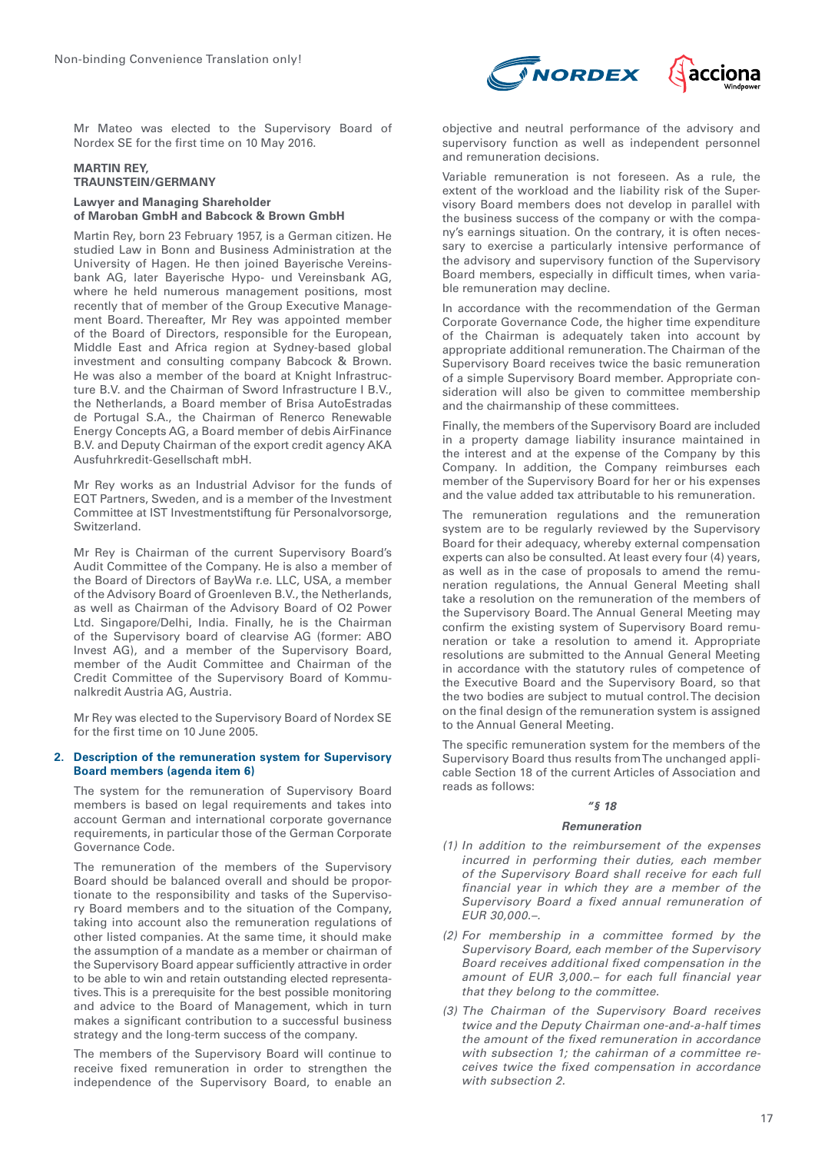

Mr Mateo was elected to the Supervisory Board of Nordex SE for the first time on 10 May 2016.

# **MARTIN REY, TRAUNSTEIN/GERMANY**

#### **Lawyer and Managing Shareholder of Maroban GmbH and Babcock & Brown GmbH**

Martin Rey, born 23 February 1957, is a German citizen. He studied Law in Bonn and Business Administration at the University of Hagen. He then joined Bayerische Vereinsbank AG, later Bayerische Hypo- und Vereinsbank AG, where he held numerous management positions, most recently that of member of the Group Executive Management Board. Thereafter, Mr Rey was appointed member of the Board of Directors, responsible for the European, Middle East and Africa region at Sydney-based global investment and consulting company Babcock & Brown. He was also a member of the board at Knight Infrastructure B.V. and the Chairman of Sword Infrastructure I B.V., the Netherlands, a Board member of Brisa AutoEstradas de Portugal S.A., the Chairman of Renerco Renewable Energy Concepts AG, a Board member of debis AirFinance B.V. and Deputy Chairman of the export credit agency AKA Ausfuhrkredit-Gesellschaft mbH.

Mr Rey works as an Industrial Advisor for the funds of EQT Partners, Sweden, and is a member of the Investment Committee at IST Investmentstiftung für Personalvorsorge, Switzerland.

Mr Rey is Chairman of the current Supervisory Board's Audit Committee of the Company. He is also a member of the Board of Directors of BayWa r.e. LLC, USA, a member of the Advisory Board of Groenleven B.V., the Netherlands, as well as Chairman of the Advisory Board of O2 Power Ltd. Singapore/Delhi, India. Finally, he is the Chairman of the Supervisory board of clearvise AG (former: ABO Invest AG), and a member of the Supervisory Board, member of the Audit Committee and Chairman of the Credit Committee of the Supervisory Board of Kommunalkredit Austria AG, Austria.

Mr Rey was elected to the Supervisory Board of Nordex SE for the first time on 10 June 2005.

#### **2. Description of the remuneration system for Supervisory Board members (agenda item 6)**

The system for the remuneration of Supervisory Board members is based on legal requirements and takes into account German and international corporate governance requirements, in particular those of the German Corporate Governance Code.

The remuneration of the members of the Supervisory Board should be balanced overall and should be proportionate to the responsibility and tasks of the Supervisory Board members and to the situation of the Company, taking into account also the remuneration regulations of other listed companies. At the same time, it should make the assumption of a mandate as a member or chairman of the Supervisory Board appear sufficiently attractive in order to be able to win and retain outstanding elected representatives. This is a prerequisite for the best possible monitoring and advice to the Board of Management, which in turn makes a significant contribution to a successful business strategy and the long-term success of the company.

The members of the Supervisory Board will continue to receive fixed remuneration in order to strengthen the independence of the Supervisory Board, to enable an objective and neutral performance of the advisory and supervisory function as well as independent personnel and remuneration decisions.

Variable remuneration is not foreseen. As a rule, the extent of the workload and the liability risk of the Supervisory Board members does not develop in parallel with the business success of the company or with the company's earnings situation. On the contrary, it is often necessary to exercise a particularly intensive performance of the advisory and supervisory function of the Supervisory Board members, especially in difficult times, when variable remuneration may decline.

In accordance with the recommendation of the German Corporate Governance Code, the higher time expenditure of the Chairman is adequately taken into account by appropriate additional remuneration. The Chairman of the Supervisory Board receives twice the basic remuneration of a simple Supervisory Board member. Appropriate consideration will also be given to committee membership and the chairmanship of these committees.

Finally, the members of the Supervisory Board are included in a property damage liability insurance maintained in the interest and at the expense of the Company by this Company. In addition, the Company reimburses each member of the Supervisory Board for her or his expenses and the value added tax attributable to his remuneration.

The remuneration regulations and the remuneration system are to be regularly reviewed by the Supervisory Board for their adequacy, whereby external compensation experts can also be consulted. At least every four (4) years, as well as in the case of proposals to amend the remuneration regulations, the Annual General Meeting shall take a resolution on the remuneration of the members of the Supervisory Board. The Annual General Meeting may confirm the existing system of Supervisory Board remuneration or take a resolution to amend it. Appropriate resolutions are submitted to the Annual General Meeting in accordance with the statutory rules of competence of the Executive Board and the Supervisory Board, so that the two bodies are subject to mutual control. The decision on the final design of the remuneration system is assigned to the Annual General Meeting.

The specific remuneration system for the members of the Supervisory Board thus results from The unchanged applicable Section 18 of the current Articles of Association and reads as follows:

# **"§ 18**

#### **Remuneration**

- (1) *In addition to the reimbursement of the expenses incurred in performing their duties, each member of the Supervisory Board shall receive for each full financial year in which they are a member of the Supervisory Board a fixed annual remuneration of EUR 30,000.–.*
- (2) *For membership in a committee formed by the Supervisory Board, each member of the Supervisory Board receives additional fixed compensation in the amount of EUR 3,000.– for each full financial year that they belong to the committee.*
- (3) *The Chairman of the Supervisory Board receives twice and the Deputy Chairman one-and-a-half times the amount of the fixed remuneration in accordance with subsection 1; the cahirman of a committee receives twice the fixed compensation in accordance with subsection 2.*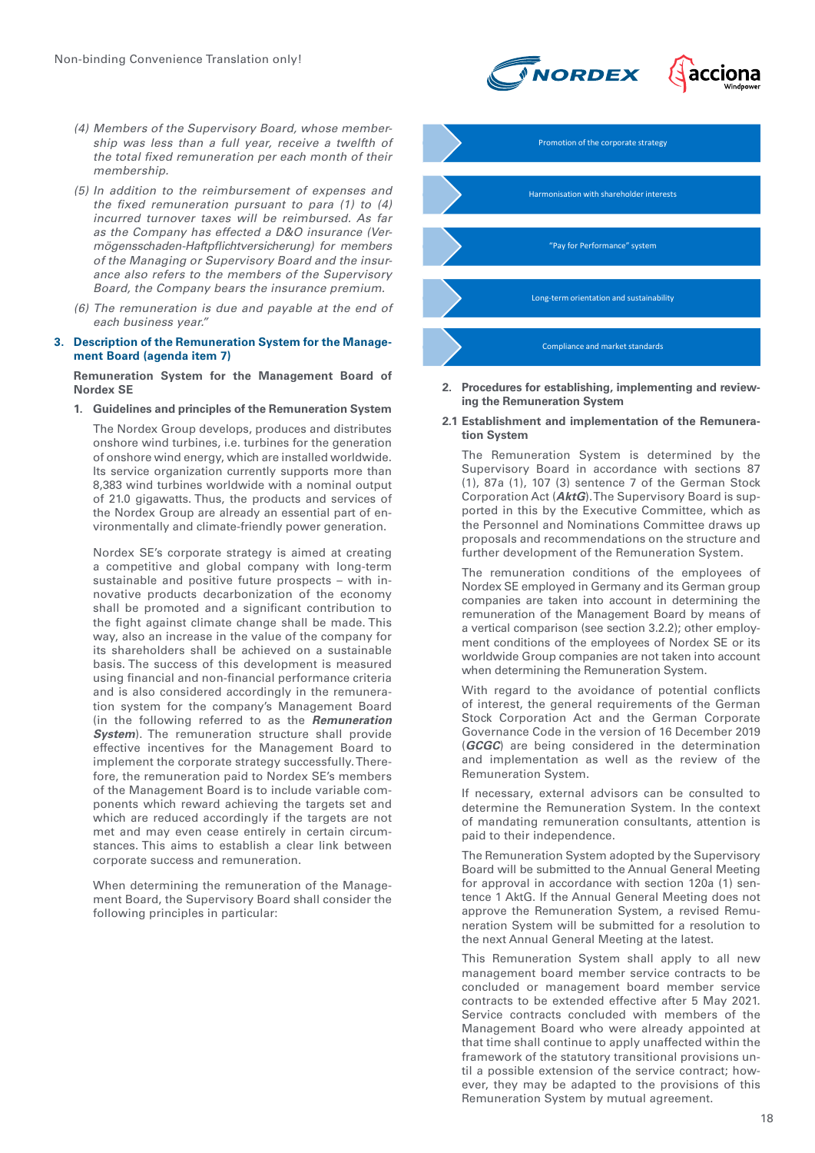- (4) Members of the Supervisory Board, whose member*ship was less than a full year, receive a twelfth of the total fixed remuneration per each month of their membership.*
- (5) *In addition to the reimbursement of expenses and the fixed remuneration pursuant to para (1) to (4) incurred turnover taxes will be reimbursed. As far as the Company has effected a D&O insurance (Vermögensschaden-Haftpflichtversicherung) for members of the Managing or Supervisory Board and the insurance also refers to the members of the Supervisory Board, the Company bears the insurance premium.*
- (6) *The remuneration is due and payable at the end of each business year."*

**3. Description of the Remuneration System for the Management Board (agenda item 7)**

**Remuneration System for the Management Board of Nordex SE**

**1. Guidelines and principles of the Remuneration System**

The Nordex Group develops, produces and distributes onshore wind turbines, i.e. turbines for the generation of onshore wind energy, which are installed worldwide. Its service organization currently supports more than 8,383 wind turbines worldwide with a nominal output of 21.0 gigawatts. Thus, the products and services of the Nordex Group are already an essential part of environmentally and climate-friendly power generation.

Nordex SE's corporate strategy is aimed at creating a competitive and global company with long-term sustainable and positive future prospects – with innovative products decarbonization of the economy shall be promoted and a significant contribution to the fight against climate change shall be made. This way, also an increase in the value of the company for its shareholders shall be achieved on a sustainable basis. The success of this development is measured using financial and non-financial performance criteria and is also considered accordingly in the remuneration system for the company's Management Board (in the following referred to as the **Remuneration System**). The remuneration structure shall provide effective incentives for the Management Board to implement the corporate strategy successfully. Therefore, the remuneration paid to Nordex SE's members of the Management Board is to include variable components which reward achieving the targets set and which are reduced accordingly if the targets are not met and may even cease entirely in certain circumstances. This aims to establish a clear link between corporate success and remuneration.

When determining the remuneration of the Management Board, the Supervisory Board shall consider the following principles in particular:





**2. Procedures for establishing, implementing and reviewing the Remuneration System** 

#### **2.1 Establishment and implementation of the Remuneration System**

The Remuneration System is determined by the Supervisory Board in accordance with sections 87 (1), 87a (1), 107 (3) sentence 7 of the German Stock Corporation Act (**AktG**). The Supervisory Board is supported in this by the Executive Committee, which as the Personnel and Nominations Committee draws up proposals and recommendations on the structure and further development of the Remuneration System.

The remuneration conditions of the employees of Nordex SE employed in Germany and its German group companies are taken into account in determining the remuneration of the Management Board by means of a vertical comparison (see section 3.2.2); other employment conditions of the employees of Nordex SE or its worldwide Group companies are not taken into account when determining the Remuneration System.

With regard to the avoidance of potential conflicts of interest, the general requirements of the German Stock Corporation Act and the German Corporate Governance Code in the version of 16 December 2019 (**GCGC**) are being considered in the determination and implementation as well as the review of the Remuneration System.

If necessary, external advisors can be consulted to determine the Remuneration System. In the context of mandating remuneration consultants, attention is paid to their independence.

The Remuneration System adopted by the Supervisory Board will be submitted to the Annual General Meeting for approval in accordance with section 120a (1) sentence 1 AktG. If the Annual General Meeting does not approve the Remuneration System, a revised Remuneration System will be submitted for a resolution to the next Annual General Meeting at the latest.

This Remuneration System shall apply to all new management board member service contracts to be concluded or management board member service contracts to be extended effective after 5 May 2021. Service contracts concluded with members of the Management Board who were already appointed at that time shall continue to apply unaffected within the framework of the statutory transitional provisions until a possible extension of the service contract; however, they may be adapted to the provisions of this Remuneration System by mutual agreement.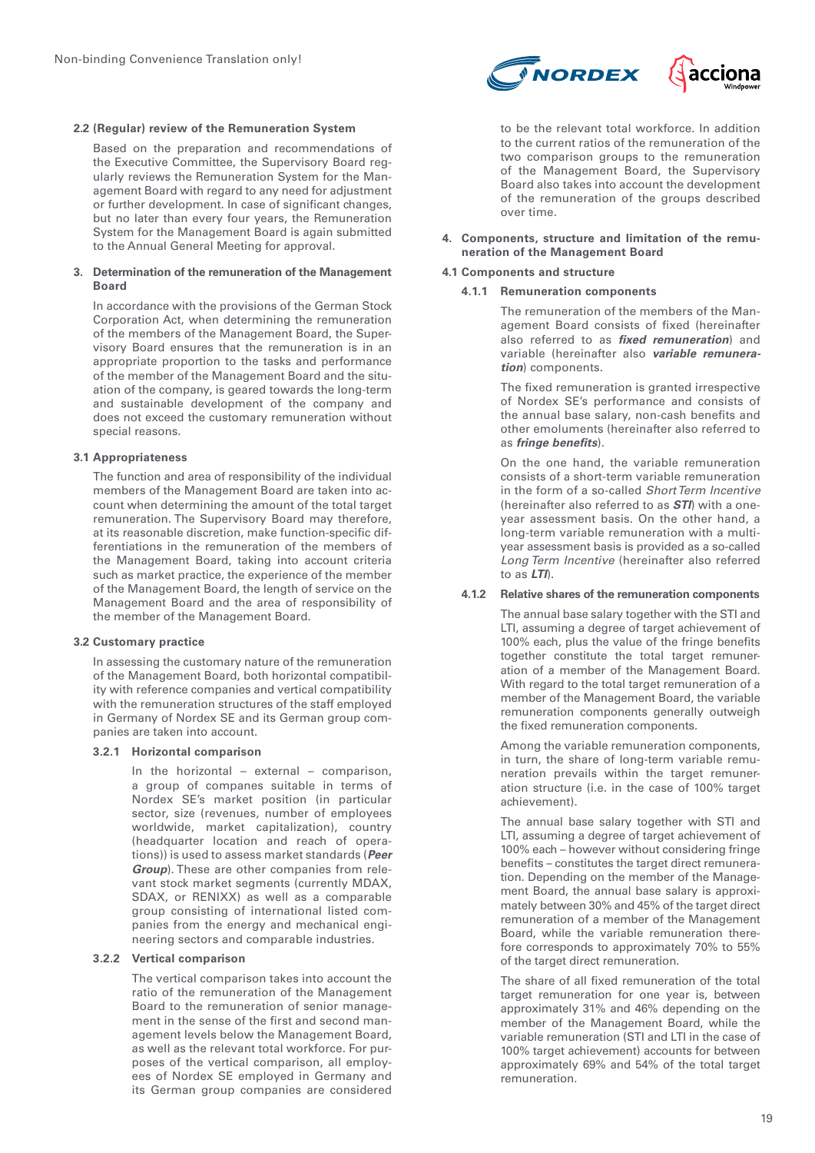#### **2.2 (Regular) review of the Remuneration System**

Based on the preparation and recommendations of the Executive Committee, the Supervisory Board regularly reviews the Remuneration System for the Management Board with regard to any need for adjustment or further development. In case of significant changes, but no later than every four years, the Remuneration System for the Management Board is again submitted to the Annual General Meeting for approval.

#### **3. Determination of the remuneration of the Management Board**

In accordance with the provisions of the German Stock Corporation Act, when determining the remuneration of the members of the Management Board, the Supervisory Board ensures that the remuneration is in an appropriate proportion to the tasks and performance of the member of the Management Board and the situation of the company, is geared towards the long-term and sustainable development of the company and does not exceed the customary remuneration without special reasons.

# **3.1 Appropriateness**

The function and area of responsibility of the individual members of the Management Board are taken into account when determining the amount of the total target remuneration. The Supervisory Board may therefore, at its reasonable discretion, make function-specific differentiations in the remuneration of the members of the Management Board, taking into account criteria such as market practice, the experience of the member of the Management Board, the length of service on the Management Board and the area of responsibility of the member of the Management Board.

#### **3.2 Customary practice**

In assessing the customary nature of the remuneration of the Management Board, both horizontal compatibility with reference companies and vertical compatibility with the remuneration structures of the staff employed in Germany of Nordex SE and its German group companies are taken into account.

#### **3.2.1 Horizontal comparison**

In the horizontal – external – comparison, a group of companes suitable in terms of Nordex SE's market position (in particular sector, size (revenues, number of employees worldwide, market capitalization), country (headquarter location and reach of operations)) is used to assess market standards (**Peer Group**). These are other companies from relevant stock market segments (currently MDAX, SDAX, or RENIXX) as well as a comparable group consisting of international listed companies from the energy and mechanical engineering sectors and comparable industries.

# **3.2.2 Vertical comparison**

The vertical comparison takes into account the ratio of the remuneration of the Management Board to the remuneration of senior management in the sense of the first and second management levels below the Management Board, as well as the relevant total workforce. For purposes of the vertical comparison, all employees of Nordex SE employed in Germany and its German group companies are considered



to be the relevant total workforce. In addition to the current ratios of the remuneration of the two comparison groups to the remuneration of the Management Board, the Supervisory Board also takes into account the development of the remuneration of the groups described over time.

#### **4. Components, structure and limitation of the remuneration of the Management Board**

#### **4.1 Components and structure**

#### **4.1.1 Remuneration components**

The remuneration of the members of the Management Board consists of fixed (hereinafter also referred to as **fixed remuneration**) and variable (hereinafter also **variable remuneration**) components.

The fixed remuneration is granted irrespective of Nordex SE's performance and consists of the annual base salary, non-cash benefits and other emoluments (hereinafter also referred to as **fringe benefits**).

On the one hand, the variable remuneration consists of a short-term variable remuneration in the form of a so-called *Short Term Incentive*  (hereinafter also referred to as **STI**) with a oneyear assessment basis. On the other hand, a long-term variable remuneration with a multiyear assessment basis is provided as a so-called *Long Term Incentive* (hereinafter also referred to as **LTI**).

#### **4.1.2 Relative shares of the remuneration components**

The annual base salary together with the STI and LTI, assuming a degree of target achievement of 100% each, plus the value of the fringe benefits together constitute the total target remuneration of a member of the Management Board. With regard to the total target remuneration of a member of the Management Board, the variable remuneration components generally outweigh the fixed remuneration components.

Among the variable remuneration components, in turn, the share of long-term variable remuneration prevails within the target remuneration structure (i.e. in the case of 100% target achievement).

The annual base salary together with STI and LTI, assuming a degree of target achievement of 100% each – however without considering fringe benefits – constitutes the target direct remuneration. Depending on the member of the Management Board, the annual base salary is approximately between 30% and 45% of the target direct remuneration of a member of the Management Board, while the variable remuneration therefore corresponds to approximately 70% to 55% of the target direct remuneration.

The share of all fixed remuneration of the total target remuneration for one year is, between approximately 31% and 46% depending on the member of the Management Board, while the variable remuneration (STI and LTI in the case of 100% target achievement) accounts for between approximately 69% and 54% of the total target remuneration.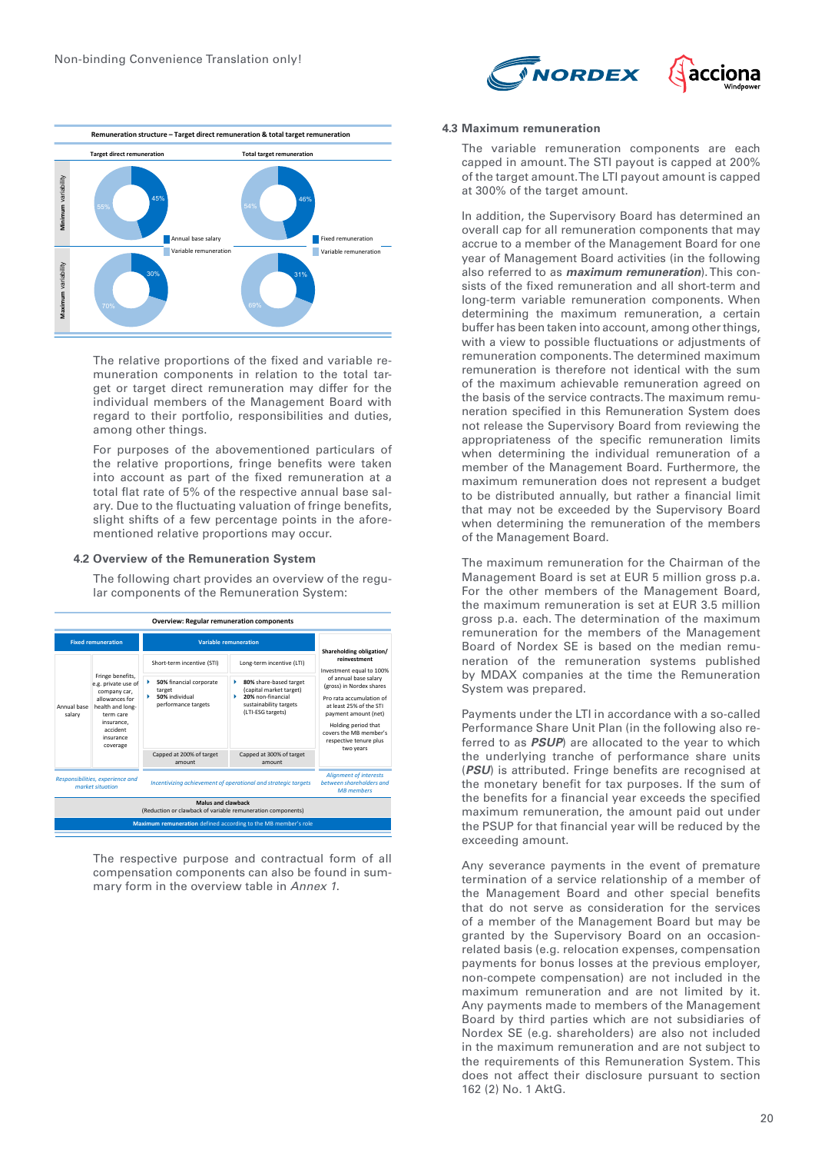



The relative proportions of the fixed and variable remuneration components in relation to the total target or target direct remuneration may differ for the individual members of the Management Board with regard to their portfolio, responsibilities and duties, among other things.

For purposes of the abovementioned particulars of the relative proportions, fringe benefits were taken into account as part of the fixed remuneration at a total flat rate of 5% of the respective annual base salary. Due to the fluctuating valuation of fringe benefits, slight shifts of a few percentage points in the aforementioned relative proportions may occur.

#### **4.2 Overview of the Remuneration System**

The following chart provides an overview of the regular components of the Remuneration System:



mary form in the overview table in *Annex 1*. The respective purpose and contractual form of all compensation components can also be found in sum-

#### **4.3 Maximum remuneration**

The variable remuneration components are each capped in amount. The STI payout is capped at 200% of the target amount. The LTI payout amount is capped at 300% of the target amount.

In addition, the Supervisory Board has determined an overall cap for all remuneration components that may accrue to a member of the Management Board for one year of Management Board activities (in the following also referred to as **maximum remuneration**). This consists of the fixed remuneration and all short-term and long-term variable remuneration components. When determining the maximum remuneration, a certain buffer has been taken into account, among other things, with a view to possible fluctuations or adjustments of remuneration components. The determined maximum remuneration is therefore not identical with the sum of the maximum achievable remuneration agreed on the basis of the service contracts. The maximum remuneration specified in this Remuneration System does not release the Supervisory Board from reviewing the appropriateness of the specific remuneration limits when determining the individual remuneration of a member of the Management Board. Furthermore, the maximum remuneration does not represent a budget to be distributed annually, but rather a financial limit that may not be exceeded by the Supervisory Board when determining the remuneration of the members of the Management Board.

The maximum remuneration for the Chairman of the Management Board is set at EUR 5 million gross p.a. For the other members of the Management Board, the maximum remuneration is set at EUR 3.5 million gross p.a. each. The determination of the maximum remuneration for the members of the Management Board of Nordex SE is based on the median remuneration of the remuneration systems published by MDAX companies at the time the Remuneration System was prepared.

Payments under the LTI in accordance with a so-called Performance Share Unit Plan (in the following also referred to as **PSUP**) are allocated to the year to which the underlying tranche of performance share units (**PSU**) is attributed. Fringe benefits are recognised at the monetary benefit for tax purposes. If the sum of the benefits for a financial year exceeds the specified maximum remuneration, the amount paid out under the PSUP for that financial year will be reduced by the exceeding amount.

Any severance payments in the event of premature termination of a service relationship of a member of the Management Board and other special benefits that do not serve as consideration for the services of a member of the Management Board but may be granted by the Supervisory Board on an occasionrelated basis (e.g. relocation expenses, compensation payments for bonus losses at the previous employer, non-compete compensation) are not included in the maximum remuneration and are not limited by it. Any payments made to members of the Management Board by third parties which are not subsidiaries of Nordex SE (e.g. shareholders) are also not included in the maximum remuneration and are not subject to the requirements of this Remuneration System. This does not affect their disclosure pursuant to section 162 (2) No. 1 AktG.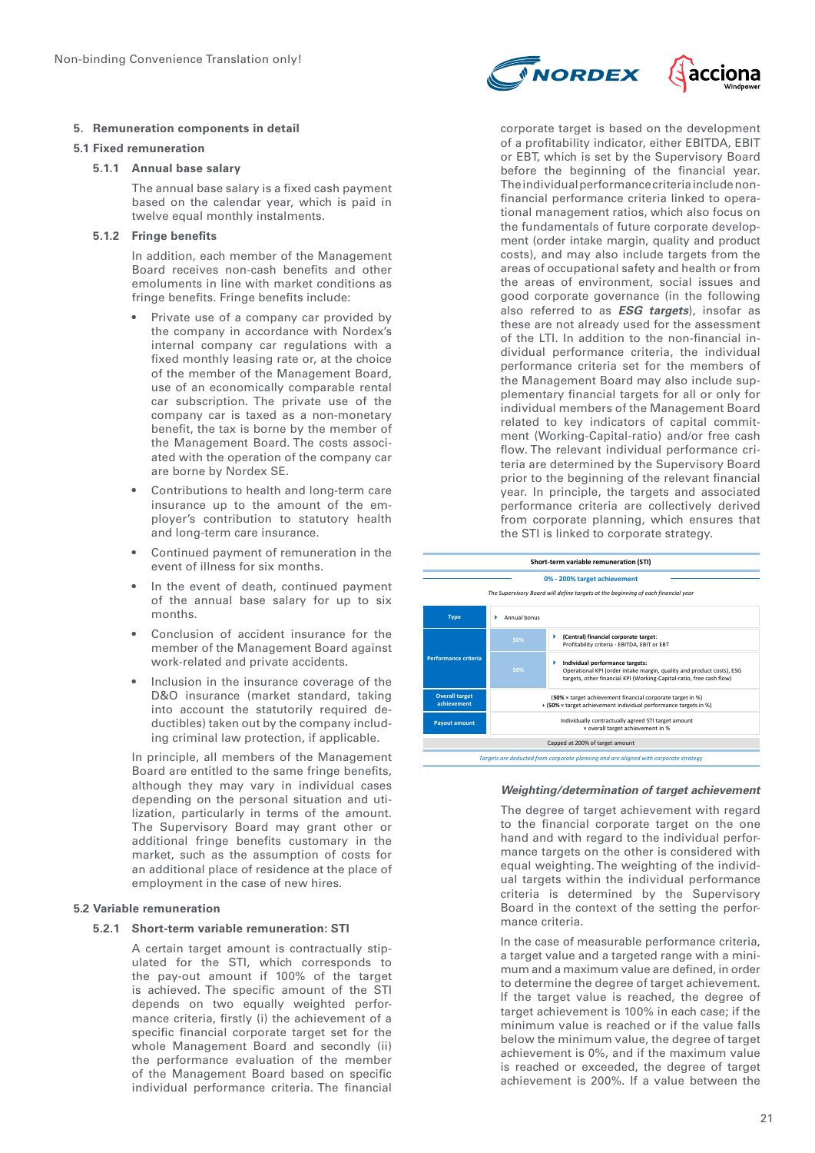# **5. Remuneration components in detail**

### **5.1 Fixed remuneration**

# **5.1.1 Annual base salary**

The annual base salary is a fixed cash payment based on the calendar year, which is paid in twelve equal monthly instalments.

# **5.1.2 Fringe benefits**

In addition, each member of the Management Board receives non-cash benefits and other emoluments in line with market conditions as fringe benefits. Fringe benefits include:

- Private use of a company car provided by the company in accordance with Nordex's internal company car regulations with a fixed monthly leasing rate or, at the choice of the member of the Management Board, use of an economically comparable rental car subscription. The private use of the company car is taxed as a non-monetary benefit, the tax is borne by the member of the Management Board. The costs associated with the operation of the company car are borne by Nordex SE.
- Contributions to health and long-term care insurance up to the amount of the employer's contribution to statutory health and long-term care insurance.
- Continued payment of remuneration in the event of illness for six months.
- In the event of death, continued payment of the annual base salary for up to six months.
- Conclusion of accident insurance for the member of the Management Board against work-related and private accidents.
- Inclusion in the insurance coverage of the D&O insurance (market standard, taking into account the statutorily required deductibles) taken out by the company including criminal law protection, if applicable.

In principle, all members of the Management Board are entitled to the same fringe benefits, although they may vary in individual cases depending on the personal situation and utilization, particularly in terms of the amount. The Supervisory Board may grant other or additional fringe benefits customary in the market, such as the assumption of costs for an additional place of residence at the place of employment in the case of new hires.

# **5.2 Variable remuneration**

# **5.2.1 Short-term variable remuneration: STI**

A certain target amount is contractually stipulated for the STI, which corresponds to the pay-out amount if 100% of the target is achieved. The specific amount of the STI depends on two equally weighted performance criteria, firstly (i) the achievement of a specific financial corporate target set for the whole Management Board and secondly (ii) the performance evaluation of the member of the Management Board based on specific individual performance criteria. The financial



corporate target is based on the development of a profitability indicator, either EBITDA, EBIT or EBT, which is set by the Supervisory Board before the beginning of the financial year. The individual performance criteria include nonfinancial performance criteria linked to operational management ratios, which also focus on the fundamentals of future corporate development (order intake margin, quality and product costs), and may also include targets from the areas of occupational safety and health or from the areas of environment, social issues and good corporate governance (in the following also referred to as **ESG targets**), insofar as these are not already used for the assessment of the LTI. In addition to the non-financial individual performance criteria, the individual performance criteria set for the members of the Management Board may also include supplementary financial targets for all or only for individual members of the Management Board related to key indicators of capital commitment (Working-Capital-ratio) and/or free cash flow. The relevant individual performance criteria are determined by the Supervisory Board prior to the beginning of the relevant financial year. In principle, the targets and associated performance criteria are collectively derived from corporate planning, which ensures that the STI is linked to corporate strategy.



#### **Weighting/determination of target achievement**

equal weighting. The weighting of the individto the financial corporate target on the one The degree of target achievement with regard hand and with regard to the individual performance targets on the other is considered with ual targets within the individual performance criteria is determined by the Supervisory Board in the context of the setting the performance criteria.

a target value and a targeted range with a mini-In the case of measurable performance criteria, mum and a maximum value are defined, in order to determine the degree of target achievement. If the target value is reached, the degree of target achievement is 100% in each case; if the minimum value is reached or if the value falls below the minimum value, the degree of target achievement is 0%, and if the maximum value is reached or exceeded, the degree of target achievement is 200%. If a value between the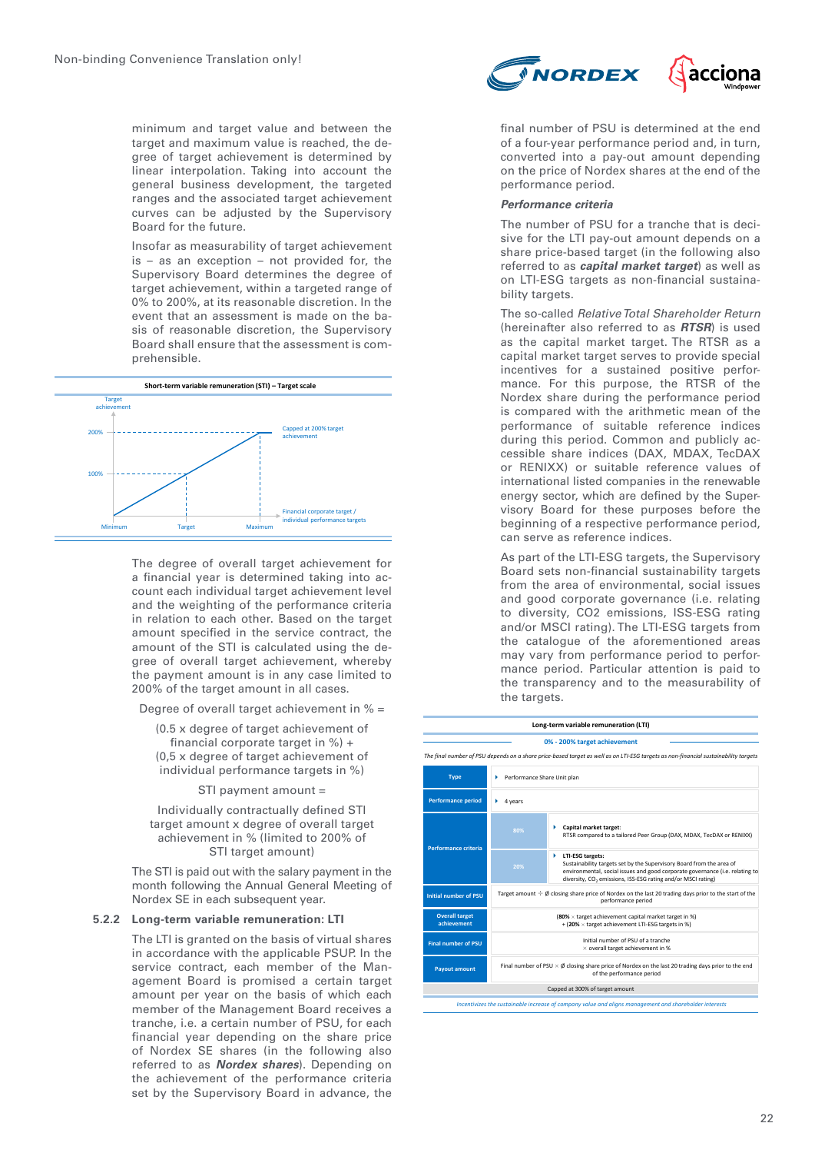minimum and target value and between the target and maximum value is reached, the degree of target achievement is determined by linear interpolation. Taking into account the general business development, the targeted ranges and the associated target achievement **50% (Central) financial corporate target**: curves can be adjusted by the Supervisory Board for the future.

Insofar as measurability of target achievement is – as an exception – not provided for, the Supervisory Board determines the degree of target achievement, within a targeted range of 0% to 200%, at its reasonable discretion. In the event that an assessment is made on the basis of reasonable discretion, the Supervisory Board shall ensure that the assessment is comprehensible.



The degree of overall target achievement for a financial year is determined taking into account each individual target achievement level and the weighting of the performance criteria in relation to each other. Based on the target amount specified in the service contract, the amount of the STI is calculated using the degree of overall target achievement, whereby the payment amount is in any case limited to 200% of the target amount in all cases.

Degree of overall target achievement in % =

(0.5 x degree of target achievement of financial corporate target in %) + (0,5 x degree of target achievement of individual performance targets in %)

STI payment amount =

Individually contractually defined STI target amount x degree of overall target achievement in % (limited to 200% of STI target amount)

The STI is paid out with the salary payment in the month following the Annual General Meeting of Nordex SE in each subsequent year.

#### **5.2.2 Long-term variable remuneration: LTI**

The LTI is granted on the basis of virtual shares in accordance with the applicable PSUP. In the service contract, each member of the Management Board is promised a certain target amount per year on the basis of which each member of the Management Board receives a tranche, i.e. a certain number of PSU, for each financial year depending on the share price of Nordex SE shares (in the following also referred to as **Nordex shares**). Depending on the achievement of the performance criteria set by the Supervisory Board in advance, the



final number of PSU is determined at the end of a four-year performance period and, in turn, converted into a pay-out amount depending on the price of Nordex shares at the end of the performance period.

#### **Performance criteria**

The number of PSU for a tranche that is decisive for the LTI pay-out amount depends on a share price-based target (in the following also referred to as **capital market target**) as well as on LTI-ESG targets as non-financial sustainability targets.

The so-called *Relative Total Shareholder Return* (hereinafter also referred to as **RTSR**) is used as the capital market target. The RTSR as a capital market target serves to provide special incentives for a sustained positive performance. For this purpose, the RTSR of the Nordex share during the performance period is compared with the arithmetic mean of the performance of suitable reference indices during this period. Common and publicly accessible share indices (DAX, MDAX, TecDAX or RENIXX) or suitable reference values of international listed companies in the renewable energy sector, which are defined by the Supervisory Board for these purposes before the beginning of a respective performance period, can serve as reference indices.

As part of the LTI-ESG targets, the Supervisory Board sets non-financial sustainability targets from the area of environmental, social issues and good corporate governance (i.e. relating to diversity, CO2 emissions, ISS-ESG rating and/or MSCI rating). The LTI-ESG targets from the catalogue of the aforementioned areas may vary from performance period to performance period. Particular attention is paid to the transparency and to the measurability of the targets.

| 0% - 200% target achievement                                                                                                             |  |  |  |  |  |
|------------------------------------------------------------------------------------------------------------------------------------------|--|--|--|--|--|
| The final number of PSU depends on a share price-based target as well as on LTI-ESG targets as non-financial sustainability targets      |  |  |  |  |  |
|                                                                                                                                          |  |  |  |  |  |
|                                                                                                                                          |  |  |  |  |  |
| RTSR compared to a tailored Peer Group (DAX, MDAX, TecDAX or RENIXX)                                                                     |  |  |  |  |  |
| environmental, social issues and good corporate governance (i.e. relating to                                                             |  |  |  |  |  |
| Target amount $\div \emptyset$ closing share price of Nordex on the last 20 trading days prior to the start of the<br>performance period |  |  |  |  |  |
| (80% x target achievement capital market target in %)<br>+ (20% x target achievement LTI-ESG targets in %)                               |  |  |  |  |  |
| Initial number of PSU of a tranche<br>$\times$ overall target achievement in %                                                           |  |  |  |  |  |
| Final number of PSU $\times$ Ø closing share price of Nordex on the last 20 trading days prior to the end<br>of the performance period   |  |  |  |  |  |
| Capped at 300% of target amount                                                                                                          |  |  |  |  |  |
|                                                                                                                                          |  |  |  |  |  |
|                                                                                                                                          |  |  |  |  |  |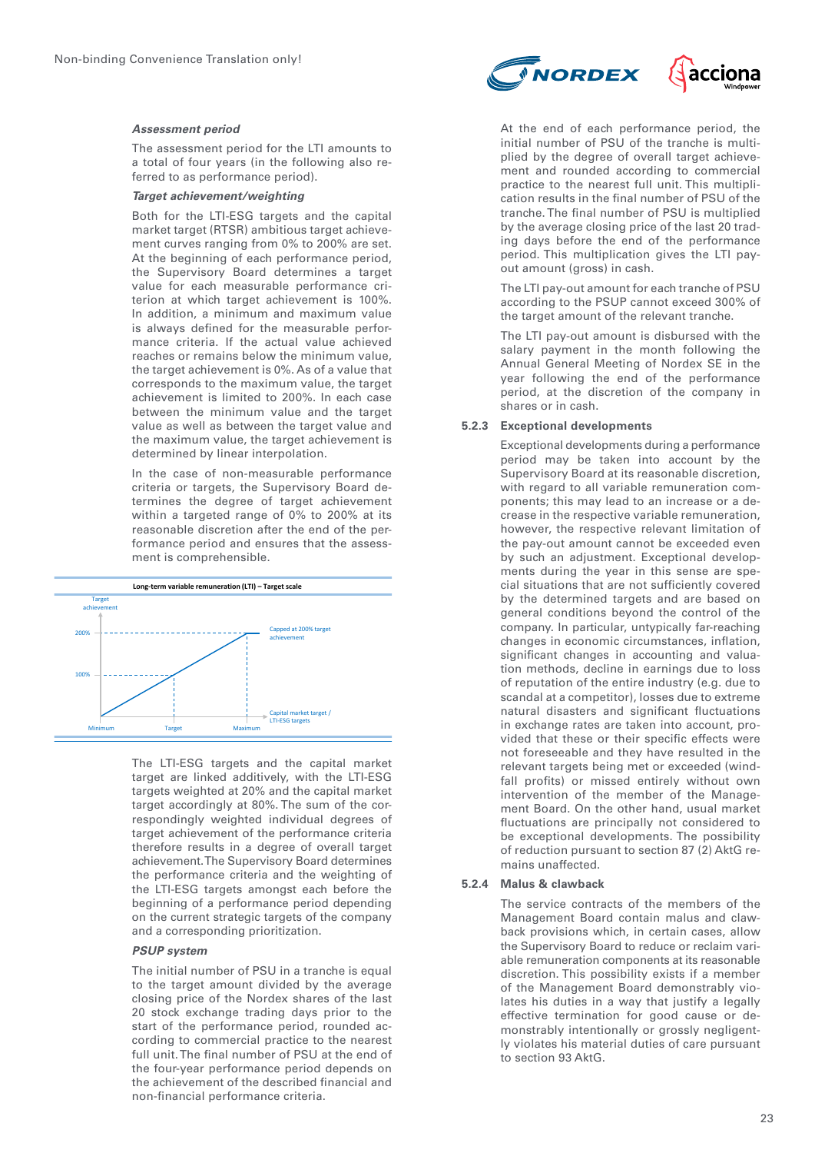

#### **Assessment period**

The assessment period for the LTI amounts to a total of four years (in the following also referred to as performance period).

#### **Target achievement/weighting**

Both for the LTI-ESG targets and the capital market target (RTSR) ambitious target achievement curves ranging from 0% to 200% are set. At the beginning of each performance period, the Supervisory Board determines a target **0% - 200% target achievement** value for each measurable performance criterion at which target achievement is 100%. In addition, a minimum and maximum value is always defined for the measurable performance criteria. If the actual value achieved reaches or remains below the minimum value, the target achievement is 0%. As of a value that corresponds to the maximum value, the target achievement is limited to 200%. In each case between the minimum value and the target settiven the minimitality value and the target value and **Indial 20 Target amount in the Last 20 trading share price of Nordex on the last 20 trading the maximum value, the target achievement is** determined by linear interpolation.

In the case of non-measurable performance criteria or targets, the Supervisory Board determines the degree of target achievement within a targeted range of 0% to 200% at its reasonable discretion after the end of the performance period and ensures that the assessment is comprehensible.



The LTI-ESG targets and the capital market target are linked additively, with the LTI-ESG targets weighted at 20% and the capital market target accordingly at 80%. The sum of the correspondingly weighted individual degrees of target achievement of the performance criteria therefore results in a degree of overall target achievement. The Supervisory Board determines the performance criteria and the weighting of the LTI-ESG targets amongst each before the beginning of a performance period depending on the current strategic targets of the company and a corresponding prioritization.

# **PSUP system**

The initial number of PSU in a tranche is equal to the target amount divided by the average closing price of the Nordex shares of the last 20 stock exchange trading days prior to the start of the performance period, rounded according to commercial practice to the nearest full unit. The final number of PSU at the end of the four-year performance period depends on the achievement of the described financial and non-financial performance criteria.

At the end of each performance period, the initial number of PSU of the tranche is multiplied by the degree of overall target achievement and rounded according to commercial practice to the nearest full unit. This multiplication results in the final number of PSU of the tranche. The final number of PSU is multiplied by the average closing price of the last 20 trading days before the end of the performance period. This multiplication gives the LTI payout amount (gross) in cash.

The LTI pay-out amount for each tranche of PSU according to the PSUP cannot exceed 300% of the target amount of the relevant tranche.

The LTI pay-out amount is disbursed with the salary payment in the month following the Annual General Meeting of Nordex SE in the year following the end of the performance period, at the discretion of the company in shares or in cash.

#### **5.2.3 Exceptional developments**

Exceptional developments during a performance period may be taken into account by the Supervisory Board at its reasonable discretion, with regard to all variable remuneration components; this may lead to an increase or a decrease in the respective variable remuneration, however, the respective relevant limitation of the pay-out amount cannot be exceeded even by such an adjustment. Exceptional developments during the year in this sense are special situations that are not sufficiently covered by the determined targets and are based on general conditions beyond the control of the company. In particular, untypically far-reaching changes in economic circumstances, inflation, significant changes in accounting and valuation methods, decline in earnings due to loss of reputation of the entire industry (e.g. due to scandal at a competitor), losses due to extreme natural disasters and significant fluctuations in exchange rates are taken into account, provided that these or their specific effects were not foreseeable and they have resulted in the relevant targets being met or exceeded (windfall profits) or missed entirely without own intervention of the member of the Management Board. On the other hand, usual market fluctuations are principally not considered to be exceptional developments. The possibility of reduction pursuant to section 87 (2) AktG remains unaffected.

# **5.2.4 Malus & clawback**

The service contracts of the members of the Management Board contain malus and clawback provisions which, in certain cases, allow the Supervisory Board to reduce or reclaim variable remuneration components at its reasonable discretion. This possibility exists if a member of the Management Board demonstrably violates his duties in a way that justify a legally effective termination for good cause or demonstrably intentionally or grossly negligently violates his material duties of care pursuant to section 93 AktG.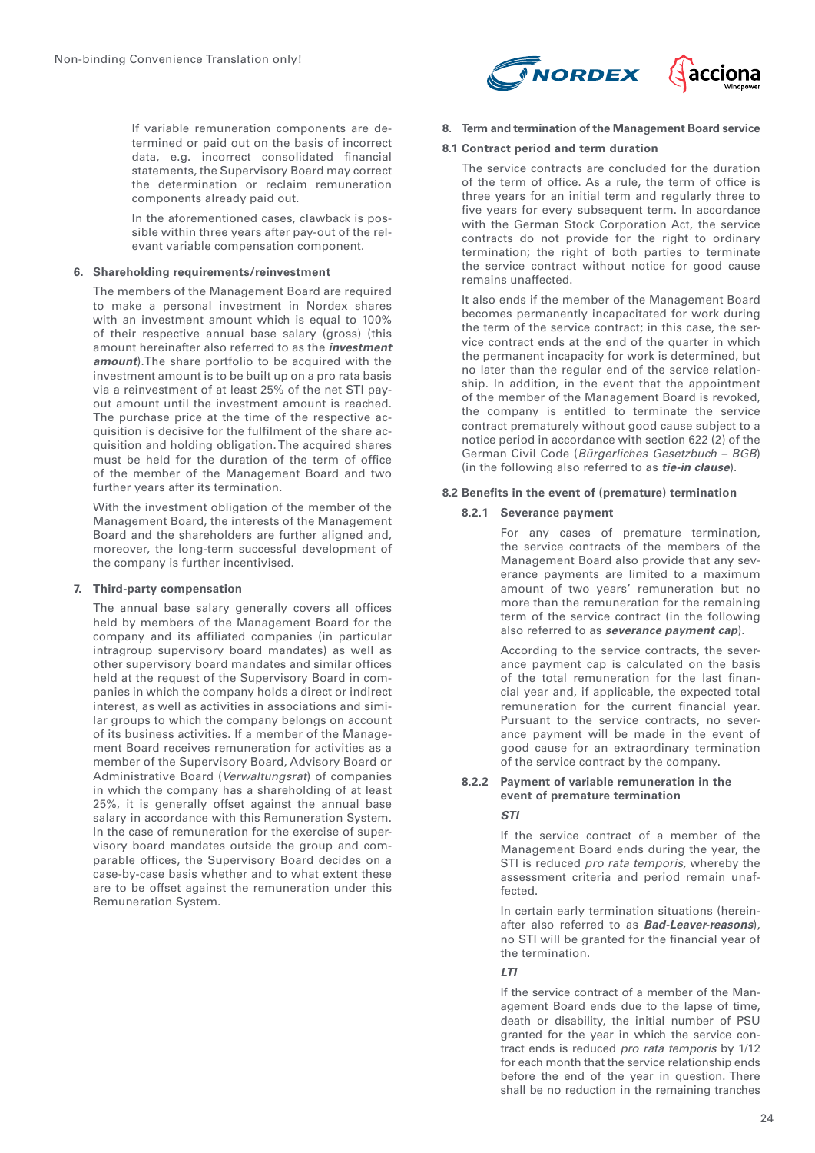If variable remuneration components are determined or paid out on the basis of incorrect data, e.g. incorrect consolidated financial statements, the Supervisory Board may correct the determination or reclaim remuneration components already paid out.

In the aforementioned cases, clawback is possible within three years after pay-out of the relevant variable compensation component.

# **6. Shareholding requirements/reinvestment**

The members of the Management Board are required to make a personal investment in Nordex shares with an investment amount which is equal to 100% of their respective annual base salary (gross) (this amount hereinafter also referred to as the **investment amount**). The share portfolio to be acquired with the investment amount is to be built up on a pro rata basis via a reinvestment of at least 25% of the net STI payout amount until the investment amount is reached. The purchase price at the time of the respective acquisition is decisive for the fulfilment of the share acquisition and holding obligation. The acquired shares must be held for the duration of the term of office of the member of the Management Board and two further years after its termination.

With the investment obligation of the member of the Management Board, the interests of the Management Board and the shareholders are further aligned and, moreover, the long-term successful development of the company is further incentivised.

#### **7. Third-party compensation**

The annual base salary generally covers all offices held by members of the Management Board for the company and its affiliated companies (in particular intragroup supervisory board mandates) as well as other supervisory board mandates and similar offices held at the request of the Supervisory Board in companies in which the company holds a direct or indirect interest, as well as activities in associations and similar groups to which the company belongs on account of its business activities. If a member of the Management Board receives remuneration for activities as a member of the Supervisory Board, Advisory Board or Administrative Board (*Verwaltungsrat*) of companies in which the company has a shareholding of at least 25%, it is generally offset against the annual base salary in accordance with this Remuneration System. In the case of remuneration for the exercise of supervisory board mandates outside the group and comparable offices, the Supervisory Board decides on a case-by-case basis whether and to what extent these are to be offset against the remuneration under this Remuneration System.



# **8. Term and termination of the Management Board service**

### **8.1 Contract period and term duration**

The service contracts are concluded for the duration of the term of office. As a rule, the term of office is three years for an initial term and regularly three to five years for every subsequent term. In accordance with the German Stock Corporation Act, the service contracts do not provide for the right to ordinary termination; the right of both parties to terminate the service contract without notice for good cause remains unaffected.

It also ends if the member of the Management Board becomes permanently incapacitated for work during the term of the service contract; in this case, the service contract ends at the end of the quarter in which the permanent incapacity for work is determined, but no later than the regular end of the service relationship. In addition, in the event that the appointment of the member of the Management Board is revoked, the company is entitled to terminate the service contract prematurely without good cause subject to a notice period in accordance with section 622 (2) of the German Civil Code (*Bürgerliches Gesetzbuch – BGB*) (in the following also referred to as **tie-in clause**).

# **8.2 Benefits in the event of (premature) termination**

# **8.2.1 Severance payment**

For any cases of premature termination, the service contracts of the members of the Management Board also provide that any severance payments are limited to a maximum amount of two years' remuneration but no more than the remuneration for the remaining term of the service contract (in the following also referred to as **severance payment cap**).

According to the service contracts, the severance payment cap is calculated on the basis of the total remuneration for the last financial year and, if applicable, the expected total remuneration for the current financial year. Pursuant to the service contracts, no severance payment will be made in the event of good cause for an extraordinary termination of the service contract by the company.

# **8.2.2 Payment of variable remuneration in the event of premature termination**

# **STI**

If the service contract of a member of the Management Board ends during the year, the STI is reduced *pro rata temporis,* whereby the assessment criteria and period remain unaffected.

In certain early termination situations (hereinafter also referred to as **Bad-Leaver-reasons**), no STI will be granted for the financial year of the termination.

# **LTI**

If the service contract of a member of the Management Board ends due to the lapse of time, death or disability, the initial number of PSU granted for the year in which the service contract ends is reduced *pro rata temporis* by 1/12 for each month that the service relationship ends before the end of the year in question. There shall be no reduction in the remaining tranches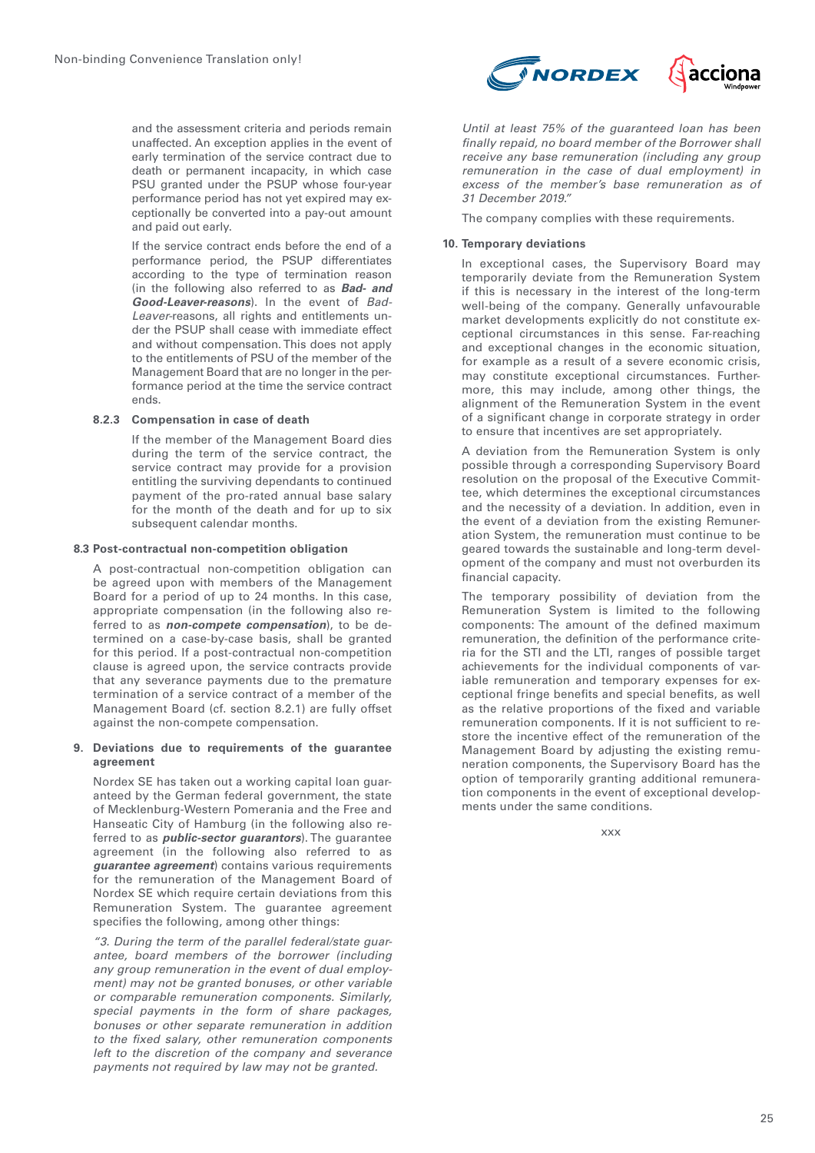and the assessment criteria and periods remain unaffected. An exception applies in the event of early termination of the service contract due to death or permanent incapacity, in which case PSU granted under the PSUP whose four-year performance period has not yet expired may exceptionally be converted into a pay-out amount and paid out early.

If the service contract ends before the end of a performance period, the PSUP differentiates according to the type of termination reason (in the following also referred to as **Bad- and Good-Leaver-reasons**). In the event of *Bad-Leaver-*reasons, all rights and entitlements under the PSUP shall cease with immediate effect and without compensation. This does not apply to the entitlements of PSU of the member of the Management Board that are no longer in the performance period at the time the service contract ends.

# **8.2.3 Compensation in case of death**

If the member of the Management Board dies during the term of the service contract, the service contract may provide for a provision entitling the surviving dependants to continued payment of the pro-rated annual base salary for the month of the death and for up to six subsequent calendar months.

# **8.3 Post-contractual non-competition obligation**

A post-contractual non-competition obligation can be agreed upon with members of the Management Board for a period of up to 24 months. In this case, appropriate compensation (in the following also referred to as **non-compete compensation**), to be determined on a case-by-case basis, shall be granted for this period. If a post-contractual non-competition clause is agreed upon, the service contracts provide that any severance payments due to the premature termination of a service contract of a member of the Management Board (cf. section 8.2.1) are fully offset against the non-compete compensation.

#### **9. Deviations due to requirements of the guarantee agreement**

Nordex SE has taken out a working capital loan guaranteed by the German federal government, the state of Mecklenburg-Western Pomerania and the Free and Hanseatic City of Hamburg (in the following also referred to as **public-sector guarantors**). The guarantee agreement (in the following also referred to as **guarantee agreement**) contains various requirements for the remuneration of the Management Board of Nordex SE which require certain deviations from this Remuneration System. The guarantee agreement specifies the following, among other things:

*"3. During the term of the parallel federal/state guarantee, board members of the borrower (including any group remuneration in the event of dual employment) may not be granted bonuses, or other variable or comparable remuneration components. Similarly, special payments in the form of share packages, bonuses or other separate remuneration in addition to the fixed salary, other remuneration components left to the discretion of the company and severance payments not required by law may not be granted.*



*Until at least 75% of the guaranteed loan has been finally repaid, no board member of the Borrower shall receive any base remuneration (including any group remuneration in the case of dual employment) in excess of the member's base remuneration as of 31 December 2019."*

The company complies with these requirements.

# **10. Temporary deviations**

In exceptional cases, the Supervisory Board may temporarily deviate from the Remuneration System if this is necessary in the interest of the long-term well-being of the company. Generally unfavourable market developments explicitly do not constitute exceptional circumstances in this sense. Far-reaching and exceptional changes in the economic situation, for example as a result of a severe economic crisis, may constitute exceptional circumstances. Furthermore, this may include, among other things, the alignment of the Remuneration System in the event of a significant change in corporate strategy in order to ensure that incentives are set appropriately.

A deviation from the Remuneration System is only possible through a corresponding Supervisory Board resolution on the proposal of the Executive Committee, which determines the exceptional circumstances and the necessity of a deviation. In addition, even in the event of a deviation from the existing Remuneration System, the remuneration must continue to be geared towards the sustainable and long-term development of the company and must not overburden its financial capacity.

The temporary possibility of deviation from the Remuneration System is limited to the following components: The amount of the defined maximum remuneration, the definition of the performance criteria for the STI and the LTI, ranges of possible target achievements for the individual components of variable remuneration and temporary expenses for exceptional fringe benefits and special benefits, as well as the relative proportions of the fixed and variable remuneration components. If it is not sufficient to restore the incentive effect of the remuneration of the Management Board by adjusting the existing remuneration components, the Supervisory Board has the option of temporarily granting additional remuneration components in the event of exceptional developments under the same conditions.

xxx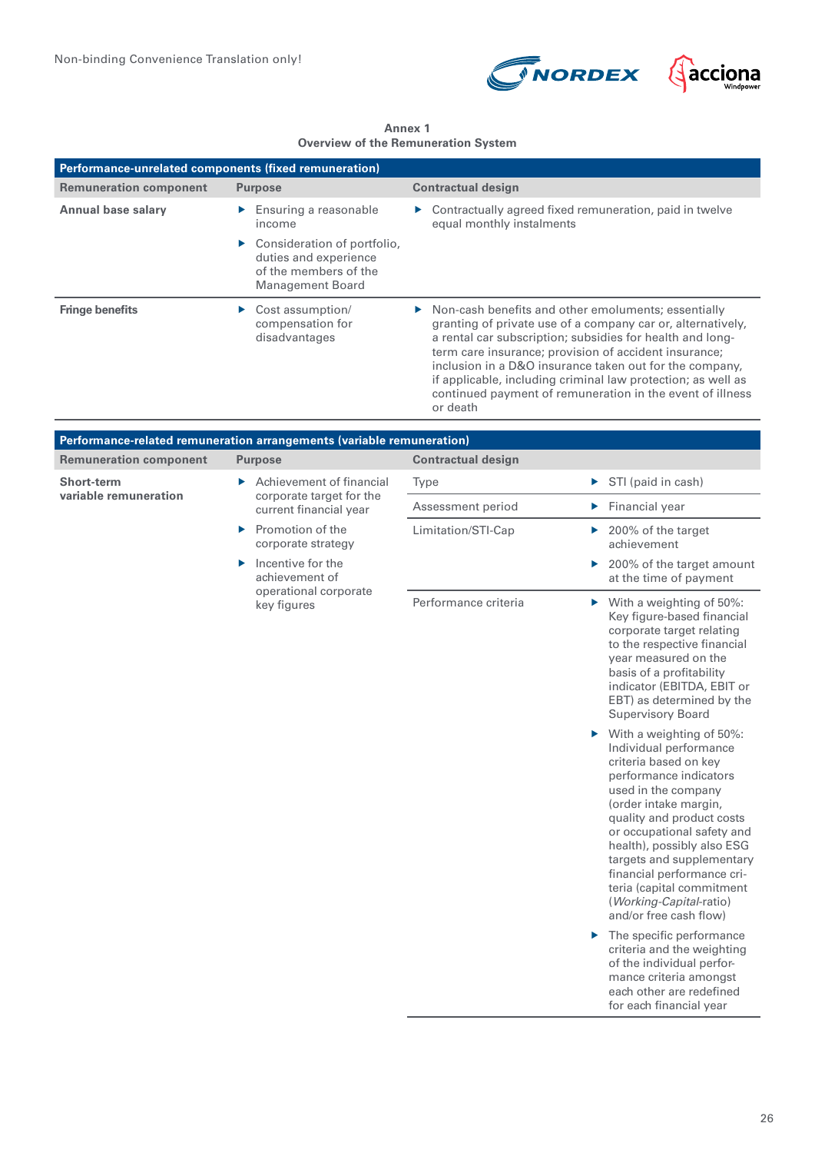



**Annex 1 Overview of the Remuneration System**

| Performance-unrelated components (fixed remuneration) |                                                                                                                           |                                                                                                                                                                                                                                                                                                                                                                                                                                                               |  |  |
|-------------------------------------------------------|---------------------------------------------------------------------------------------------------------------------------|---------------------------------------------------------------------------------------------------------------------------------------------------------------------------------------------------------------------------------------------------------------------------------------------------------------------------------------------------------------------------------------------------------------------------------------------------------------|--|--|
| <b>Remuneration component</b>                         | <b>Purpose</b>                                                                                                            | <b>Contractual design</b>                                                                                                                                                                                                                                                                                                                                                                                                                                     |  |  |
| <b>Annual base salary</b>                             | $\blacktriangleright$ Ensuring a reasonable<br>income                                                                     | $\triangleright$ Contractually agreed fixed remuneration, paid in twelve<br>equal monthly instalments                                                                                                                                                                                                                                                                                                                                                         |  |  |
|                                                       | $\triangleright$ Consideration of portfolio,<br>duties and experience<br>of the members of the<br><b>Management Board</b> |                                                                                                                                                                                                                                                                                                                                                                                                                                                               |  |  |
| <b>Fringe benefits</b>                                | Cost assumption/<br>compensation for<br>disadvantages                                                                     | $\triangleright$ Non-cash benefits and other emoluments; essentially<br>granting of private use of a company car or, alternatively,<br>a rental car subscription; subsidies for health and long-<br>term care insurance; provision of accident insurance;<br>inclusion in a D&O insurance taken out for the company,<br>if applicable, including criminal law protection; as well as<br>continued payment of remuneration in the event of illness<br>or death |  |  |

| Performance-related remuneration arrangements (variable remuneration) |                                                                                      |                           |                                                                                                                                                                                                                                                                                                                                                                                                  |  |
|-----------------------------------------------------------------------|--------------------------------------------------------------------------------------|---------------------------|--------------------------------------------------------------------------------------------------------------------------------------------------------------------------------------------------------------------------------------------------------------------------------------------------------------------------------------------------------------------------------------------------|--|
| <b>Remuneration component</b>                                         | <b>Purpose</b>                                                                       | <b>Contractual design</b> |                                                                                                                                                                                                                                                                                                                                                                                                  |  |
| Short-term<br>variable remuneration                                   | Achievement of financial<br>Þ.<br>corporate target for the<br>current financial year | Type                      | STI (paid in cash)<br>▶                                                                                                                                                                                                                                                                                                                                                                          |  |
|                                                                       |                                                                                      | Assessment period         | Financial year<br>Þ.                                                                                                                                                                                                                                                                                                                                                                             |  |
|                                                                       | Promotion of the<br>▶<br>corporate strategy                                          | Limitation/STI-Cap        | 200% of the target<br>Þ.<br>achievement                                                                                                                                                                                                                                                                                                                                                          |  |
|                                                                       | Incentive for the<br>ь<br>achievement of<br>operational corporate<br>key figures     |                           | 200% of the target amount<br>▶<br>at the time of payment                                                                                                                                                                                                                                                                                                                                         |  |
|                                                                       |                                                                                      | Performance criteria      | $\triangleright$ With a weighting of 50%:<br>Key figure-based financial<br>corporate target relating<br>to the respective financial<br>year measured on the<br>basis of a profitability<br>indicator (EBITDA, EBIT or<br>EBT) as determined by the<br><b>Supervisory Board</b>                                                                                                                   |  |
|                                                                       |                                                                                      |                           | With a weighting of 50%:<br>▶<br>Individual performance<br>criteria based on key<br>performance indicators<br>used in the company<br>(order intake margin,<br>quality and product costs<br>or occupational safety and<br>health), possibly also ESG<br>targets and supplementary<br>financial performance cri-<br>teria (capital commitment<br>(Working-Capital-ratio)<br>and/or free cash flow) |  |
|                                                                       |                                                                                      |                           | The specific performance<br>▶<br>criteria and the weighting<br>of the individual perfor-<br>mance criteria amongst<br>each other are redefined<br>for each financial year                                                                                                                                                                                                                        |  |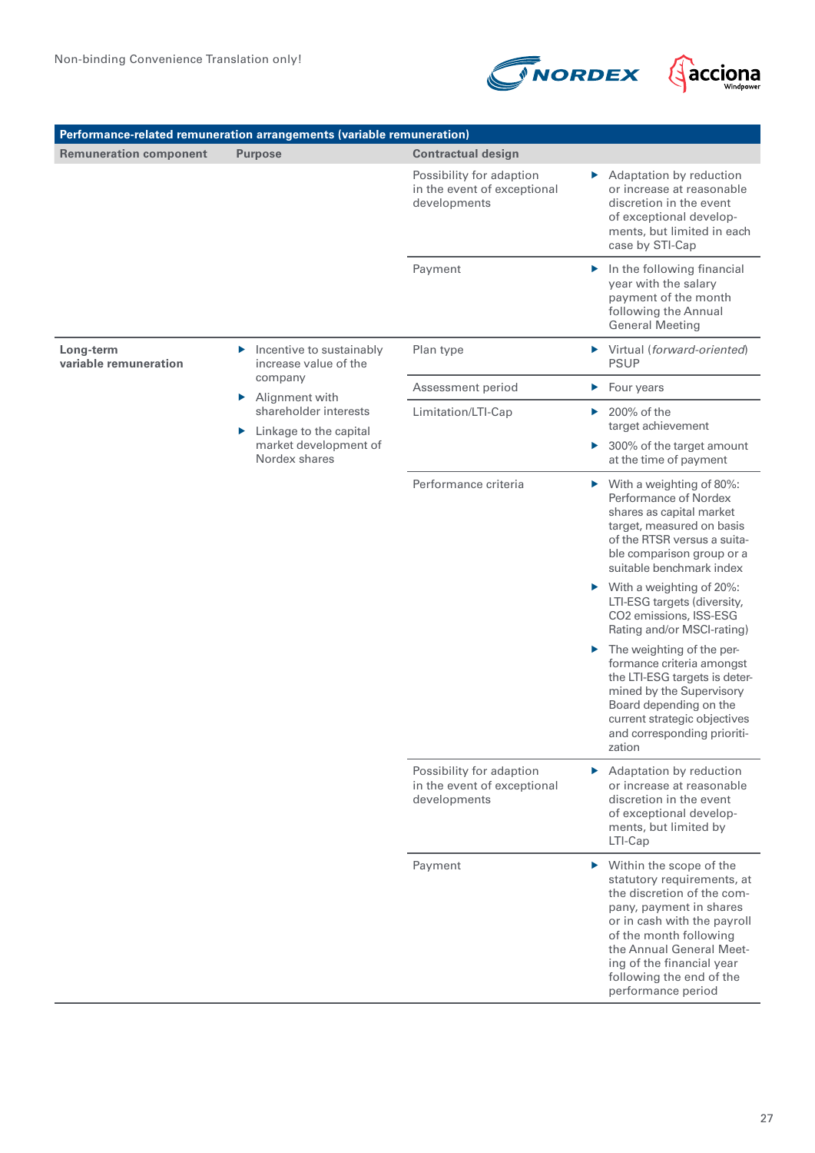

| Performance-related remuneration arrangements (variable remuneration) |                                                                                                                                                                                             |                                                                         |                                                                                                                                                                                                                                                                                                     |  |
|-----------------------------------------------------------------------|---------------------------------------------------------------------------------------------------------------------------------------------------------------------------------------------|-------------------------------------------------------------------------|-----------------------------------------------------------------------------------------------------------------------------------------------------------------------------------------------------------------------------------------------------------------------------------------------------|--|
| <b>Remuneration component</b>                                         | <b>Purpose</b>                                                                                                                                                                              | <b>Contractual design</b>                                               |                                                                                                                                                                                                                                                                                                     |  |
|                                                                       |                                                                                                                                                                                             | Possibility for adaption<br>in the event of exceptional<br>developments | Adaptation by reduction<br>▶<br>or increase at reasonable<br>discretion in the event<br>of exceptional develop-<br>ments, but limited in each<br>case by STI-Cap                                                                                                                                    |  |
|                                                                       |                                                                                                                                                                                             | Payment                                                                 | $\blacktriangleright$ In the following financial<br>year with the salary<br>payment of the month<br>following the Annual<br><b>General Meeting</b>                                                                                                                                                  |  |
| Long-term<br>variable remuneration                                    | Incentive to sustainably<br>▶<br>increase value of the<br>company<br>Alignment with<br>Þ.<br>shareholder interests<br>Linkage to the capital<br>▶<br>market development of<br>Nordex shares | Plan type                                                               | Virtual (forward-oriented)<br><b>PSUP</b>                                                                                                                                                                                                                                                           |  |
|                                                                       |                                                                                                                                                                                             | Assessment period                                                       | Four years<br>▶                                                                                                                                                                                                                                                                                     |  |
|                                                                       |                                                                                                                                                                                             | Limitation/LTI-Cap                                                      | 200% of the<br>Þ.<br>target achievement                                                                                                                                                                                                                                                             |  |
|                                                                       |                                                                                                                                                                                             |                                                                         | 300% of the target amount<br>▶<br>at the time of payment                                                                                                                                                                                                                                            |  |
|                                                                       |                                                                                                                                                                                             | Performance criteria                                                    | $\triangleright$ With a weighting of 80%:<br>Performance of Nordex<br>shares as capital market<br>target, measured on basis<br>of the RTSR versus a suita-<br>ble comparison group or a<br>suitable benchmark index                                                                                 |  |
|                                                                       |                                                                                                                                                                                             |                                                                         | $\triangleright$ With a weighting of 20%:<br>LTI-ESG targets (diversity,<br>CO2 emissions, ISS-ESG<br>Rating and/or MSCI-rating)                                                                                                                                                                    |  |
|                                                                       |                                                                                                                                                                                             |                                                                         | $\blacktriangleright$ The weighting of the per-<br>formance criteria amongst<br>the LTI-ESG targets is deter-<br>mined by the Supervisory<br>Board depending on the<br>current strategic objectives<br>and corresponding prioriti-<br>zation                                                        |  |
|                                                                       |                                                                                                                                                                                             | Possibility for adaption<br>in the event of exceptional<br>developments | $\blacktriangleright$ Adaptation by reduction<br>or increase at reasonable<br>discretion in the event<br>of exceptional develop-<br>ments, but limited by<br>LTI-Cap                                                                                                                                |  |
|                                                                       |                                                                                                                                                                                             | Payment                                                                 | $\triangleright$ Within the scope of the<br>statutory requirements, at<br>the discretion of the com-<br>pany, payment in shares<br>or in cash with the payroll<br>of the month following<br>the Annual General Meet-<br>ing of the financial year<br>following the end of the<br>performance period |  |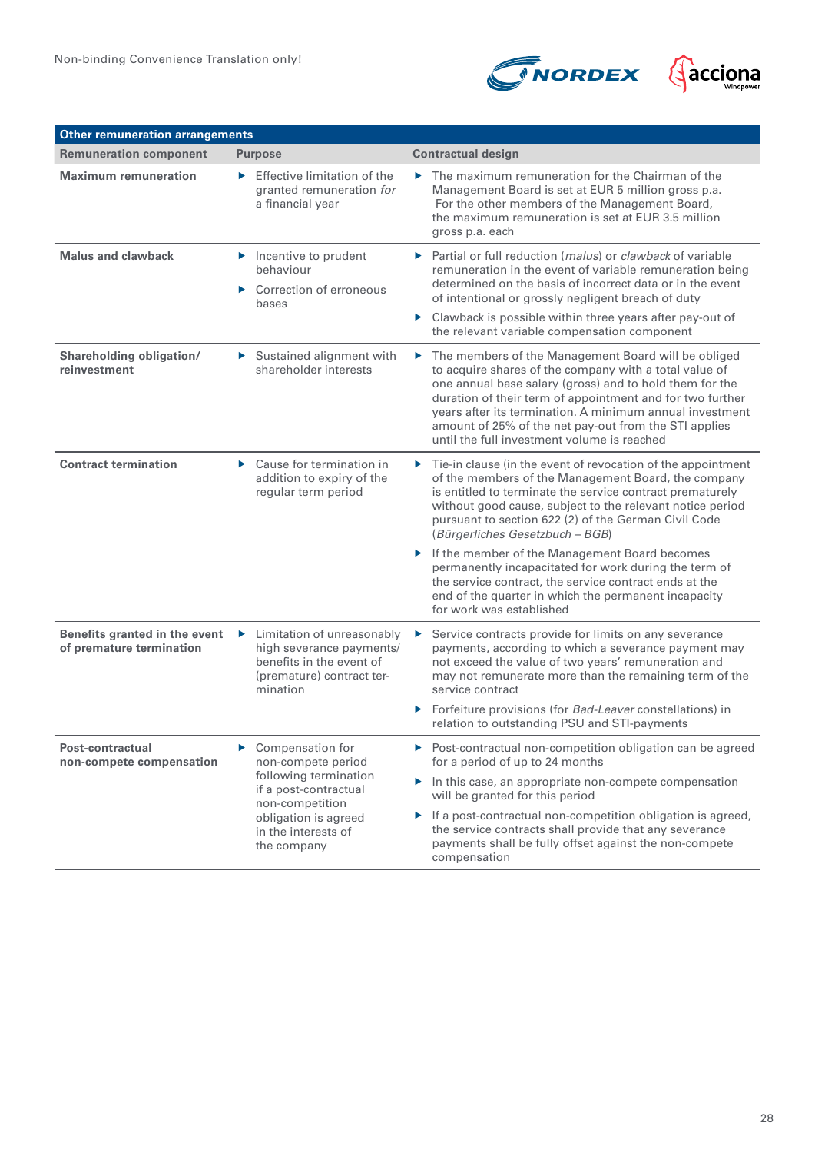

| <b>Other remuneration arrangements</b>                    |                                                                                                                                                                                |                                                                                                                                                                                                                                                                                                                                                                                                                                                                                                                                                                                                                   |  |
|-----------------------------------------------------------|--------------------------------------------------------------------------------------------------------------------------------------------------------------------------------|-------------------------------------------------------------------------------------------------------------------------------------------------------------------------------------------------------------------------------------------------------------------------------------------------------------------------------------------------------------------------------------------------------------------------------------------------------------------------------------------------------------------------------------------------------------------------------------------------------------------|--|
| <b>Remuneration component</b>                             | <b>Purpose</b>                                                                                                                                                                 | <b>Contractual design</b>                                                                                                                                                                                                                                                                                                                                                                                                                                                                                                                                                                                         |  |
| <b>Maximum remuneration</b>                               | Effective limitation of the<br>ь.<br>granted remuneration for<br>a financial year                                                                                              | $\blacktriangleright$ The maximum remuneration for the Chairman of the<br>Management Board is set at EUR 5 million gross p.a.<br>For the other members of the Management Board,<br>the maximum remuneration is set at EUR 3.5 million<br>gross p.a. each                                                                                                                                                                                                                                                                                                                                                          |  |
| <b>Malus and clawback</b>                                 | $\blacktriangleright$ Incentive to prudent<br>behaviour<br>Correction of erroneous<br>▶<br>bases                                                                               | ▶ Partial or full reduction (malus) or clawback of variable<br>remuneration in the event of variable remuneration being<br>determined on the basis of incorrect data or in the event<br>of intentional or grossly negligent breach of duty<br>▶ Clawback is possible within three years after pay-out of<br>the relevant variable compensation component                                                                                                                                                                                                                                                          |  |
| Shareholding obligation/<br>reinvestment                  | Sustained alignment with<br>shareholder interests                                                                                                                              | The members of the Management Board will be obliged<br>to acquire shares of the company with a total value of<br>one annual base salary (gross) and to hold them for the<br>duration of their term of appointment and for two further<br>years after its termination. A minimum annual investment<br>amount of 25% of the net pay-out from the STI applies<br>until the full investment volume is reached                                                                                                                                                                                                         |  |
| <b>Contract termination</b>                               | $\triangleright$ Cause for termination in<br>addition to expiry of the<br>regular term period                                                                                  | $\triangleright$ Tie-in clause (in the event of revocation of the appointment<br>of the members of the Management Board, the company<br>is entitled to terminate the service contract prematurely<br>without good cause, subject to the relevant notice period<br>pursuant to section 622 (2) of the German Civil Code<br>(Bürgerliches Gesetzbuch - BGB)<br>If the member of the Management Board becomes<br>permanently incapacitated for work during the term of<br>the service contract, the service contract ends at the<br>end of the quarter in which the permanent incapacity<br>for work was established |  |
| Benefits granted in the event<br>of premature termination | Eimitation of unreasonably<br>high severance payments/<br>benefits in the event of<br>(premature) contract ter-<br>mination                                                    | Service contracts provide for limits on any severance<br>▶<br>payments, according to which a severance payment may<br>not exceed the value of two years' remuneration and<br>may not remunerate more than the remaining term of the<br>service contract<br>Forfeiture provisions (for Bad-Leaver constellations) in<br>▶<br>relation to outstanding PSU and STI-payments                                                                                                                                                                                                                                          |  |
| Post-contractual<br>non-compete compensation              | Compensation for<br>▶<br>non-compete period<br>following termination<br>if a post-contractual<br>non-competition<br>obligation is agreed<br>in the interests of<br>the company | ▶ Post-contractual non-competition obligation can be agreed<br>for a period of up to 24 months<br>In this case, an appropriate non-compete compensation<br>will be granted for this period<br>If a post-contractual non-competition obligation is agreed,<br>▶<br>the service contracts shall provide that any severance<br>payments shall be fully offset against the non-compete<br>compensation                                                                                                                                                                                                                |  |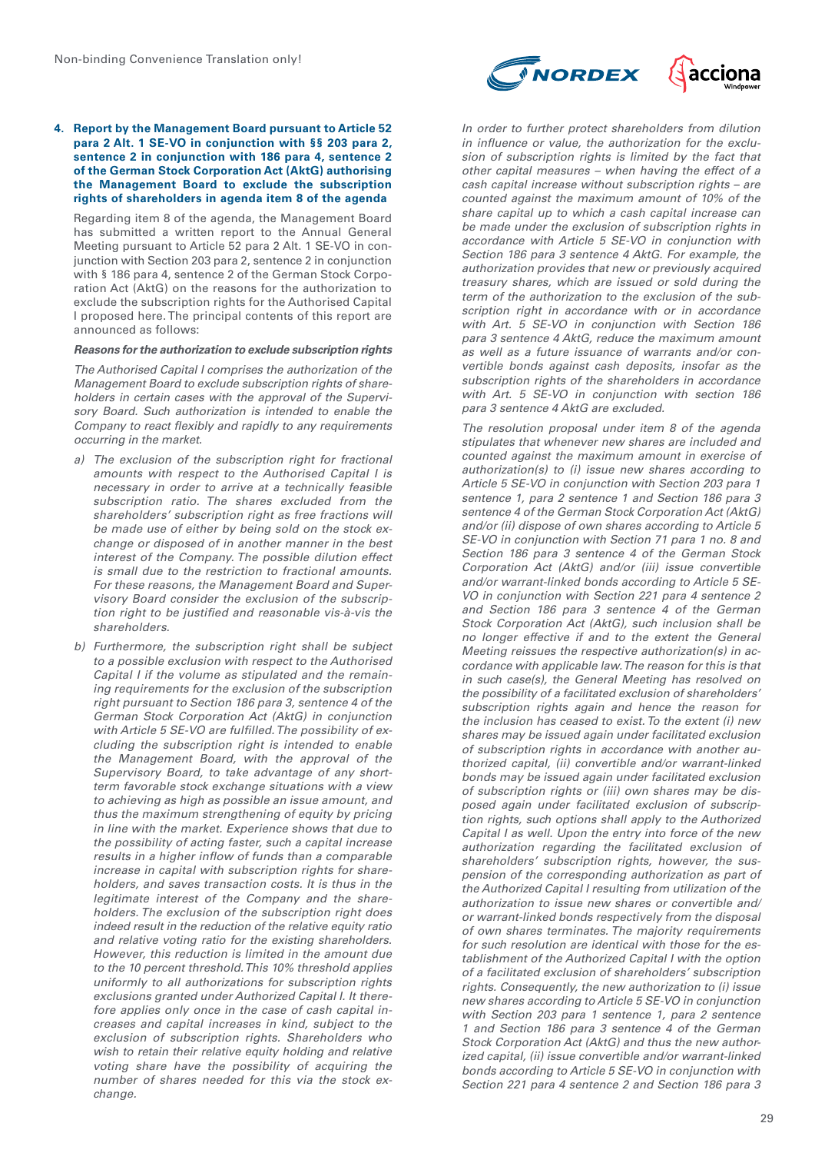#### **4. Report by the Management Board pursuant to Article 52 para 2 Alt. 1 SE-VO in conjunction with §§ 203 para 2, sentence 2 in conjunction with 186 para 4, sentence 2 of the German Stock Corporation Act (AktG) authorising the Management Board to exclude the subscription rights of shareholders in agenda item 8 of the agenda**

Regarding item 8 of the agenda, the Management Board has submitted a written report to the Annual General Meeting pursuant to Article 52 para 2 Alt. 1 SE-VO in conjunction with Section 203 para 2, sentence 2 in conjunction with § 186 para 4, sentence 2 of the German Stock Corporation Act (AktG) on the reasons for the authorization to exclude the subscription rights for the Authorised Capital I proposed here. The principal contents of this report are announced as follows:

# **Reasons for the authorization to exclude subscription rights**

*The Authorised Capital I comprises the authorization of the Management Board to exclude subscription rights of shareholders in certain cases with the approval of the Supervisory Board. Such authorization is intended to enable the Company to react flexibly and rapidly to any requirements occurring in the market.*

- *a) The exclusion of the subscription right for fractional amounts with respect to the Authorised Capital I is necessary in order to arrive at a technically feasible subscription ratio. The shares excluded from the shareholders' subscription right as free fractions will be made use of either by being sold on the stock exchange or disposed of in another manner in the best interest of the Company. The possible dilution effect is small due to the restriction to fractional amounts. For these reasons, the Management Board and Supervisory Board consider the exclusion of the subscription right to be justified and reasonable vis-à-vis the shareholders.*
- *b) Furthermore, the subscription right shall be subject to a possible exclusion with respect to the Authorised Capital I if the volume as stipulated and the remaining requirements for the exclusion of the subscription right pursuant to Section 186 para 3, sentence 4 of the German Stock Corporation Act (AktG) in conjunction with Article 5 SE-VO are fulfilled. The possibility of excluding the subscription right is intended to enable the Management Board, with the approval of the Supervisory Board, to take advantage of any shortterm favorable stock exchange situations with a view to achieving as high as possible an issue amount, and thus the maximum strengthening of equity by pricing in line with the market. Experience shows that due to the possibility of acting faster, such a capital increase results in a higher inflow of funds than a comparable increase in capital with subscription rights for shareholders, and saves transaction costs. It is thus in the legitimate interest of the Company and the shareholders. The exclusion of the subscription right does indeed result in the reduction of the relative equity ratio and relative voting ratio for the existing shareholders. However, this reduction is limited in the amount due to the 10 percent threshold. This 10% threshold applies uniformly to all authorizations for subscription rights exclusions granted under Authorized Capital I. It therefore applies only once in the case of cash capital increases and capital increases in kind, subject to the exclusion of subscription rights. Shareholders who wish to retain their relative equity holding and relative voting share have the possibility of acquiring the number of shares needed for this via the stock exchange.*



*In order to further protect shareholders from dilution in influence or value, the authorization for the exclusion of subscription rights is limited by the fact that other capital measures – when having the effect of a cash capital increase without subscription rights – are counted against the maximum amount of 10% of the share capital up to which a cash capital increase can be made under the exclusion of subscription rights in accordance with Article 5 SE-VO in conjunction with Section 186 para 3 sentence 4 AktG. For example, the authorization provides that new or previously acquired treasury shares, which are issued or sold during the term of the authorization to the exclusion of the subscription right in accordance with or in accordance with Art. 5 SE-VO in conjunction with Section 186 para 3 sentence 4 AktG, reduce the maximum amount as well as a future issuance of warrants and/or convertible bonds against cash deposits, insofar as the subscription rights of the shareholders in accordance with Art. 5 SE-VO in conjunction with section 186 para 3 sentence 4 AktG are excluded.*

*The resolution proposal under item 8 of the agenda stipulates that whenever new shares are included and counted against the maximum amount in exercise of authorization(s) to (i) issue new shares according to Article 5 SE-VO in conjunction with Section 203 para 1 sentence 1, para 2 sentence 1 and Section 186 para 3 sentence 4 of the German Stock Corporation Act (AktG) and/or (ii) dispose of own shares according to Article 5 SE-VO in conjunction with Section 71 para 1 no. 8 and Section 186 para 3 sentence 4 of the German Stock Corporation Act (AktG) and/or (iii) issue convertible and/or warrant-linked bonds according to Article 5 SE-VO in conjunction with Section 221 para 4 sentence 2 and Section 186 para 3 sentence 4 of the German Stock Corporation Act (AktG), such inclusion shall be no longer effective if and to the extent the General Meeting reissues the respective authorization(s) in accordance with applicable law. The reason for this is that in such case(s), the General Meeting has resolved on the possibility of a facilitated exclusion of shareholders' subscription rights again and hence the reason for the inclusion has ceased to exist. To the extent (i) new shares may be issued again under facilitated exclusion of subscription rights in accordance with another authorized capital, (ii) convertible and/or warrant-linked bonds may be issued again under facilitated exclusion of subscription rights or (iii) own shares may be disposed again under facilitated exclusion of subscription rights, such options shall apply to the Authorized Capital I as well. Upon the entry into force of the new authorization regarding the facilitated exclusion of shareholders' subscription rights, however, the suspension of the corresponding authorization as part of the Authorized Capital I resulting from utilization of the authorization to issue new shares or convertible and/ or warrant-linked bonds respectively from the disposal of own shares terminates. The majority requirements for such resolution are identical with those for the establishment of the Authorized Capital I with the option of a facilitated exclusion of shareholders' subscription rights. Consequently, the new authorization to (i) issue new shares according to Article 5 SE-VO in conjunction with Section 203 para 1 sentence 1, para 2 sentence 1 and Section 186 para 3 sentence 4 of the German Stock Corporation Act (AktG) and thus the new authorized capital, (ii) issue convertible and/or warrant-linked bonds according to Article 5 SE-VO in conjunction with Section 221 para 4 sentence 2 and Section 186 para 3*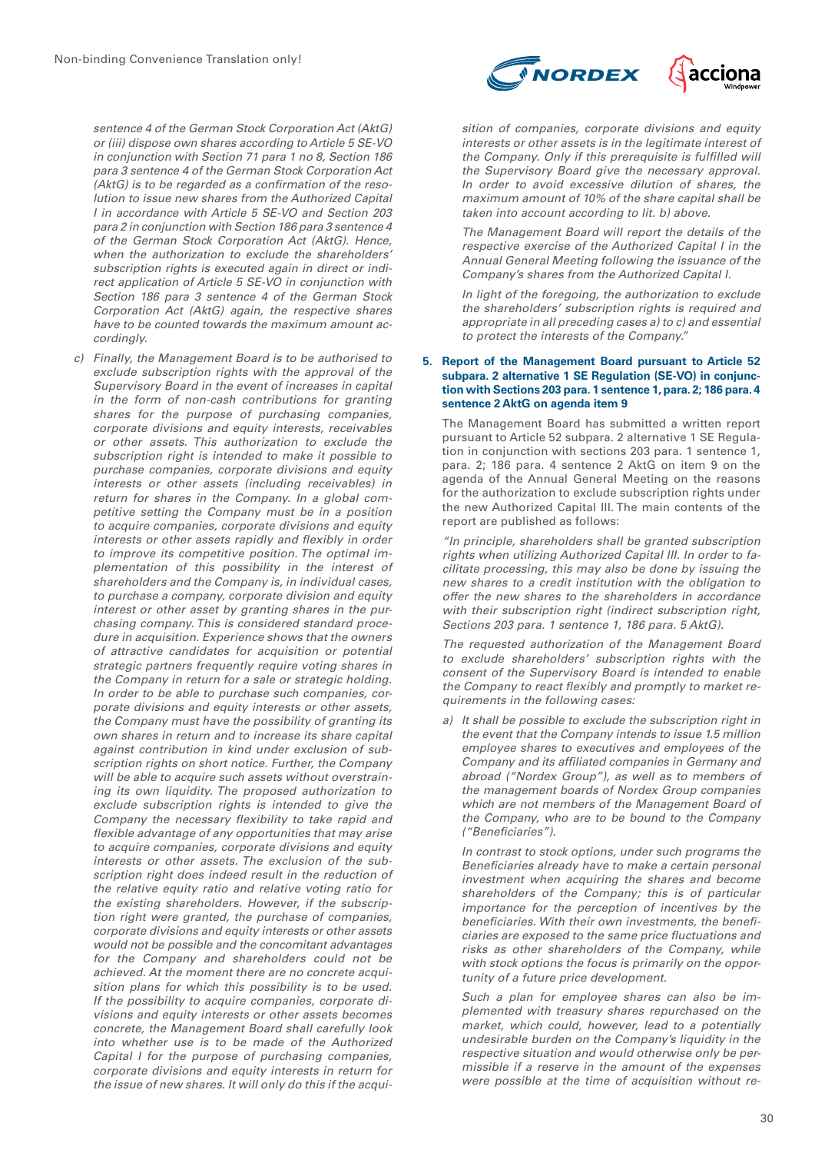*sentence 4 of the German Stock Corporation Act (AktG) or (iii) dispose own shares according to Article 5 SE-VO in conjunction with Section 71 para 1 no 8, Section 186 para 3 sentence 4 of the German Stock Corporation Act (AktG) is to be regarded as a confirmation of the resolution to issue new shares from the Authorized Capital I in accordance with Article 5 SE-VO and Section 203 para 2 in conjunction with Section 186 para 3 sentence 4 of the German Stock Corporation Act (AktG). Hence, when the authorization to exclude the shareholders' subscription rights is executed again in direct or indirect application of Article 5 SE-VO in conjunction with Section 186 para 3 sentence 4 of the German Stock Corporation Act (AktG) again, the respective shares have to be counted towards the maximum amount accordingly.*

*c) Finally, the Management Board is to be authorised to exclude subscription rights with the approval of the Supervisory Board in the event of increases in capital in the form of non-cash contributions for granting shares for the purpose of purchasing companies, corporate divisions and equity interests, receivables or other assets. This authorization to exclude the subscription right is intended to make it possible to purchase companies, corporate divisions and equity interests or other assets (including receivables) in return for shares in the Company. In a global competitive setting the Company must be in a position to acquire companies, corporate divisions and equity interests or other assets rapidly and flexibly in order to improve its competitive position. The optimal implementation of this possibility in the interest of shareholders and the Company is, in individual cases, to purchase a company, corporate division and equity interest or other asset by granting shares in the purchasing company. This is considered standard procedure in acquisition. Experience shows that the owners of attractive candidates for acquisition or potential strategic partners frequently require voting shares in the Company in return for a sale or strategic holding. In order to be able to purchase such companies, corporate divisions and equity interests or other assets, the Company must have the possibility of granting its own shares in return and to increase its share capital against contribution in kind under exclusion of subscription rights on short notice. Further, the Company will be able to acquire such assets without overstraining its own liquidity. The proposed authorization to exclude subscription rights is intended to give the Company the necessary flexibility to take rapid and flexible advantage of any opportunities that may arise to acquire companies, corporate divisions and equity interests or other assets. The exclusion of the subscription right does indeed result in the reduction of the relative equity ratio and relative voting ratio for the existing shareholders. However, if the subscription right were granted, the purchase of companies, corporate divisions and equity interests or other assets would not be possible and the concomitant advantages for the Company and shareholders could not be achieved. At the moment there are no concrete acquisition plans for which this possibility is to be used. If the possibility to acquire companies, corporate divisions and equity interests or other assets becomes concrete, the Management Board shall carefully look into whether use is to be made of the Authorized Capital I for the purpose of purchasing companies, corporate divisions and equity interests in return for the issue of new shares. It will only do this if the acqui-*



*sition of companies, corporate divisions and equity interests or other assets is in the legitimate interest of the Company. Only if this prerequisite is fulfilled will the Supervisory Board give the necessary approval. In order to avoid excessive dilution of shares, the maximum amount of 10% of the share capital shall be taken into account according to lit. b) above.*

*The Management Board will report the details of the respective exercise of the Authorized Capital I in the Annual General Meeting following the issuance of the Company's shares from the Authorized Capital I.*

*In light of the foregoing, the authorization to exclude the shareholders' subscription rights is required and appropriate in all preceding cases a) to c) and essential to protect the interests of the Company."*

#### **5. Report of the Management Board pursuant to Article 52 subpara. 2 alternative 1 SE Regulation (SE-VO) in conjunction with Sections 203 para. 1 sentence 1, para. 2; 186 para. 4 sentence 2 AktG on agenda item 9**

The Management Board has submitted a written report pursuant to Article 52 subpara. 2 alternative 1 SE Regulation in conjunction with sections 203 para. 1 sentence 1, para. 2; 186 para. 4 sentence 2 AktG on item 9 on the agenda of the Annual General Meeting on the reasons for the authorization to exclude subscription rights under the new Authorized Capital III. The main contents of the report are published as follows:

*"In principle, shareholders shall be granted subscription rights when utilizing Authorized Capital III. In order to facilitate processing, this may also be done by issuing the new shares to a credit institution with the obligation to offer the new shares to the shareholders in accordance with their subscription right (indirect subscription right, Sections 203 para. 1 sentence 1, 186 para. 5 AktG).*

*The requested authorization of the Management Board to exclude shareholders' subscription rights with the consent of the Supervisory Board is intended to enable the Company to react flexibly and promptly to market requirements in the following cases:*

*a) It shall be possible to exclude the subscription right in the event that the Company intends to issue 1.5 million employee shares to executives and employees of the Company and its affiliated companies in Germany and abroad ("Nordex Group"), as well as to members of the management boards of Nordex Group companies which are not members of the Management Board of the Company, who are to be bound to the Company ("Beneficiaries").*

*In contrast to stock options, under such programs the Beneficiaries already have to make a certain personal investment when acquiring the shares and become shareholders of the Company; this is of particular importance for the perception of incentives by the beneficiaries. With their own investments, the beneficiaries are exposed to the same price fluctuations and risks as other shareholders of the Company, while with stock options the focus is primarily on the opportunity of a future price development.*

*Such a plan for employee shares can also be implemented with treasury shares repurchased on the market, which could, however, lead to a potentially undesirable burden on the Company's liquidity in the respective situation and would otherwise only be permissible if a reserve in the amount of the expenses were possible at the time of acquisition without re-*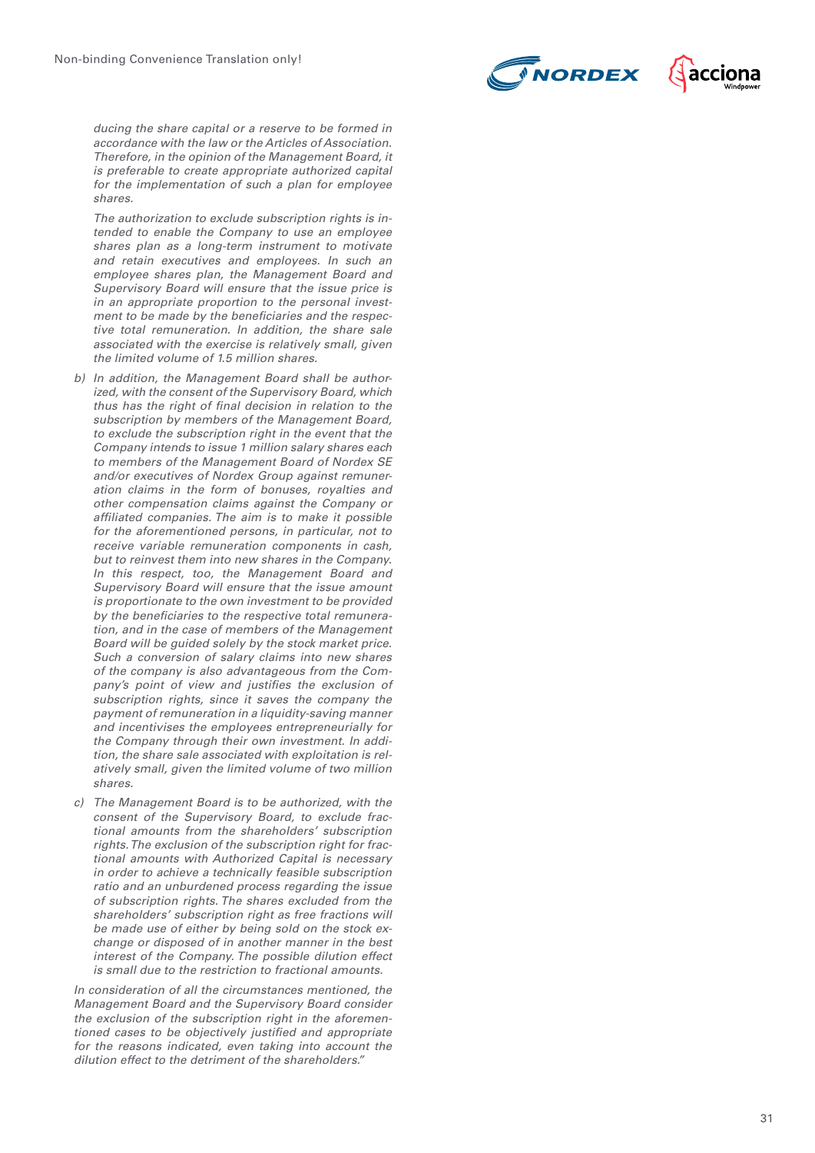



*ducing the share capital or a reserve to be formed in accordance with the law or the Articles of Association. Therefore, in the opinion of the Management Board, it is preferable to create appropriate authorized capital for the implementation of such a plan for employee shares.*

*The authorization to exclude subscription rights is in tended to enable the Company to use an employee shares plan as a long-term instrument to motivate and retain executives and employees. In such an employee shares plan, the Management Board and Supervisory Board will ensure that the issue price is in an appropriate proportion to the personal invest ment to be made by the beneficiaries and the respec tive total remuneration. In addition, the share sale associated with the exercise is relatively small, given the limited volume of 1.5 million shares.*

- *b) In addition, the Management Board shall be authorized, with the consent of the Supervisory Board, which thus has the right of final decision in relation to the subscription by members of the Management Board, to exclude the subscription right in the event that the Company intends to issue 1 million salary shares each to members of the Management Board of Nordex SE and/or executives of Nordex Group against remuneration claims in the form of bonuses, royalties and other compensation claims against the Company or affiliated companies. The aim is to make it possible for the aforementioned persons, in particular, not to receive variable remuneration components in cash, but to reinvest them into new shares in the Company. In this respect, too, the Management Board and Supervisory Board will ensure that the issue amount is proportionate to the own investment to be provided by the beneficiaries to the respective total remunera tion, and in the case of members of the Management Board will be guided solely by the stock market price. Such a conversion of salary claims into new shares of the company is also advantageous from the Com pany's point of view and justifies the exclusion of subscription rights, since it saves the company the payment of remuneration in a liquidity-saving manner and incentivises the employees entrepreneurially for the Company through their own investment. In addi tion, the share sale associated with exploitation is rel atively small, given the limited volume of two million shares.*
- *c) The Management Board is to be authorized, with the consent of the Supervisory Board, to exclude frac tional amounts from the shareholders' subscription rights. The exclusion of the subscription right for frac tional amounts with Authorized Capital is necessary in order to achieve a technically feasible subscription ratio and an unburdened process regarding the issue of subscription rights. The shares excluded from the shareholders' subscription right as free fractions will be made use of either by being sold on the stock exchange or disposed of in another manner in the best interest of the Company. The possible dilution effect is small due to the restriction to fractional amounts.*

*In consideration of all the circumstances mentioned, the Management Board and the Supervisory Board consider the exclusion of the subscription right in the aforemen tioned cases to be objectively justified and appropriate for the reasons indicated, even taking into account the dilution effect to the detriment of the shareholders."*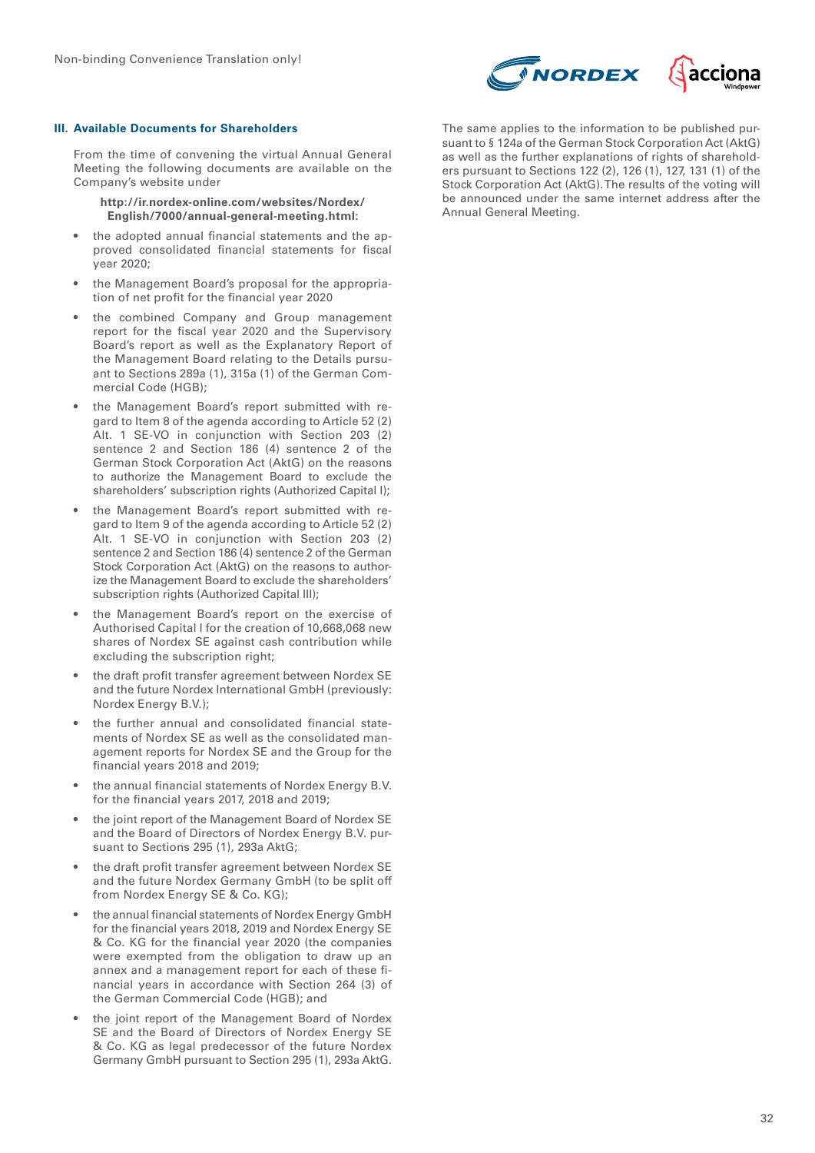

#### **III. Available Documents for Shareholders**

From the time of convening the virtual Annual General Meeting the following documents are available on the Company's website under

**http://ir.nordex-online.com/websites/Nordex/ English/7000/annual-general-meeting.html:**

- the adopted annual financial statements and the approved consolidated financial statements for fiscal year 2020;
- the Management Board's proposal for the appropriation of net profit for the financial year 2020
- the combined Company and Group management report for the fiscal year 2020 and the Supervisory Board's report as well as the Explanatory Report of the Management Board relating to the Details pursuant to Sections 289a (1), 315a (1) of the German Commercial Code (HGB);
- the Management Board's report submitted with regard to Item 8 of the agenda according to Article 52 (2) Alt. 1 SE-VO in conjunction with Section 203 (2) sentence 2 and Section 186 (4) sentence 2 of the German Stock Corporation Act (AktG) on the reasons to authorize the Management Board to exclude the shareholders' subscription rights (Authorized Capital I);
- the Management Board's report submitted with regard to Item 9 of the agenda according to Article 52 (2) Alt. 1 SE-VO in conjunction with Section 203 (2) sentence 2 and Section 186 (4) sentence 2 of the German Stock Corporation Act (AktG) on the reasons to authorize the Management Board to exclude the shareholders' subscription rights (Authorized Capital III);
- the Management Board's report on the exercise of Authorised Capital I for the creation of 10,668,068 new shares of Nordex SE against cash contribution while excluding the subscription right;
- the draft profit transfer agreement between Nordex SE and the future Nordex International GmbH (previously: Nordex Energy B.V.);
- the further annual and consolidated financial statements of Nordex SE as well as the consolidated management reports for Nordex SE and the Group for the financial years 2018 and 2019;
- the annual financial statements of Nordex Energy B.V. for the financial years 2017, 2018 and 2019;
- the joint report of the Management Board of Nordex SE and the Board of Directors of Nordex Energy B.V. pursuant to Sections 295 (1), 293a AktG;
- the draft profit transfer agreement between Nordex SE and the future Nordex Germany GmbH (to be split off from Nordex Energy SE & Co. KG);
- the annual financial statements of Nordex Energy GmbH for the financial years 2018, 2019 and Nordex Energy SE & Co. KG for the financial year 2020 (the companies were exempted from the obligation to draw up an annex and a management report for each of these financial years in accordance with Section 264 (3) of the German Commercial Code (HGB); and
- the joint report of the Management Board of Nordex SE and the Board of Directors of Nordex Energy SE & Co. KG as legal predecessor of the future Nordex Germany GmbH pursuant to Section 295 (1), 293a AktG.

The same applies to the information to be published pursuant to § 124a of the German Stock Corporation Act (AktG) as well as the further explanations of rights of shareholders pursuant to Sections 122 (2), 126 (1), 127, 131 (1) of the Stock Corporation Act (AktG). The results of the voting will be announced under the same internet address after the Annual General Meeting.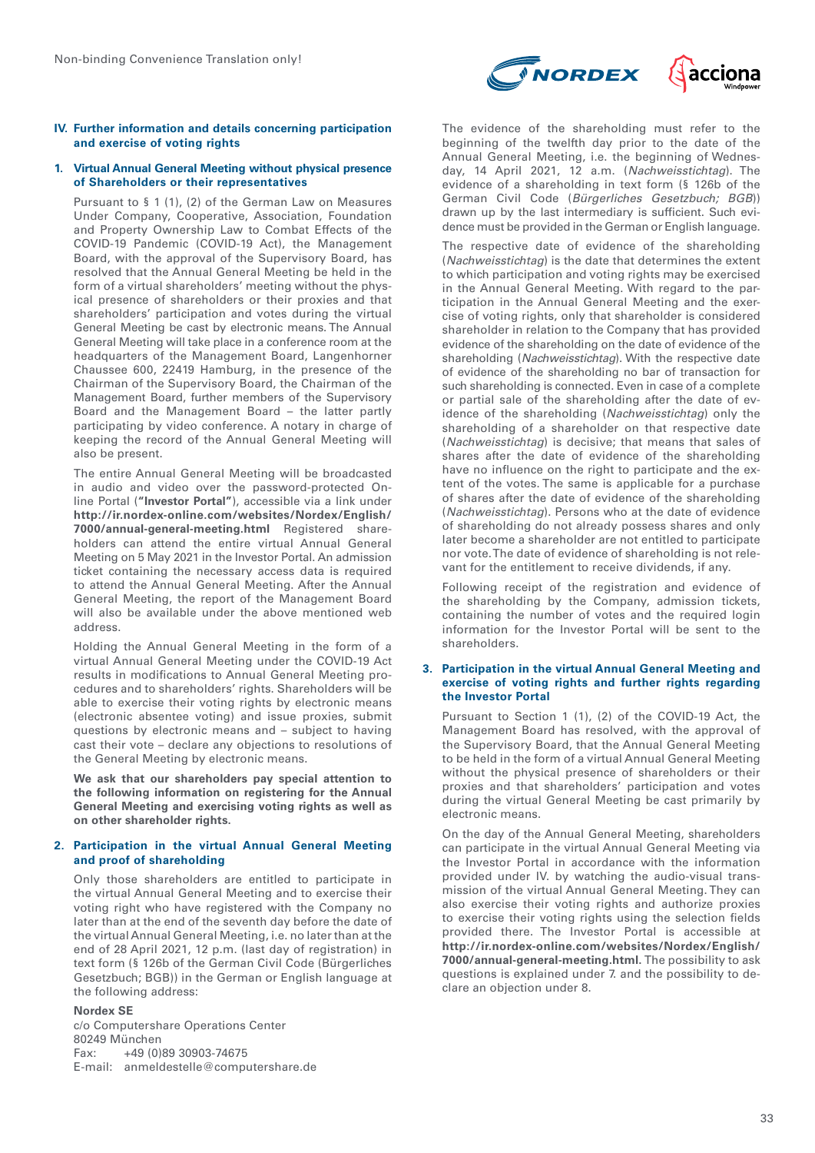#### **IV. Further information and details concerning participation and exercise of voting rights**

#### **1. Virtual Annual General Meeting without physical presence of Shareholders or their representatives**

Pursuant to § 1 (1), (2) of the German Law on Measures Under Company, Cooperative, Association, Foundation and Property Ownership Law to Combat Effects of the COVID-19 Pandemic (COVID-19 Act), the Management Board, with the approval of the Supervisory Board, has resolved that the Annual General Meeting be held in the form of a virtual shareholders' meeting without the physical presence of shareholders or their proxies and that shareholders' participation and votes during the virtual General Meeting be cast by electronic means. The Annual General Meeting will take place in a conference room at the headquarters of the Management Board, Langenhorner Chaussee 600, 22419 Hamburg, in the presence of the Chairman of the Supervisory Board, the Chairman of the Management Board, further members of the Supervisory Board and the Management Board – the latter partly participating by video conference. A notary in charge of keeping the record of the Annual General Meeting will also be present.

The entire Annual General Meeting will be broadcasted in audio and video over the password-protected Online Portal (**"Investor Portal"**), accessible via a link under **http://ir.nordex-online.com/websites/Nordex/English/ 7000/annual-general-meeting.html** Registered shareholders can attend the entire virtual Annual General Meeting on 5 May 2021 in the Investor Portal. An admission ticket containing the necessary access data is required to attend the Annual General Meeting. After the Annual General Meeting, the report of the Management Board will also be available under the above mentioned web address.

Holding the Annual General Meeting in the form of a virtual Annual General Meeting under the COVID-19 Act results in modifications to Annual General Meeting procedures and to shareholders' rights. Shareholders will be able to exercise their voting rights by electronic means (electronic absentee voting) and issue proxies, submit questions by electronic means and – subject to having cast their vote – declare any objections to resolutions of the General Meeting by electronic means.

**We ask that our shareholders pay special attention to the following information on registering for the Annual General Meeting and exercising voting rights as well as on other shareholder rights.**

#### **2. Participation in the virtual Annual General Meeting and proof of shareholding**

Only those shareholders are entitled to participate in the virtual Annual General Meeting and to exercise their voting right who have registered with the Company no later than at the end of the seventh day before the date of the virtual Annual General Meeting, i.e. no later than at the end of 28 April 2021, 12 p.m. (last day of registration) in text form (§ 126b of the German Civil Code (Bürgerliches Gesetzbuch; BGB)) in the German or English language at the following address:

# **Nordex SE**

c/o Computershare Operations Center 80249 München Fax: +49 (0)89 30903-74675 E-mail: anmeldestelle@computershare.de



The evidence of the shareholding must refer to the beginning of the twelfth day prior to the date of the Annual General Meeting, i.e. the beginning of Wednesday, 14 April 2021, 12 a.m. (*Nachweisstichtag*). The evidence of a shareholding in text form (§ 126b of the German Civil Code (*Bürgerliches Gesetzbuch; BGB*)) drawn up by the last intermediary is sufficient. Such evidence must be provided in the German or English language.

The respective date of evidence of the shareholding (*Nachweisstichtag*) is the date that determines the extent to which participation and voting rights may be exercised in the Annual General Meeting. With regard to the participation in the Annual General Meeting and the exercise of voting rights, only that shareholder is considered shareholder in relation to the Company that has provided evidence of the shareholding on the date of evidence of the shareholding (*Nachweisstichtag*). With the respective date of evidence of the shareholding no bar of transaction for such shareholding is connected. Even in case of a complete or partial sale of the shareholding after the date of evidence of the shareholding (*Nachweisstichtag*) only the shareholding of a shareholder on that respective date (*Nachweisstichtag*) is decisive; that means that sales of shares after the date of evidence of the shareholding have no influence on the right to participate and the extent of the votes. The same is applicable for a purchase of shares after the date of evidence of the shareholding (*Nachweisstichtag*). Persons who at the date of evidence of shareholding do not already possess shares and only later become a shareholder are not entitled to participate nor vote. The date of evidence of shareholding is not relevant for the entitlement to receive dividends, if any.

Following receipt of the registration and evidence of the shareholding by the Company, admission tickets, containing the number of votes and the required login information for the Investor Portal will be sent to the shareholders.

#### **3. Participation in the virtual Annual General Meeting and exercise of voting rights and further rights regarding the Investor Portal**

Pursuant to Section 1 (1), (2) of the COVID-19 Act, the Management Board has resolved, with the approval of the Supervisory Board, that the Annual General Meeting to be held in the form of a virtual Annual General Meeting without the physical presence of shareholders or their proxies and that shareholders' participation and votes during the virtual General Meeting be cast primarily by electronic means.

On the day of the Annual General Meeting, shareholders can participate in the virtual Annual General Meeting via the Investor Portal in accordance with the information provided under IV. by watching the audio-visual transmission of the virtual Annual General Meeting. They can also exercise their voting rights and authorize proxies to exercise their voting rights using the selection fields provided there. The Investor Portal is accessible at **http://ir.nordex-online.com/websites/Nordex/English/ 7000/annual-general-meeting.html.** The possibility to ask questions is explained under 7. and the possibility to declare an objection under 8.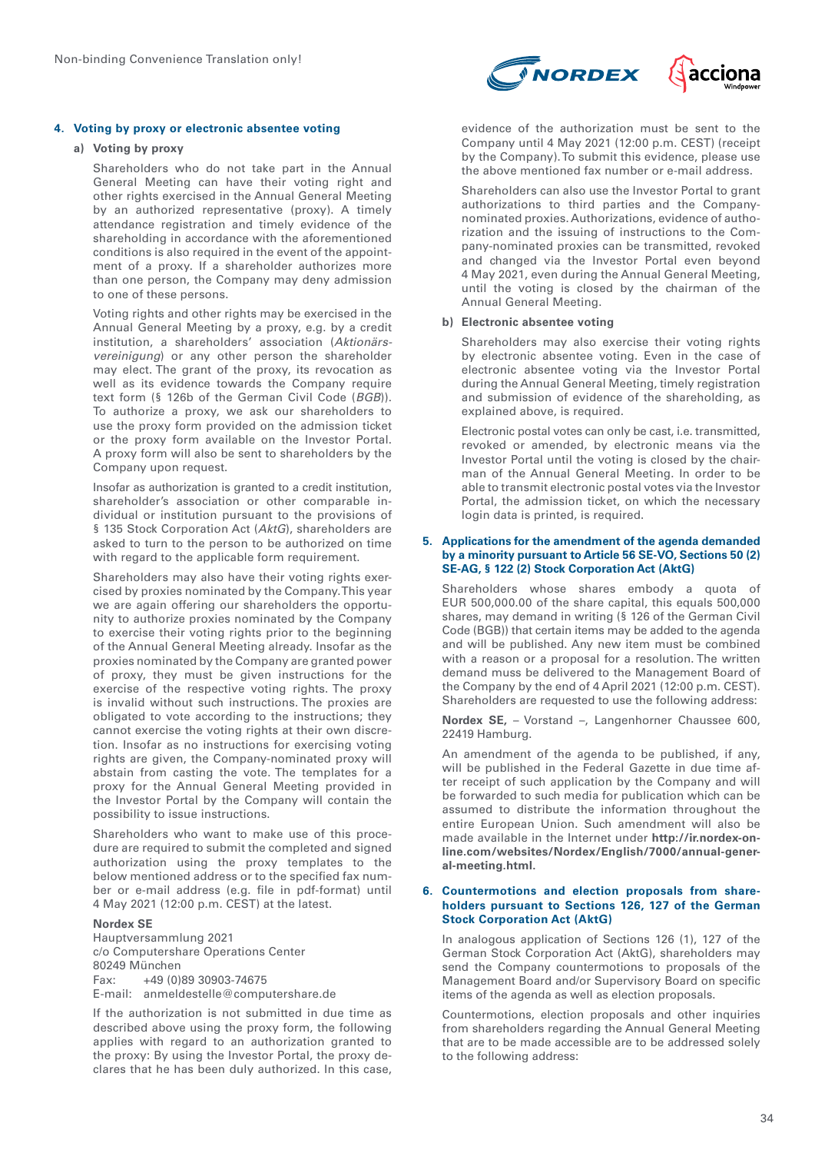# **4. Voting by proxy or electronic absentee voting**

#### **a) Voting by proxy**

Shareholders who do not take part in the Annual General Meeting can have their voting right and other rights exercised in the Annual General Meeting by an authorized representative (proxy). A timely attendance registration and timely evidence of the shareholding in accordance with the aforementioned conditions is also required in the event of the appointment of a proxy. If a shareholder authorizes more than one person, the Company may deny admission to one of these persons.

Voting rights and other rights may be exercised in the Annual General Meeting by a proxy, e.g. by a credit institution, a shareholders' association (*Aktionärsvereinigung*) or any other person the shareholder may elect. The grant of the proxy, its revocation as well as its evidence towards the Company require text form (§ 126b of the German Civil Code (*BGB*)). To authorize a proxy, we ask our shareholders to use the proxy form provided on the admission ticket or the proxy form available on the Investor Portal. A proxy form will also be sent to shareholders by the Company upon request.

Insofar as authorization is granted to a credit institution, shareholder's association or other comparable individual or institution pursuant to the provisions of § 135 Stock Corporation Act (*AktG*), shareholders are asked to turn to the person to be authorized on time with regard to the applicable form requirement.

Shareholders may also have their voting rights exercised by proxies nominated by the Company. This year we are again offering our shareholders the opportunity to authorize proxies nominated by the Company to exercise their voting rights prior to the beginning of the Annual General Meeting already. Insofar as the proxies nominated by the Company are granted power of proxy, they must be given instructions for the exercise of the respective voting rights. The proxy is invalid without such instructions. The proxies are obligated to vote according to the instructions; they cannot exercise the voting rights at their own discretion. Insofar as no instructions for exercising voting rights are given, the Company-nominated proxy will abstain from casting the vote. The templates for a proxy for the Annual General Meeting provided in the Investor Portal by the Company will contain the possibility to issue instructions.

Shareholders who want to make use of this procedure are required to submit the completed and signed authorization using the proxy templates to the below mentioned address or to the specified fax number or e-mail address (e.g. file in pdf-format) until 4 May 2021 (12:00 p.m. CEST) at the latest.

#### **Nordex SE**

Hauptversammlung 2021 c/o Computershare Operations Center 80249 München Fax: +49 (0)89 30903-74675 E-mail: anmeldestelle@computershare.de

If the authorization is not submitted in due time as described above using the proxy form, the following applies with regard to an authorization granted to the proxy: By using the Investor Portal, the proxy declares that he has been duly authorized. In this case,



evidence of the authorization must be sent to the Company until 4 May 2021 (12:00 p.m. CEST) (receipt by the Company). To submit this evidence, please use the above mentioned fax number or e-mail address.

Shareholders can also use the Investor Portal to grant authorizations to third parties and the Companynominated proxies. Authorizations, evidence of authorization and the issuing of instructions to the Company-nominated proxies can be transmitted, revoked and changed via the Investor Portal even beyond 4 May 2021, even during the Annual General Meeting, until the voting is closed by the chairman of the Annual General Meeting.

# **b) Electronic absentee voting**

Shareholders may also exercise their voting rights by electronic absentee voting. Even in the case of electronic absentee voting via the Investor Portal during the Annual General Meeting, timely registration and submission of evidence of the shareholding, as explained above, is required.

Electronic postal votes can only be cast, i.e. transmitted, revoked or amended, by electronic means via the Investor Portal until the voting is closed by the chairman of the Annual General Meeting. In order to be able to transmit electronic postal votes via the Investor Portal, the admission ticket, on which the necessary login data is printed, is required.

#### **5. Applications for the amendment of the agenda demanded by a minority pursuant to Article 56 SE-VO, Sections 50 (2) SE-AG, § 122 (2) Stock Corporation Act (AktG)**

Shareholders whose shares embody a quota of EUR 500,000.00 of the share capital, this equals 500,000 shares, may demand in writing (§ 126 of the German Civil Code (BGB)) that certain items may be added to the agenda and will be published. Any new item must be combined with a reason or a proposal for a resolution. The written demand muss be delivered to the Management Board of the Company by the end of 4 April 2021 (12:00 p.m. CEST). Shareholders are requested to use the following address:

**Nordex SE,** – Vorstand –, Langenhorner Chaussee 600, 22419 Hamburg.

An amendment of the agenda to be published, if any, will be published in the Federal Gazette in due time after receipt of such application by the Company and will be forwarded to such media for publication which can be assumed to distribute the information throughout the entire European Union. Such amendment will also be made available in the Internet under **http://ir.nordex-online.com/websites/Nordex/English/7000/annual-general-meeting.html.**

#### **6. Countermotions and election proposals from shareholders pursuant to Sections 126, 127 of the German Stock Corporation Act (AktG)**

In analogous application of Sections 126 (1), 127 of the German Stock Corporation Act (AktG), shareholders may send the Company countermotions to proposals of the Management Board and/or Supervisory Board on specific items of the agenda as well as election proposals.

Countermotions, election proposals and other inquiries from shareholders regarding the Annual General Meeting that are to be made accessible are to be addressed solely to the following address: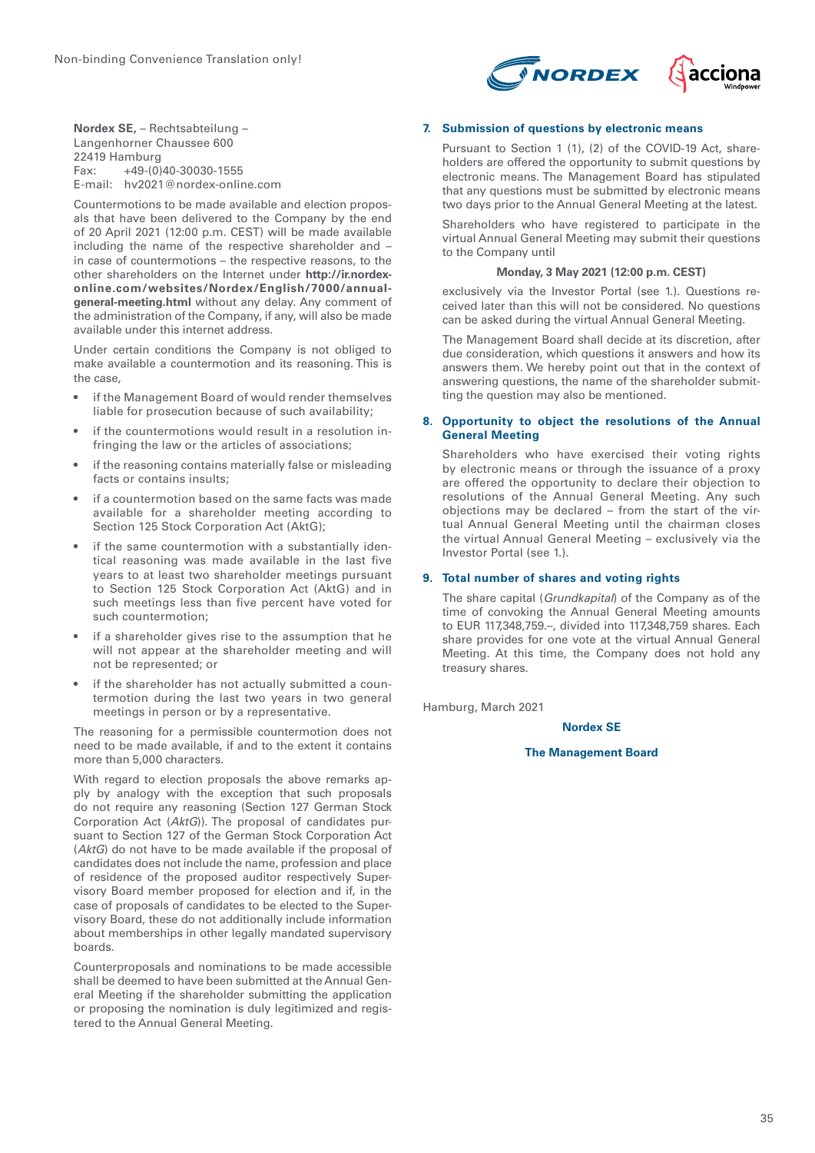

**Nordex SE,** – Rechtsabteilung – Langenhorner Chaussee 600  $22419$  Hamburg<br>Eax:  $+49-(0)$ Fax: +49-(0)40-30030-1555 E-mail: hv2021@nordex-online.com

Countermotions to be made available and election proposals that have been delivered to the Company by the end of 20 April 2021 (12:00 p.m. CEST) will be made available including the name of the respective shareholder and – in case of countermotions – the respective reasons, to the other shareholders on the Internet under **http://ir.nordexonline.com/websites/Nordex/English/7000/annualgeneral-meeting.html** without any delay. Any comment of the administration of the Company, if any, will also be made available under this internet address.

Under certain conditions the Company is not obliged to make available a countermotion and its reasoning. This is the case,

- if the Management Board of would render themselves liable for prosecution because of such availability;
- if the countermotions would result in a resolution infringing the law or the articles of associations;
- if the reasoning contains materially false or misleading facts or contains insults;
- if a countermotion based on the same facts was made available for a shareholder meeting according to Section 125 Stock Corporation Act (AktG);
- if the same countermotion with a substantially identical reasoning was made available in the last five years to at least two shareholder meetings pursuant to Section 125 Stock Corporation Act (AktG) and in such meetings less than five percent have voted for such countermotion;
- if a shareholder gives rise to the assumption that he will not appear at the shareholder meeting and will not be represented; or
- if the shareholder has not actually submitted a countermotion during the last two years in two general meetings in person or by a representative.

The reasoning for a permissible countermotion does not need to be made available, if and to the extent it contains more than 5,000 characters.

With regard to election proposals the above remarks apply by analogy with the exception that such proposals do not require any reasoning (Section 127 German Stock Corporation Act (*AktG*)). The proposal of candidates pursuant to Section 127 of the German Stock Corporation Act (*AktG*) do not have to be made available if the proposal of candidates does not include the name, profession and place of residence of the proposed auditor respectively Supervisory Board member proposed for election and if, in the case of proposals of candidates to be elected to the Supervisory Board, these do not additionally include information about memberships in other legally mandated supervisory boards.

Counterproposals and nominations to be made accessible shall be deemed to have been submitted at the Annual General Meeting if the shareholder submitting the application or proposing the nomination is duly legitimized and registered to the Annual General Meeting.

# **7. Submission of questions by electronic means**

Pursuant to Section 1 (1), (2) of the COVID-19 Act, shareholders are offered the opportunity to submit questions by electronic means. The Management Board has stipulated that any questions must be submitted by electronic means two days prior to the Annual General Meeting at the latest.

Shareholders who have registered to participate in the virtual Annual General Meeting may submit their questions to the Company until

#### **Monday, 3 May 2021 (12:00 p.m. CEST)**

exclusively via the Investor Portal (see 1.). Questions received later than this will not be considered. No questions can be asked during the virtual Annual General Meeting.

The Management Board shall decide at its discretion, after due consideration, which questions it answers and how its answers them. We hereby point out that in the context of answering questions, the name of the shareholder submitting the question may also be mentioned.

# **8. Opportunity to object the resolutions of the Annual General Meeting**

Shareholders who have exercised their voting rights by electronic means or through the issuance of a proxy are offered the opportunity to declare their objection to resolutions of the Annual General Meeting. Any such objections may be declared – from the start of the virtual Annual General Meeting until the chairman closes the virtual Annual General Meeting – exclusively via the Investor Portal (see 1.).

# **9. Total number of shares and voting rights**

The share capital (*Grundkapital*) of the Company as of the time of convoking the Annual General Meeting amounts to EUR 117,348,759.–, divided into 117,348,759 shares. Each share provides for one vote at the virtual Annual General Meeting. At this time, the Company does not hold any treasury shares.

Hamburg, March 2021

#### **Nordex SE**

#### **The Management Board**